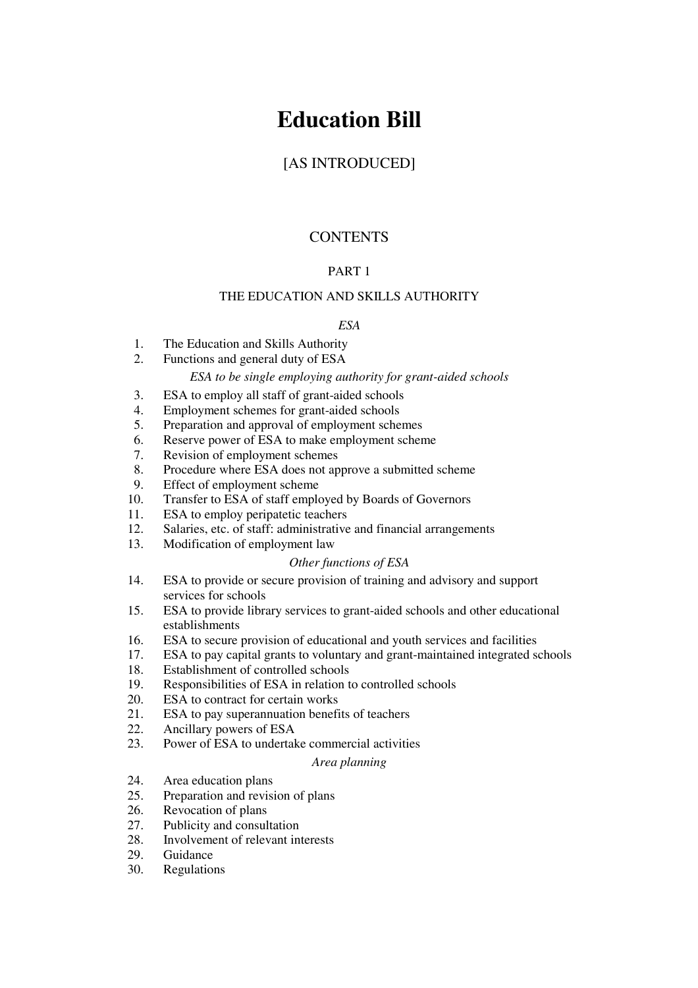# **Education Bill**

# [AS INTRODUCED]

# **CONTENTS**

# PART 1

# THE EDUCATION AND SKILLS AUTHORITY

# *ESA*

- 1. The Education and Skills Authority
- 2. Functions and general duty of ESA

#### *ESA to be single employing authority for grant-aided schools*

- 3. ESA to employ all staff of grant-aided schools
- 4. Employment schemes for grant-aided schools
- 5. Preparation and approval of employment schemes
- 6. Reserve power of ESA to make employment scheme
- 7. Revision of employment schemes
- 8. Procedure where ESA does not approve a submitted scheme
- 9. Effect of employment scheme
- 10. Transfer to ESA of staff employed by Boards of Governors
- 11. ESA to employ peripatetic teachers
- 12. Salaries, etc. of staff: administrative and financial arrangements
- 13. Modification of employment law

#### *Other functions of ESA*

- 14. ESA to provide or secure provision of training and advisory and support services for schools
- 15. ESA to provide library services to grant-aided schools and other educational establishments
- 16. ESA to secure provision of educational and youth services and facilities
- 17. ESA to pay capital grants to voluntary and grant-maintained integrated schools
- 18. Establishment of controlled schools
- 19. Responsibilities of ESA in relation to controlled schools
- 20. ESA to contract for certain works
- 21. ESA to pay superannuation benefits of teachers
- 22. Ancillary powers of ESA
- 23. Power of ESA to undertake commercial activities

#### *Area planning*

- 24. Area education plans
- 25. Preparation and revision of plans
- 26. Revocation of plans
- 27. Publicity and consultation
- 28. Involvement of relevant interests
- 29. Guidance
- 30. Regulations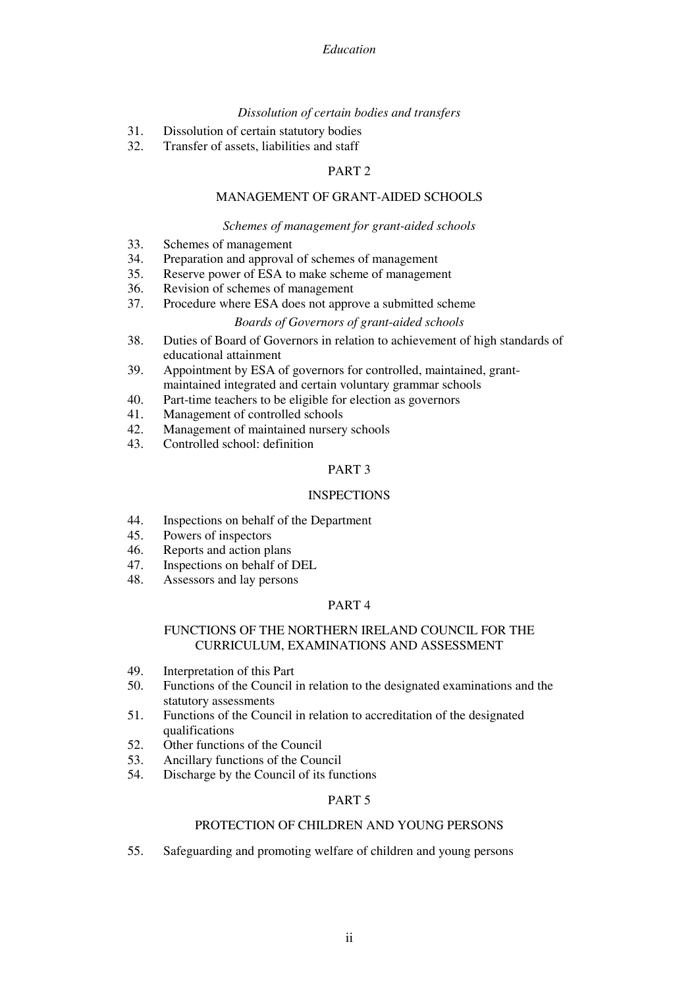#### *Dissolution of certain bodies and transfers*

- 31. Dissolution of certain statutory bodies
- 32. Transfer of assets, liabilities and staff

# PART 2

#### MANAGEMENT OF GRANT-AIDED SCHOOLS

#### *Schemes of management for grant-aided schools*

- 33. Schemes of management
- 34. Preparation and approval of schemes of management
- 35. Reserve power of ESA to make scheme of management
- 36. Revision of schemes of management
- 37. Procedure where ESA does not approve a submitted scheme

#### *Boards of Governors of grant-aided schools*

- 38. Duties of Board of Governors in relation to achievement of high standards of educational attainment
- 39. Appointment by ESA of governors for controlled, maintained, grantmaintained integrated and certain voluntary grammar schools
- 40. Part-time teachers to be eligible for election as governors
- 41. Management of controlled schools
- 42. Management of maintained nursery schools
- 43. Controlled school: definition

# PART 3

#### **INSPECTIONS**

- 44. Inspections on behalf of the Department
- 45. Powers of inspectors
- 46. Reports and action plans
- 47. Inspections on behalf of DEL
- 48. Assessors and lay persons

#### PART 4

#### FUNCTIONS OF THE NORTHERN IRELAND COUNCIL FOR THE CURRICULUM, EXAMINATIONS AND ASSESSMENT

- 49. Interpretation of this Part
- 50. Functions of the Council in relation to the designated examinations and the statutory assessments
- 51. Functions of the Council in relation to accreditation of the designated qualifications
- 52. Other functions of the Council
- 53. Ancillary functions of the Council
- 54. Discharge by the Council of its functions

#### PART 5

#### PROTECTION OF CHILDREN AND YOUNG PERSONS

55. Safeguarding and promoting welfare of children and young persons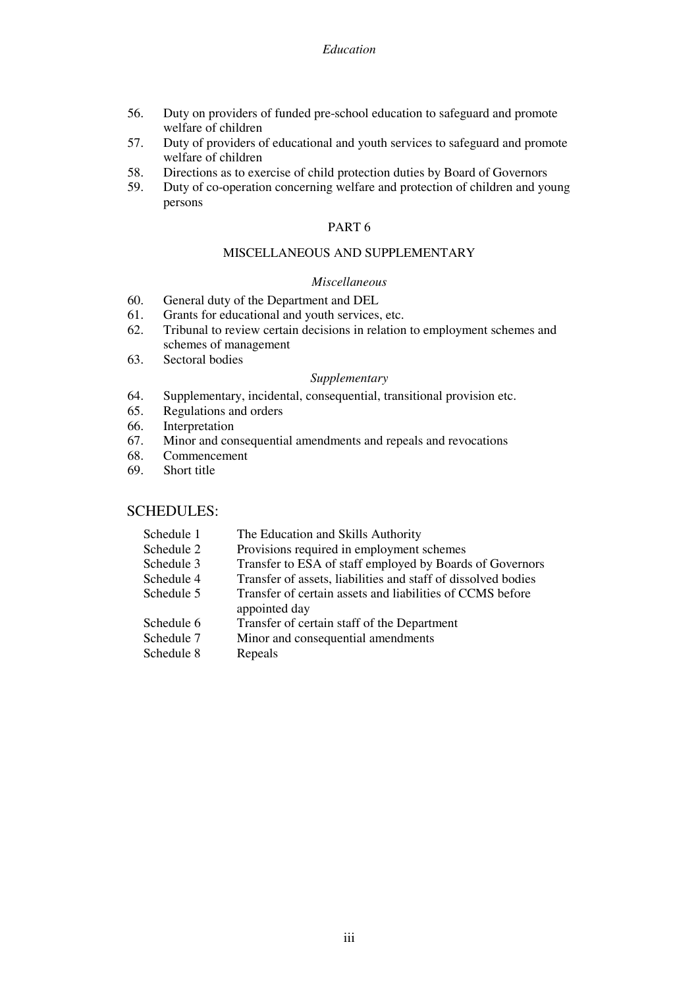- 56. Duty on providers of funded pre-school education to safeguard and promote welfare of children
- 57. Duty of providers of educational and youth services to safeguard and promote welfare of children
- 58. Directions as to exercise of child protection duties by Board of Governors
- 59. Duty of co-operation concerning welfare and protection of children and young persons

# MISCELLANEOUS AND SUPPLEMENTARY

#### *Miscellaneous*

- 60. General duty of the Department and DEL
- 61. Grants for educational and youth services, etc.
- 62. Tribunal to review certain decisions in relation to employment schemes and schemes of management
- 63. Sectoral bodies

#### *Supplementary*

- 64. Supplementary, incidental, consequential, transitional provision etc.
- 65. Regulations and orders
- 66. Interpretation
- 67. Minor and consequential amendments and repeals and revocations
- 68. Commencement
- 69. Short title

# SCHEDULES:

| Schedule 1 | The Education and Skills Authority                                         |
|------------|----------------------------------------------------------------------------|
| Schedule 2 | Provisions required in employment schemes                                  |
| Schedule 3 | Transfer to ESA of staff employed by Boards of Governors                   |
| Schedule 4 | Transfer of assets, liabilities and staff of dissolved bodies              |
| Schedule 5 | Transfer of certain assets and liabilities of CCMS before<br>appointed day |
| Schedule 6 | Transfer of certain staff of the Department                                |
| Schedule 7 | Minor and consequential amendments                                         |
| Schedule 8 | Repeals                                                                    |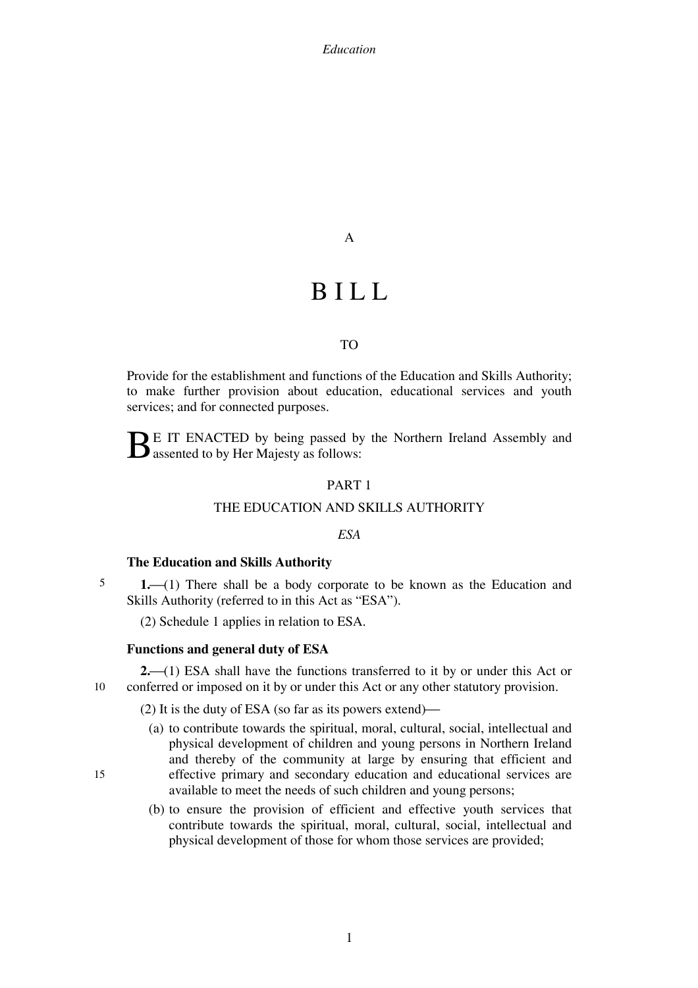A

# **BILL**

#### TO

Provide for the establishment and functions of the Education and Skills Authority; to make further provision about education, educational services and youth services; and for connected purposes.

E IT ENACTED by being passed by the Northern Ireland Assembly and  $B$  E IT ENACTED by being passed by assented to by Her Majesty as follows:

#### PART 1

#### THE EDUCATION AND SKILLS AUTHORITY

#### *ESA*

#### **The Education and Skills Authority**

5 **1.**—(1) There shall be a body corporate to be known as the Education and Skills Authority (referred to in this Act as "ESA").

(2) Schedule 1 applies in relation to ESA.

#### **Functions and general duty of ESA**

15

10 **2.** (1) ESA shall have the functions transferred to it by or under this Act or conferred or imposed on it by or under this Act or any other statutory provision.

(2) It is the duty of ESA (so far as its powers extend)—

- (a) to contribute towards the spiritual, moral, cultural, social, intellectual and physical development of children and young persons in Northern Ireland and thereby of the community at large by ensuring that efficient and effective primary and secondary education and educational services are available to meet the needs of such children and young persons;
- (b) to ensure the provision of efficient and effective youth services that contribute towards the spiritual, moral, cultural, social, intellectual and physical development of those for whom those services are provided;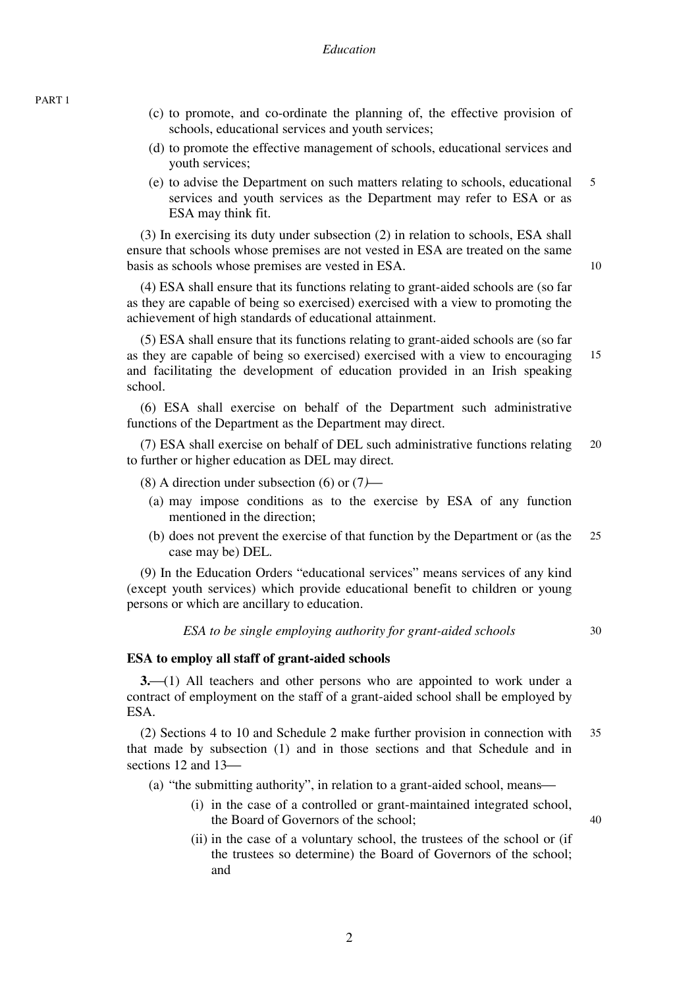PART 1

- (c) to promote, and co-ordinate the planning of, the effective provision of schools, educational services and youth services;
- (d) to promote the effective management of schools, educational services and youth services;
- 5 (e) to advise the Department on such matters relating to schools, educational services and youth services as the Department may refer to ESA or as ESA may think fit.

(3) In exercising its duty under subsection (2) in relation to schools, ESA shall ensure that schools whose premises are not vested in ESA are treated on the same basis as schools whose premises are vested in ESA.

(4) ESA shall ensure that its functions relating to grant-aided schools are (so far as they are capable of being so exercised) exercised with a view to promoting the achievement of high standards of educational attainment.

15 (5) ESA shall ensure that its functions relating to grant-aided schools are (so far as they are capable of being so exercised) exercised with a view to encouraging and facilitating the development of education provided in an Irish speaking school.

(6) ESA shall exercise on behalf of the Department such administrative functions of the Department as the Department may direct.

20 (7) ESA shall exercise on behalf of DEL such administrative functions relating to further or higher education as DEL may direct*.*

- (8) A direction under subsection (6) or  $(7)$ 
	- (a) may impose conditions as to the exercise by ESA of any function mentioned in the direction;
	- 25 (b) does not prevent the exercise of that function by the Department or (as the case may be) DEL.

(9) In the Education Orders "educational services" means services of any kind (except youth services) which provide educational benefit to children or young persons or which are ancillary to education.

*ESA to be single employing authority for grant-aided schools* 

 $3<sub>0</sub>$ 

40

10

#### **ESA to employ all staff of grant-aided schools**

**3.**<sup> $(1)$ </sup> All teachers and other persons who are appointed to work under a contract of employment on the staff of a grant-aided school shall be employed by ESA.

35 (2) Sections 4 to 10 and Schedule 2 make further provision in connection with that made by subsection (1) and in those sections and that Schedule and in sections  $12$  and  $13$ —

(a) "the submitting authority", in relation to a grant-aided school, means—

- (i) in the case of a controlled or grant-maintained integrated school, the Board of Governors of the school;
- (ii) in the case of a voluntary school, the trustees of the school or (if the trustees so determine) the Board of Governors of the school; and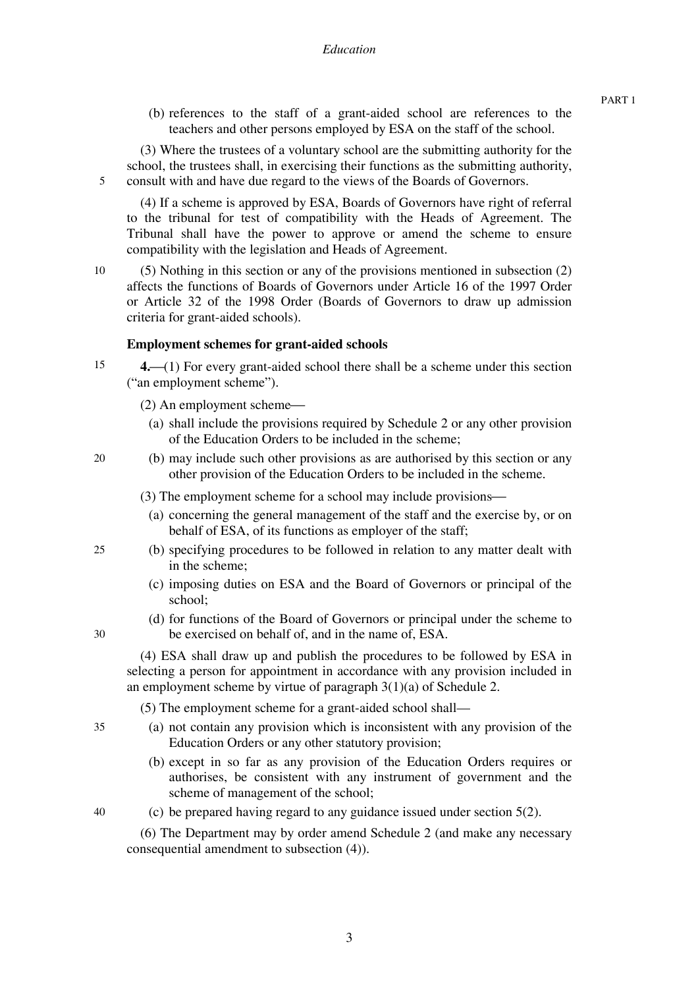(b) references to the staff of a grant-aided school are references to the teachers and other persons employed by ESA on the staff of the school.

5 (3) Where the trustees of a voluntary school are the submitting authority for the school, the trustees shall, in exercising their functions as the submitting authority, consult with and have due regard to the views of the Boards of Governors.

(4) If a scheme is approved by ESA, Boards of Governors have right of referral to the tribunal for test of compatibility with the Heads of Agreement. The Tribunal shall have the power to approve or amend the scheme to ensure compatibility with the legislation and Heads of Agreement.

10 (5) Nothing in this section or any of the provisions mentioned in subsection (2) affects the functions of Boards of Governors under Article 16 of the 1997 Order or Article 32 of the 1998 Order (Boards of Governors to draw up admission criteria for grant-aided schools).

# **Employment schemes for grant-aided schools**

- 15 **4.** (1) For every grant-aided school there shall be a scheme under this section ("an employment scheme").
	- $(2)$  An employment scheme $\rightarrow$ 
		- (a) shall include the provisions required by Schedule 2 or any other provision of the Education Orders to be included in the scheme;
- 20 (b) may include such other provisions as are authorised by this section or any other provision of the Education Orders to be included in the scheme.
	- (3) The employment scheme for a school may include provisions—
		- (a) concerning the general management of the staff and the exercise by, or on behalf of ESA, of its functions as employer of the staff;
	- (b) specifying procedures to be followed in relation to any matter dealt with in the scheme;
		- (c) imposing duties on ESA and the Board of Governors or principal of the school;
		- (d) for functions of the Board of Governors or principal under the scheme to be exercised on behalf of, and in the name of, ESA.

(4) ESA shall draw up and publish the procedures to be followed by ESA in selecting a person for appointment in accordance with any provision included in an employment scheme by virtue of paragraph 3(1)(a) of Schedule 2.

(5) The employment scheme for a grant-aided school shall—

- (a) not contain any provision which is inconsistent with any provision of the Education Orders or any other statutory provision;
	- (b) except in so far as any provision of the Education Orders requires or authorises, be consistent with any instrument of government and the scheme of management of the school;
- 40

35

25

30

(c) be prepared having regard to any guidance issued under section 5(2).

(6) The Department may by order amend Schedule 2 (and make any necessary consequential amendment to subsection (4)).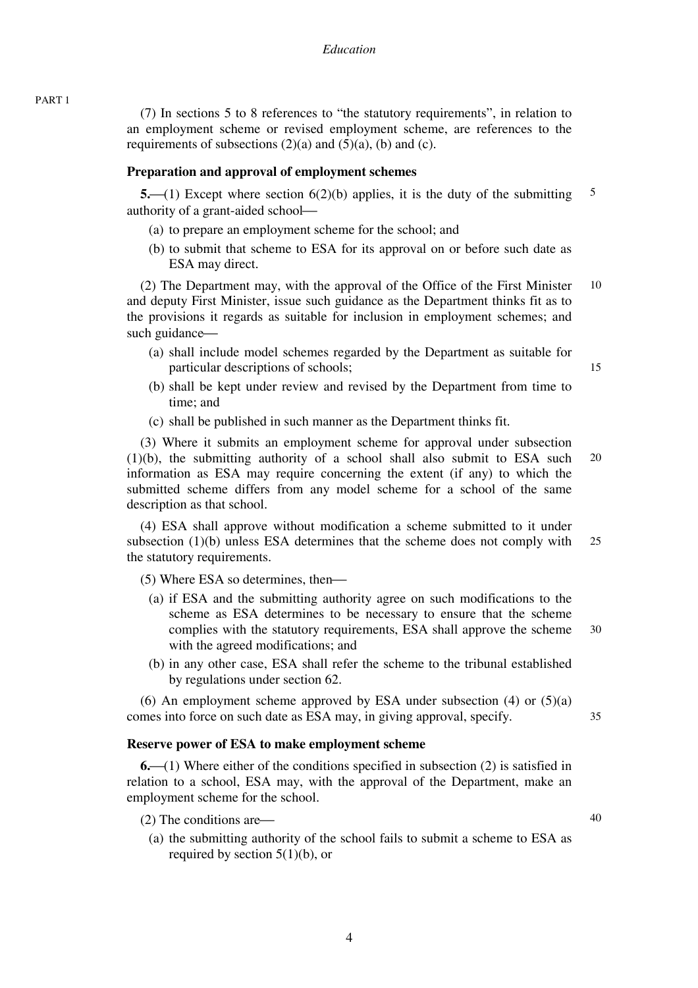(7) In sections 5 to 8 references to "the statutory requirements", in relation to an employment scheme or revised employment scheme, are references to the requirements of subsections  $(2)(a)$  and  $(5)(a)$ ,  $(b)$  and  $(c)$ .

#### **Preparation and approval of employment schemes**

5 **5.**—(1) Except where section 6(2)(b) applies, it is the duty of the submitting authority of a grant-aided school-

- (a) to prepare an employment scheme for the school; and
- (b) to submit that scheme to ESA for its approval on or before such date as ESA may direct.

10 (2) The Department may, with the approval of the Office of the First Minister and deputy First Minister, issue such guidance as the Department thinks fit as to the provisions it regards as suitable for inclusion in employment schemes; and such guidance—

- (a) shall include model schemes regarded by the Department as suitable for particular descriptions of schools;
- (b) shall be kept under review and revised by the Department from time to time; and
- (c) shall be published in such manner as the Department thinks fit.

20 (3) Where it submits an employment scheme for approval under subsection (1)(b), the submitting authority of a school shall also submit to ESA such information as ESA may require concerning the extent (if any) to which the submitted scheme differs from any model scheme for a school of the same description as that school.

25 (4) ESA shall approve without modification a scheme submitted to it under subsection (1)(b) unless ESA determines that the scheme does not comply with the statutory requirements.

 $(5)$  Where ESA so determines, then—

- 30 (a) if ESA and the submitting authority agree on such modifications to the scheme as ESA determines to be necessary to ensure that the scheme complies with the statutory requirements, ESA shall approve the scheme with the agreed modifications; and
- (b) in any other case, ESA shall refer the scheme to the tribunal established by regulations under section 62.

(6) An employment scheme approved by ESA under subsection  $(4)$  or  $(5)(a)$ comes into force on such date as ESA may, in giving approval, specify.

#### **Reserve power of ESA to make employment scheme**

**6.**⎯(1) Where either of the conditions specified in subsection (2) is satisfied in relation to a school, ESA may, with the approval of the Department, make an employment scheme for the school.

- $(2)$  The conditions are—
	- (a) the submitting authority of the school fails to submit a scheme to ESA as required by section  $5(1)(b)$ , or

15

35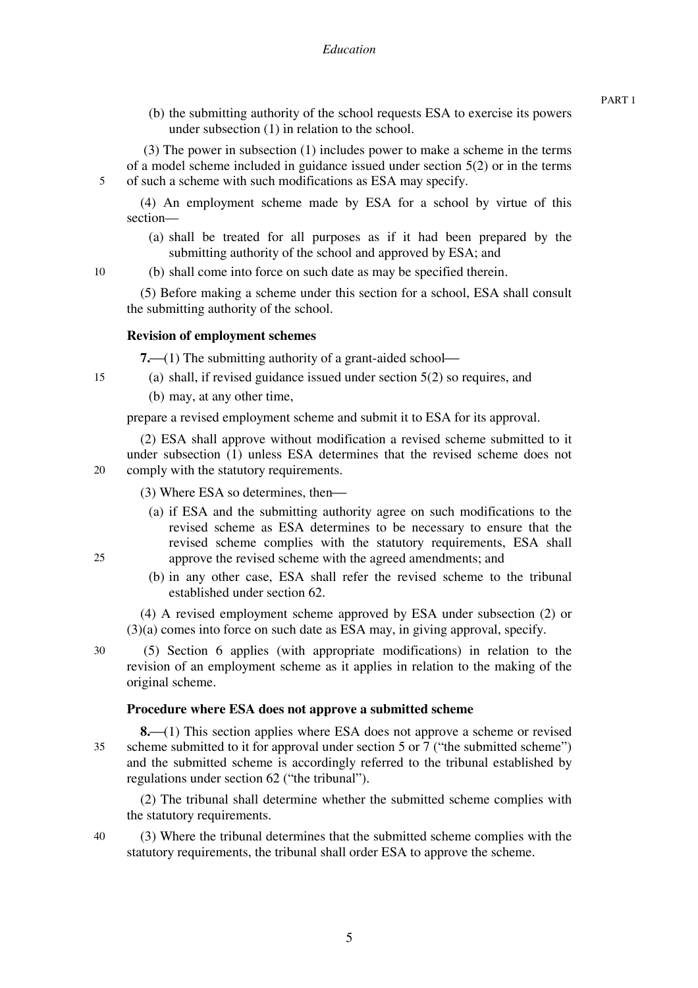(b) the submitting authority of the school requests ESA to exercise its powers under subsection (1) in relation to the school.

 (3) The power in subsection (1) includes power to make a scheme in the terms of a model scheme included in guidance issued under section 5(2) or in the terms of such a scheme with such modifications as ESA may specify.

(4) An employment scheme made by ESA for a school by virtue of this section—

(a) shall be treated for all purposes as if it had been prepared by the submitting authority of the school and approved by ESA; and

(b) shall come into force on such date as may be specified therein.

(5) Before making a scheme under this section for a school, ESA shall consult the submitting authority of the school.

# **Revision of employment schemes**

**7.**—(1) The submitting authority of a grant-aided school—

- (a) shall, if revised guidance issued under section 5(2) so requires, and
	- (b) may, at any other time,

prepare a revised employment scheme and submit it to ESA for its approval.

20 (2) ESA shall approve without modification a revised scheme submitted to it under subsection (1) unless ESA determines that the revised scheme does not comply with the statutory requirements.

 $(3)$  Where ESA so determines, then—

- (a) if ESA and the submitting authority agree on such modifications to the revised scheme as ESA determines to be necessary to ensure that the revised scheme complies with the statutory requirements, ESA shall approve the revised scheme with the agreed amendments; and
- (b) in any other case, ESA shall refer the revised scheme to the tribunal established under section 62.

(4) A revised employment scheme approved by ESA under subsection (2) or (3)(a) comes into force on such date as ESA may, in giving approval, specify.

30

25

5

10

15

 (5) Section 6 applies (with appropriate modifications) in relation to the revision of an employment scheme as it applies in relation to the making of the original scheme.

#### **Procedure where ESA does not approve a submitted scheme**

35 **8.** (1) This section applies where ESA does not approve a scheme or revised scheme submitted to it for approval under section 5 or 7 ("the submitted scheme") and the submitted scheme is accordingly referred to the tribunal established by regulations under section 62 ("the tribunal").

(2) The tribunal shall determine whether the submitted scheme complies with the statutory requirements.

40 (3) Where the tribunal determines that the submitted scheme complies with the statutory requirements, the tribunal shall order ESA to approve the scheme.

PART 1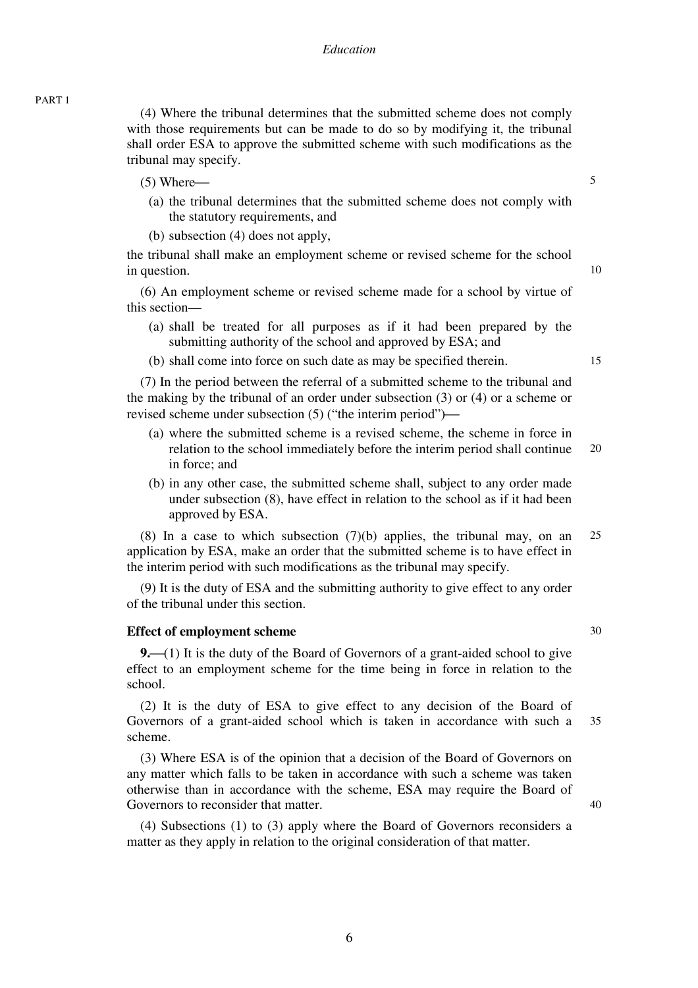(4) Where the tribunal determines that the submitted scheme does not comply with those requirements but can be made to do so by modifying it, the tribunal shall order ESA to approve the submitted scheme with such modifications as the tribunal may specify.

- $(5)$  Where $-$ 
	- (a) the tribunal determines that the submitted scheme does not comply with the statutory requirements, and
	- (b) subsection (4) does not apply,

the tribunal shall make an employment scheme or revised scheme for the school in question.

(6) An employment scheme or revised scheme made for a school by virtue of this section—

- (a) shall be treated for all purposes as if it had been prepared by the submitting authority of the school and approved by ESA; and
- (b) shall come into force on such date as may be specified therein.

(7) In the period between the referral of a submitted scheme to the tribunal and the making by the tribunal of an order under subsection (3) or (4) or a scheme or revised scheme under subsection  $(5)$  ("the interim period")—

- 20 (a) where the submitted scheme is a revised scheme, the scheme in force in relation to the school immediately before the interim period shall continue in force; and
- (b) in any other case, the submitted scheme shall, subject to any order made under subsection (8), have effect in relation to the school as if it had been approved by ESA.

25 (8) In a case to which subsection (7)(b) applies, the tribunal may, on an application by ESA, make an order that the submitted scheme is to have effect in the interim period with such modifications as the tribunal may specify.

(9) It is the duty of ESA and the submitting authority to give effect to any order of the tribunal under this section.

#### **Effect of employment scheme**

**9.**<sup> $(1)$ </sup> It is the duty of the Board of Governors of a grant-aided school to give effect to an employment scheme for the time being in force in relation to the school.

35 (2) It is the duty of ESA to give effect to any decision of the Board of Governors of a grant-aided school which is taken in accordance with such a scheme.

(3) Where ESA is of the opinion that a decision of the Board of Governors on any matter which falls to be taken in accordance with such a scheme was taken otherwise than in accordance with the scheme, ESA may require the Board of Governors to reconsider that matter.

(4) Subsections (1) to (3) apply where the Board of Governors reconsiders a matter as they apply in relation to the original consideration of that matter.

PART 1

5

10

15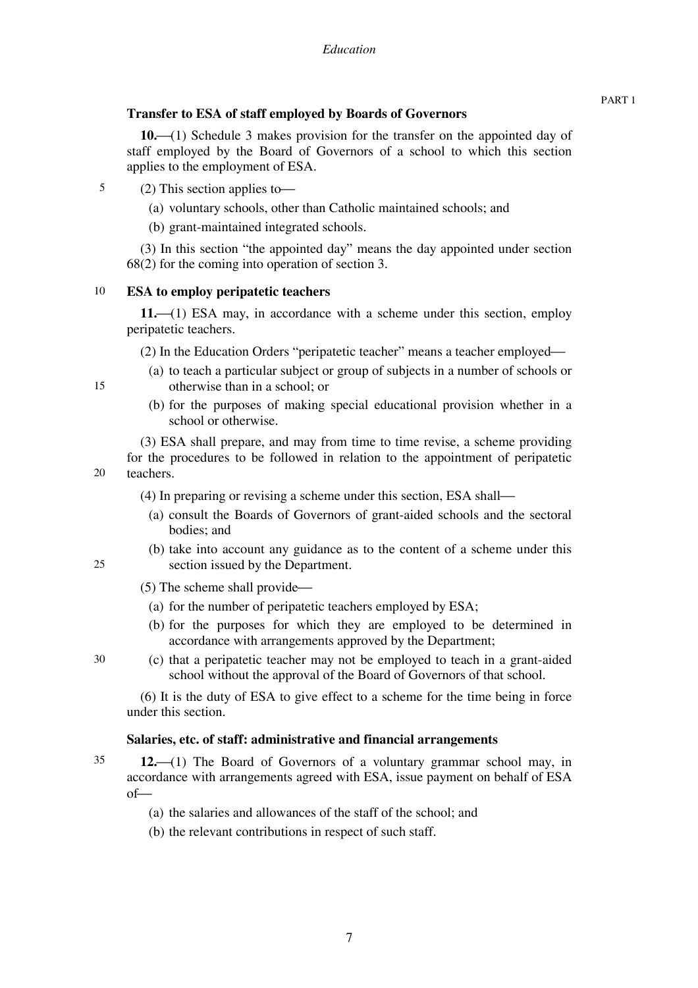# **Transfer to ESA of staff employed by Boards of Governors**

**10.**⎯(1) Schedule 3 makes provision for the transfer on the appointed day of staff employed by the Board of Governors of a school to which this section applies to the employment of ESA.

- 5  $(2)$  This section applies to-
	- (a) voluntary schools, other than Catholic maintained schools; and
	- (b) grant-maintained integrated schools.

(3) In this section "the appointed day" means the day appointed under section 68(2) for the coming into operation of section 3.

#### 10 **ESA to employ peripatetic teachers**

11.<sup> $(1)$ </sup> ESA may, in accordance with a scheme under this section, employ peripatetic teachers.

(2) In the Education Orders "peripatetic teacher" means a teacher employed—

- (a) to teach a particular subject or group of subjects in a number of schools or otherwise than in a school; or
- (b) for the purposes of making special educational provision whether in a school or otherwise.

20 (3) ESA shall prepare, and may from time to time revise, a scheme providing for the procedures to be followed in relation to the appointment of peripatetic teachers.

- $(4)$  In preparing or revising a scheme under this section, ESA shall—
	- (a) consult the Boards of Governors of grant-aided schools and the sectoral bodies; and
	- (b) take into account any guidance as to the content of a scheme under this section issued by the Department.
- $(5)$  The scheme shall provide—
	- (a) for the number of peripatetic teachers employed by ESA;
	- (b) for the purposes for which they are employed to be determined in accordance with arrangements approved by the Department;
- (c) that a peripatetic teacher may not be employed to teach in a grant-aided school without the approval of the Board of Governors of that school.

(6) It is the duty of ESA to give effect to a scheme for the time being in force under this section.

# **Salaries, etc. of staff: administrative and financial arrangements**

- 35 **12.** (1) The Board of Governors of a voluntary grammar school may, in accordance with arrangements agreed with ESA, issue payment on behalf of ESA  $of$ —
	- (a) the salaries and allowances of the staff of the school; and
	- (b) the relevant contributions in respect of such staff.

25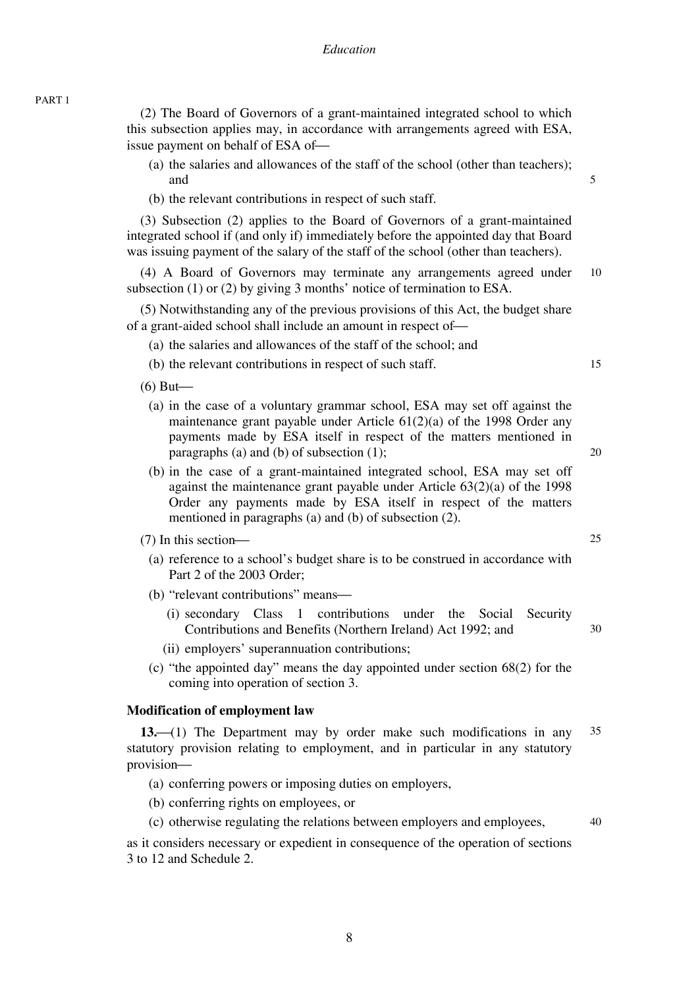PART 1

(2) The Board of Governors of a grant-maintained integrated school to which this subsection applies may, in accordance with arrangements agreed with ESA, issue payment on behalf of ESA of-

- (a) the salaries and allowances of the staff of the school (other than teachers); and
- (b) the relevant contributions in respect of such staff.

(3) Subsection (2) applies to the Board of Governors of a grant-maintained integrated school if (and only if) immediately before the appointed day that Board was issuing payment of the salary of the staff of the school (other than teachers).

10 (4) A Board of Governors may terminate any arrangements agreed under subsection (1) or (2) by giving 3 months' notice of termination to ESA.

(5) Notwithstanding any of the previous provisions of this Act, the budget share of a grant-aided school shall include an amount in respect of-

(a) the salaries and allowances of the staff of the school; and

(b) the relevant contributions in respect of such staff.

 $(6)$  But—

- (a) in the case of a voluntary grammar school, ESA may set off against the maintenance grant payable under Article 61(2)(a) of the 1998 Order any payments made by ESA itself in respect of the matters mentioned in paragraphs (a) and (b) of subsection (1);
- (b) in the case of a grant-maintained integrated school, ESA may set off against the maintenance grant payable under Article 63(2)(a) of the 1998 Order any payments made by ESA itself in respect of the matters mentioned in paragraphs (a) and (b) of subsection (2).

 $(7)$  In this section-

- (a) reference to a school's budget share is to be construed in accordance with Part 2 of the 2003 Order;
- (b) "relevant contributions" means—
	- (i) secondary Class 1 contributions under the Social Security Contributions and Benefits (Northern Ireland) Act 1992; and
	- (ii) employers' superannuation contributions;
- (c) "the appointed day" means the day appointed under section 68(2) for the coming into operation of section 3.

#### **Modification of employment law**

35 **13.**⎯(1) The Department may by order make such modifications in any statutory provision relating to employment, and in particular in any statutory provision-

- (a) conferring powers or imposing duties on employers,
- (b) conferring rights on employees, or
- (c) otherwise regulating the relations between employers and employees,

as it considers necessary or expedient in consequence of the operation of sections 3 to 12 and Schedule 2.

8

20

15

5

30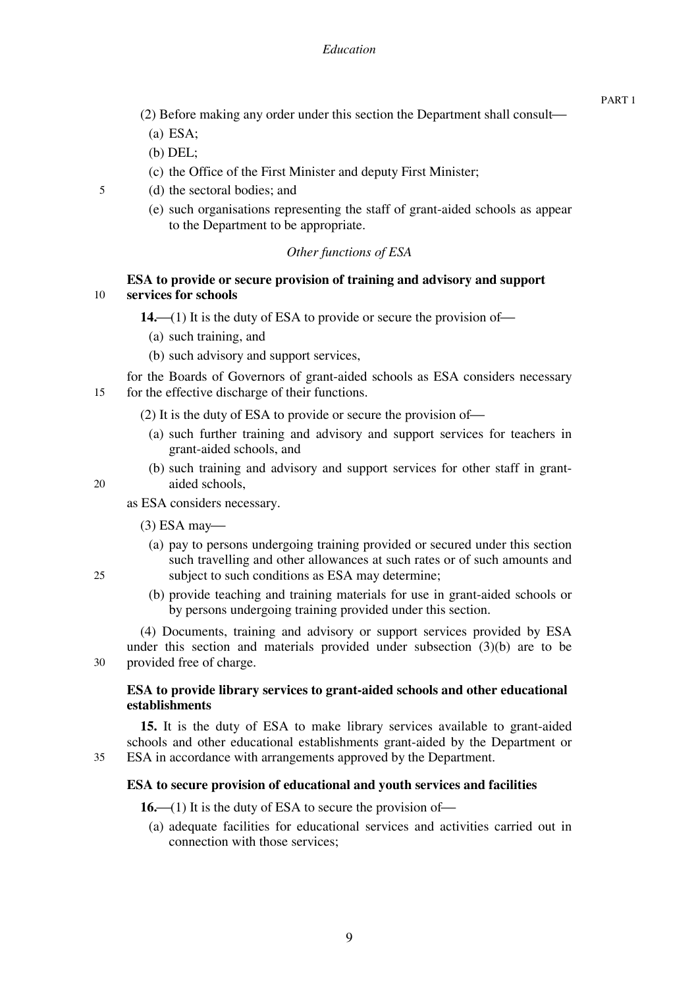- $(2)$  Before making any order under this section the Department shall consult—
	- (a) ESA;
	- (b) DEL;
	- (c) the Office of the First Minister and deputy First Minister;
- (d) the sectoral bodies; and
	- (e) such organisations representing the staff of grant-aided schools as appear to the Department to be appropriate.

# *Other functions of ESA*

#### 10 **ESA to provide or secure provision of training and advisory and support services for schools**

14. $\left($ (1) It is the duty of ESA to provide or secure the provision of  $\leftarrow$ 

- (a) such training, and
- (b) such advisory and support services,

15 for the Boards of Governors of grant-aided schools as ESA considers necessary for the effective discharge of their functions.

- $(2)$  It is the duty of ESA to provide or secure the provision of—
	- (a) such further training and advisory and support services for teachers in grant-aided schools, and
	- (b) such training and advisory and support services for other staff in grantaided schools,

20

5

as ESA considers necessary.

- $(3)$  ESA may—
	- (a) pay to persons undergoing training provided or secured under this section such travelling and other allowances at such rates or of such amounts and subject to such conditions as ESA may determine;
	- (b) provide teaching and training materials for use in grant-aided schools or by persons undergoing training provided under this section.

30 (4) Documents, training and advisory or support services provided by ESA under this section and materials provided under subsection (3)(b) are to be provided free of charge.

# **ESA to provide library services to grant-aided schools and other educational establishments**

**15.** It is the duty of ESA to make library services available to grant-aided schools and other educational establishments grant-aided by the Department or ESA in accordance with arrangements approved by the Department.

#### **ESA to secure provision of educational and youth services and facilities**

**16.**—(1) It is the duty of ESA to secure the provision of—

(a) adequate facilities for educational services and activities carried out in connection with those services;

25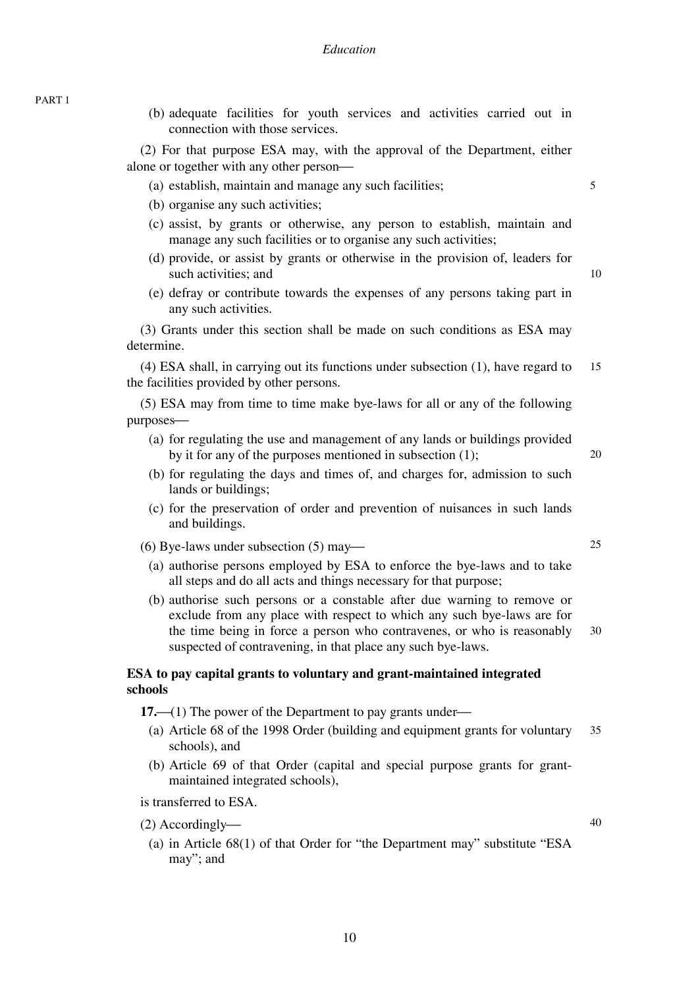(b) adequate facilities for youth services and activities carried out in connection with those services.

(2) For that purpose ESA may, with the approval of the Department, either alone or together with any other person—

- (a) establish, maintain and manage any such facilities;
- (b) organise any such activities;
- (c) assist, by grants or otherwise, any person to establish, maintain and manage any such facilities or to organise any such activities;
- (d) provide, or assist by grants or otherwise in the provision of, leaders for such activities; and
- (e) defray or contribute towards the expenses of any persons taking part in any such activities.

(3) Grants under this section shall be made on such conditions as ESA may determine.

15 (4) ESA shall, in carrying out its functions under subsection (1), have regard to the facilities provided by other persons.

(5) ESA may from time to time make bye-laws for all or any of the following purposes-

- (a) for regulating the use and management of any lands or buildings provided by it for any of the purposes mentioned in subsection (1);
- (b) for regulating the days and times of, and charges for, admission to such lands or buildings;
- (c) for the preservation of order and prevention of nuisances in such lands and buildings.

(6) Bye-laws under subsection  $(5)$  may—

- (a) authorise persons employed by ESA to enforce the bye-laws and to take all steps and do all acts and things necessary for that purpose;
- 30 (b) authorise such persons or a constable after due warning to remove or exclude from any place with respect to which any such bye-laws are for the time being in force a person who contravenes, or who is reasonably suspected of contravening, in that place any such bye-laws.

# **ESA to pay capital grants to voluntary and grant-maintained integrated schools**

**17.**—(1) The power of the Department to pay grants under—

- 35 (a) Article 68 of the 1998 Order (building and equipment grants for voluntary schools), and
- (b) Article 69 of that Order (capital and special purpose grants for grantmaintained integrated schools),

is transferred to ESA.

- $(2)$  Accordingly—
	- (a) in Article 68(1) of that Order for "the Department may" substitute "ESA may"; and

5

25

20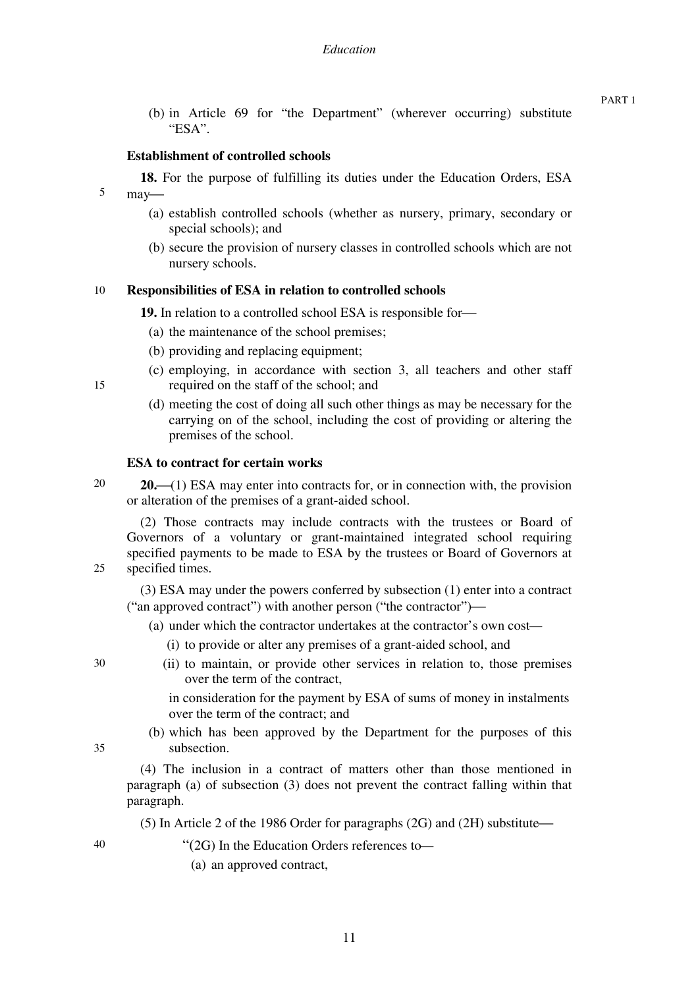(b) in Article 69 for "the Department" (wherever occurring) substitute "ESA".

#### **Establishment of controlled schools**

**18.** For the purpose of fulfilling its duties under the Education Orders, ESA may-

- (a) establish controlled schools (whether as nursery, primary, secondary or special schools); and
- (b) secure the provision of nursery classes in controlled schools which are not nursery schools.

#### 10 **Responsibilities of ESA in relation to controlled schools**

**19.** In relation to a controlled school ESA is responsible for-

- (a) the maintenance of the school premises;
- (b) providing and replacing equipment;
- (c) employing, in accordance with section 3, all teachers and other staff required on the staff of the school; and
- (d) meeting the cost of doing all such other things as may be necessary for the carrying on of the school, including the cost of providing or altering the premises of the school.

#### **ESA to contract for certain works**

20 **20.**<sup> $(1)$ </sup> ESA may enter into contracts for, or in connection with, the provision or alteration of the premises of a grant-aided school.

(2) Those contracts may include contracts with the trustees or Board of Governors of a voluntary or grant-maintained integrated school requiring specified payments to be made to ESA by the trustees or Board of Governors at specified times.

(3) ESA may under the powers conferred by subsection (1) enter into a contract ("an approved contract") with another person ("the contractor")—

(a) under which the contractor undertakes at the contractor's own cost—

- (i) to provide or alter any premises of a grant-aided school, and
- (ii) to maintain, or provide other services in relation to, those premises over the term of the contract,

in consideration for the payment by ESA of sums of money in instalments over the term of the contract; and

(b) which has been approved by the Department for the purposes of this subsection.

(4) The inclusion in a contract of matters other than those mentioned in paragraph (a) of subsection (3) does not prevent the contract falling within that paragraph.

(5) In Article 2 of the 1986 Order for paragraphs (2G) and (2H) substitute—

40

" $(2G)$  In the Education Orders references to-

(a) an approved contract,

30

35

25

5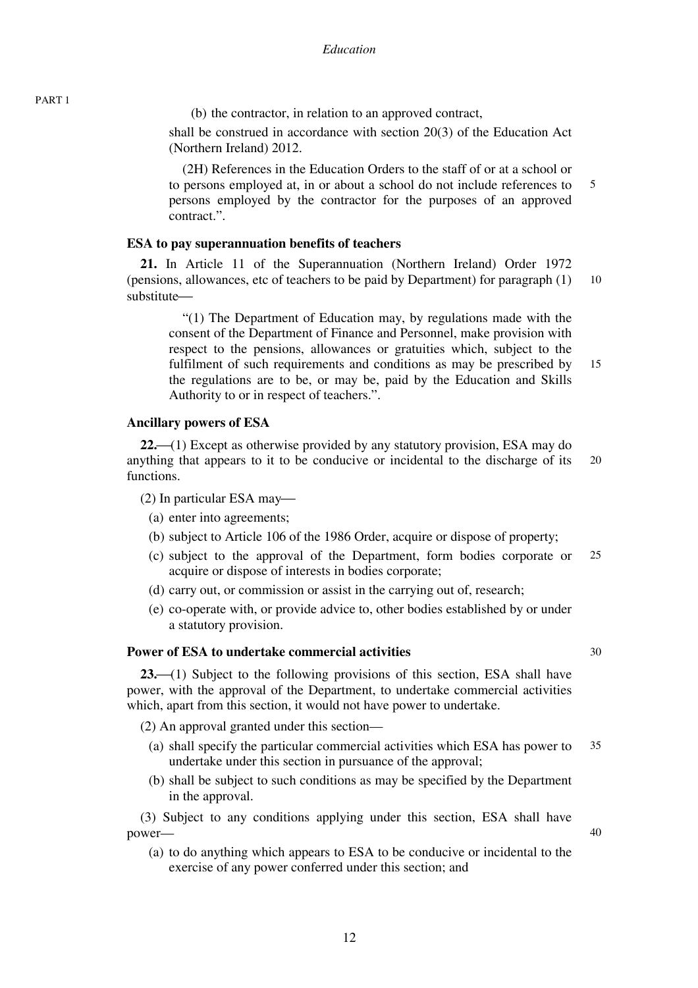(b) the contractor, in relation to an approved contract,

shall be construed in accordance with section 20(3) of the Education Act (Northern Ireland) 2012.

5 (2H) References in the Education Orders to the staff of or at a school or to persons employed at, in or about a school do not include references to persons employed by the contractor for the purposes of an approved contract.".

#### **ESA to pay superannuation benefits of teachers**

10 **21.** In Article 11 of the Superannuation (Northern Ireland) Order 1972 (pensions, allowances, etc of teachers to be paid by Department) for paragraph (1) substitute—

15 "(1) The Department of Education may, by regulations made with the consent of the Department of Finance and Personnel, make provision with respect to the pensions, allowances or gratuities which, subject to the fulfilment of such requirements and conditions as may be prescribed by the regulations are to be, or may be, paid by the Education and Skills Authority to or in respect of teachers.".

#### **Ancillary powers of ESA**

20 **22.**⎯(1) Except as otherwise provided by any statutory provision, ESA may do anything that appears to it to be conducive or incidental to the discharge of its functions.

 $(2)$  In particular ESA may—

- (a) enter into agreements;
- (b) subject to Article 106 of the 1986 Order, acquire or dispose of property;
- 25 (c) subject to the approval of the Department, form bodies corporate or acquire or dispose of interests in bodies corporate;
- (d) carry out, or commission or assist in the carrying out of, research;
- (e) co-operate with, or provide advice to, other bodies established by or under a statutory provision.

#### **Power of ESA to undertake commercial activities**

**23.** (1) Subject to the following provisions of this section, ESA shall have power, with the approval of the Department, to undertake commercial activities which, apart from this section, it would not have power to undertake.

(2) An approval granted under this section—

- 35 (a) shall specify the particular commercial activities which ESA has power to undertake under this section in pursuance of the approval;
- (b) shall be subject to such conditions as may be specified by the Department in the approval.

(3) Subject to any conditions applying under this section, ESA shall have power—

(a) to do anything which appears to ESA to be conducive or incidental to the exercise of any power conferred under this section; and

40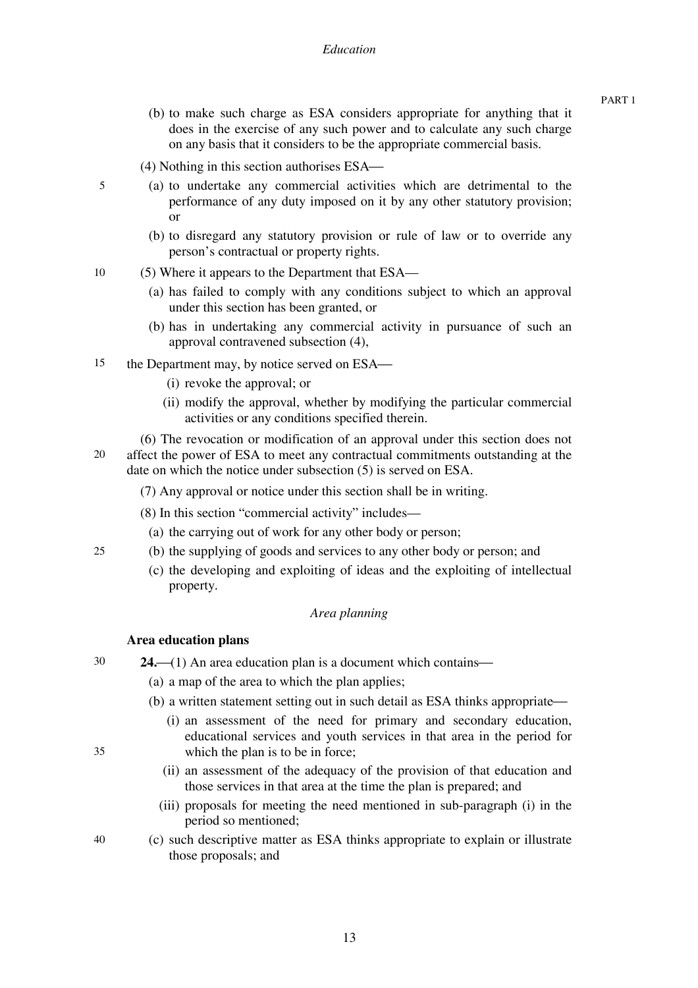- (b) to make such charge as ESA considers appropriate for anything that it does in the exercise of any such power and to calculate any such charge on any basis that it considers to be the appropriate commercial basis.
- (4) Nothing in this section authorises ESA—
- (a) to undertake any commercial activities which are detrimental to the performance of any duty imposed on it by any other statutory provision; or
	- (b) to disregard any statutory provision or rule of law or to override any person's contractual or property rights.
- 10 (5) Where it appears to the Department that ESA—
	- (a) has failed to comply with any conditions subject to which an approval under this section has been granted, or
	- (b) has in undertaking any commercial activity in pursuance of such an approval contravened subsection (4),
- 15 the Department may, by notice served on ESA—
	- (i) revoke the approval; or
	- (ii) modify the approval, whether by modifying the particular commercial activities or any conditions specified therein.

20 (6) The revocation or modification of an approval under this section does not affect the power of ESA to meet any contractual commitments outstanding at the date on which the notice under subsection (5) is served on ESA.

- (7) Any approval or notice under this section shall be in writing.
- (8) In this section "commercial activity" includes—
- (a) the carrying out of work for any other body or person;
- (b) the supplying of goods and services to any other body or person; and
	- (c) the developing and exploiting of ideas and the exploiting of intellectual property.

#### *Area planning*

#### **Area education plans**

- 30 **24.** $\left(\frac{1}{1}\right)$  An area education plan is a document which contains $\left(\frac{1}{1}\right)$ 
	- (a) a map of the area to which the plan applies;
	- (b) a written statement setting out in such detail as ESA thinks appropriate—
		- (i) an assessment of the need for primary and secondary education, educational services and youth services in that area in the period for which the plan is to be in force;
		- (ii) an assessment of the adequacy of the provision of that education and those services in that area at the time the plan is prepared; and
		- (iii) proposals for meeting the need mentioned in sub-paragraph (i) in the period so mentioned;
	- (c) such descriptive matter as ESA thinks appropriate to explain or illustrate those proposals; and

35

25

5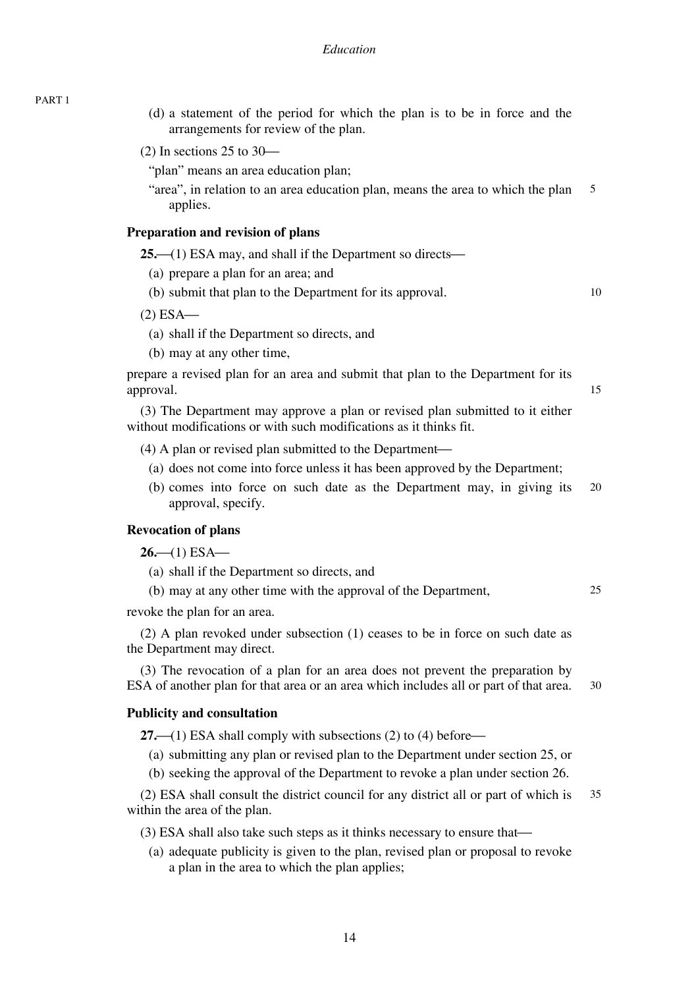(d) a statement of the period for which the plan is to be in force and the arrangements for review of the plan.

 $(2)$  In sections 25 to 30—

- "plan" means an area education plan;
- 5 "area", in relation to an area education plan, means the area to which the plan applies.

#### **Preparation and revision of plans**

 $25$ —(1) ESA may, and shall if the Department so directs—

- (a) prepare a plan for an area; and
- (b) submit that plan to the Department for its approval.

10

15

25

 $(2)$  ESA $-$ 

- (a) shall if the Department so directs, and
- (b) may at any other time,

prepare a revised plan for an area and submit that plan to the Department for its approval.

(3) The Department may approve a plan or revised plan submitted to it either without modifications or with such modifications as it thinks fit.

 $(4)$  A plan or revised plan submitted to the Department—

- (a) does not come into force unless it has been approved by the Department;
- 20 (b) comes into force on such date as the Department may, in giving its approval, specify.

# **Revocation of plans**

 $26 - (1)$  ESA $-$ 

- (a) shall if the Department so directs, and
- (b) may at any other time with the approval of the Department,

revoke the plan for an area.

(2) A plan revoked under subsection (1) ceases to be in force on such date as the Department may direct.

30 (3) The revocation of a plan for an area does not prevent the preparation by ESA of another plan for that area or an area which includes all or part of that area.

#### **Publicity and consultation**

**27.**—(1) ESA shall comply with subsections (2) to (4) before—

(a) submitting any plan or revised plan to the Department under section 25, or

(b) seeking the approval of the Department to revoke a plan under section 26.

35 (2) ESA shall consult the district council for any district all or part of which is within the area of the plan.

(3) ESA shall also take such steps as it thinks necessary to ensure that—

(a) adequate publicity is given to the plan, revised plan or proposal to revoke a plan in the area to which the plan applies;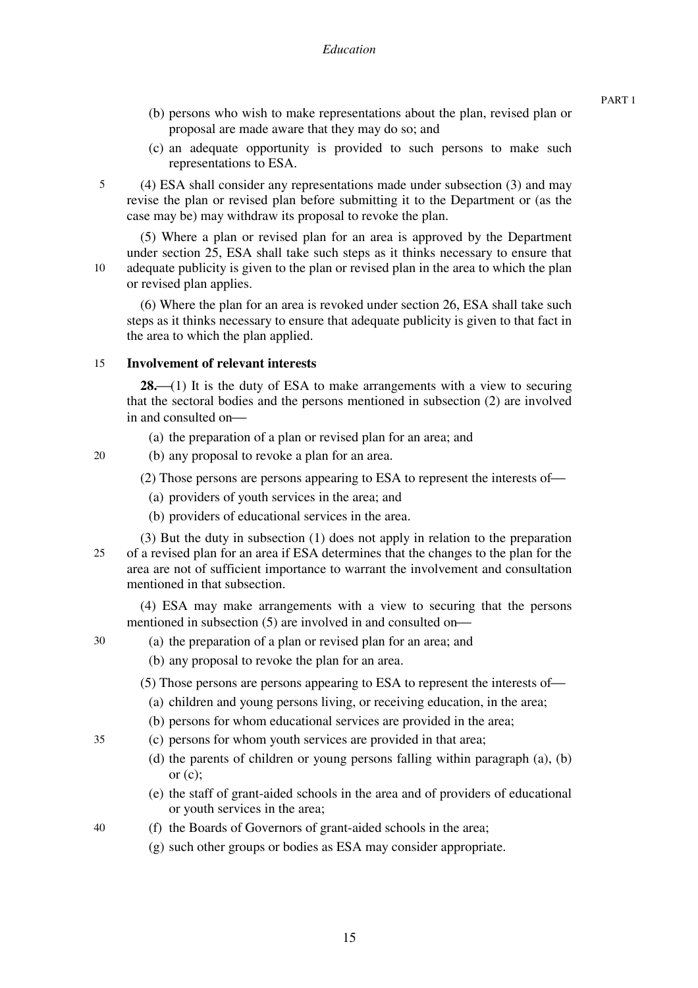- (b) persons who wish to make representations about the plan, revised plan or proposal are made aware that they may do so; and
- (c) an adequate opportunity is provided to such persons to make such representations to ESA.
- (4) ESA shall consider any representations made under subsection (3) and may revise the plan or revised plan before submitting it to the Department or (as the case may be) may withdraw its proposal to revoke the plan.

(5) Where a plan or revised plan for an area is approved by the Department under section 25, ESA shall take such steps as it thinks necessary to ensure that adequate publicity is given to the plan or revised plan in the area to which the plan or revised plan applies.

(6) Where the plan for an area is revoked under section 26, ESA shall take such steps as it thinks necessary to ensure that adequate publicity is given to that fact in the area to which the plan applied.

#### 15 **Involvement of relevant interests**

**28.**<sup> $(1)$ </sup> It is the duty of ESA to make arrangements with a view to securing that the sectoral bodies and the persons mentioned in subsection (2) are involved in and consulted on-

- (a) the preparation of a plan or revised plan for an area; and
- (b) any proposal to revoke a plan for an area.
	- (2) Those persons are persons appearing to ESA to represent the interests of-
		- (a) providers of youth services in the area; and
		- (b) providers of educational services in the area.
- 25 (3) But the duty in subsection (1) does not apply in relation to the preparation of a revised plan for an area if ESA determines that the changes to the plan for the area are not of sufficient importance to warrant the involvement and consultation mentioned in that subsection.

(4) ESA may make arrangements with a view to securing that the persons mentioned in subsection  $(5)$  are involved in and consulted on-

30

5

10

20

- (a) the preparation of a plan or revised plan for an area; and
- (b) any proposal to revoke the plan for an area.
- $(5)$  Those persons are persons appearing to ESA to represent the interests of—
	- (a) children and young persons living, or receiving education, in the area;
- (b) persons for whom educational services are provided in the area;
- (c) persons for whom youth services are provided in that area;
	- (d) the parents of children or young persons falling within paragraph (a), (b) or  $(c)$ ;
	- (e) the staff of grant-aided schools in the area and of providers of educational or youth services in the area;
	- (f) the Boards of Governors of grant-aided schools in the area;
		- (g) such other groups or bodies as ESA may consider appropriate.

40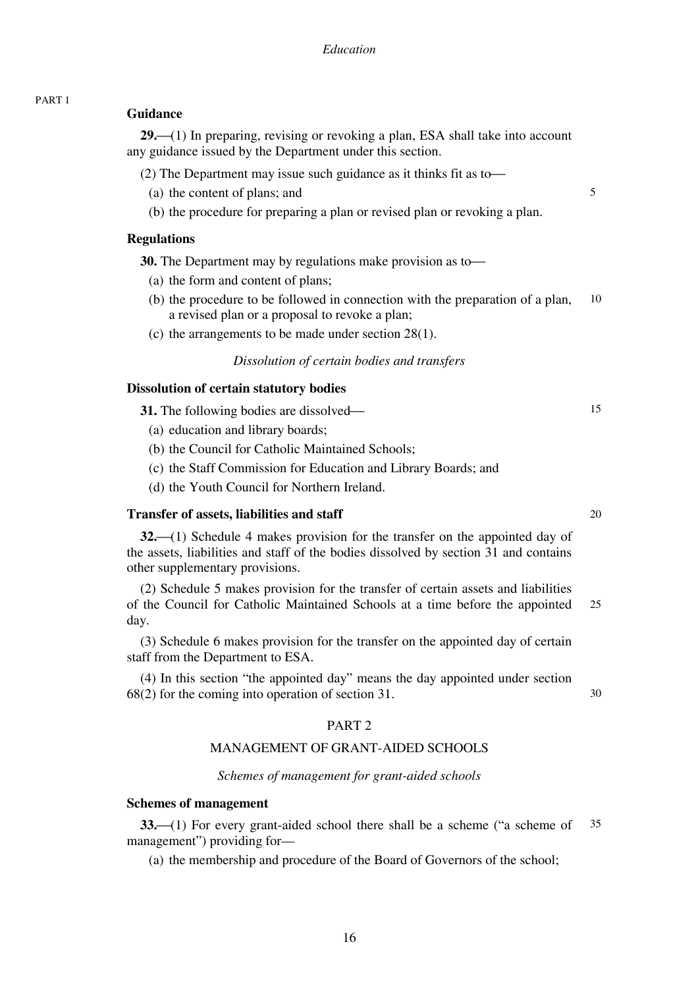#### **Guidance**

**29.** (1) In preparing, revising or revoking a plan, ESA shall take into account any guidance issued by the Department under this section.

(2) The Department may issue such guidance as it thinks fit as to-

- (a) the content of plans; and
- (b) the procedure for preparing a plan or revised plan or revoking a plan.

#### **Regulations**

**30.** The Department may by regulations make provision as to

- (a) the form and content of plans;
- 10 (b) the procedure to be followed in connection with the preparation of a plan, a revised plan or a proposal to revoke a plan;
- (c) the arrangements to be made under section 28(1).

# *Dissolution of certain bodies and transfers*

# **Dissolution of certain statutory bodies**

**31.** The following bodies are dissolved—

- (a) education and library boards;
- (b) the Council for Catholic Maintained Schools;
- (c) the Staff Commission for Education and Library Boards; and
- (d) the Youth Council for Northern Ireland.

#### **Transfer of assets, liabilities and staff**

**32.**⎯(1) Schedule 4 makes provision for the transfer on the appointed day of the assets, liabilities and staff of the bodies dissolved by section 31 and contains other supplementary provisions.

25 (2) Schedule 5 makes provision for the transfer of certain assets and liabilities of the Council for Catholic Maintained Schools at a time before the appointed day.

(3) Schedule 6 makes provision for the transfer on the appointed day of certain staff from the Department to ESA.

(4) In this section "the appointed day" means the day appointed under section 68(2) for the coming into operation of section 31.

#### PART 2

#### MANAGEMENT OF GRANT-AIDED SCHOOLS

*Schemes of management for grant-aided schools* 

#### **Schemes of management**

35 **33.** (1) For every grant-aided school there shall be a scheme ("a scheme of management") providing for—

(a) the membership and procedure of the Board of Governors of the school;

20

30

15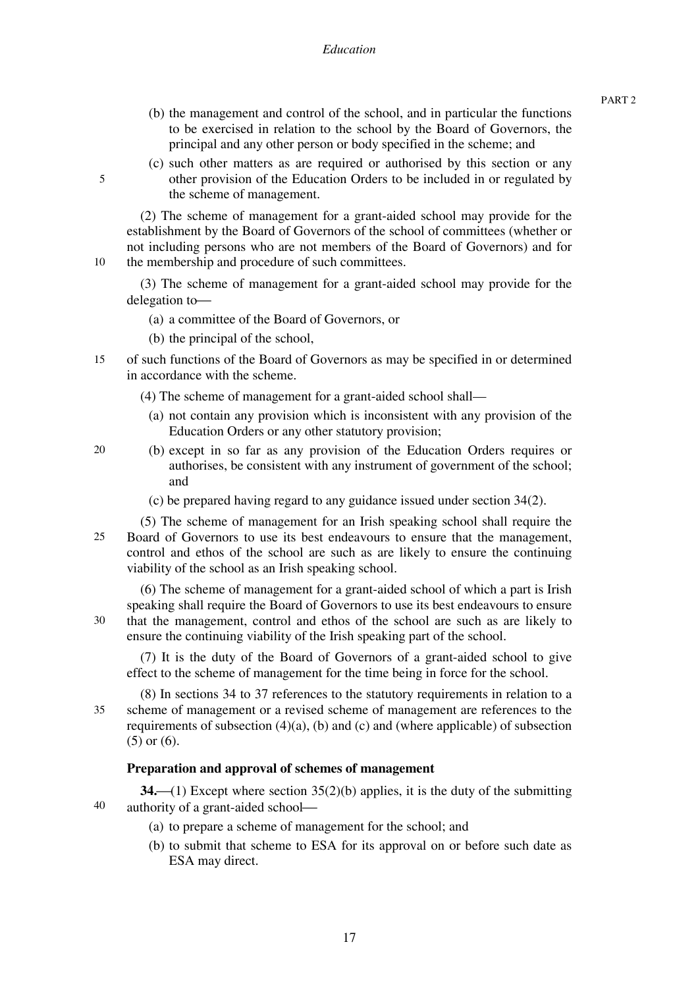- (b) the management and control of the school, and in particular the functions to be exercised in relation to the school by the Board of Governors, the principal and any other person or body specified in the scheme; and
- (c) such other matters as are required or authorised by this section or any other provision of the Education Orders to be included in or regulated by the scheme of management.

(2) The scheme of management for a grant-aided school may provide for the establishment by the Board of Governors of the school of committees (whether or not including persons who are not members of the Board of Governors) and for the membership and procedure of such committees.

(3) The scheme of management for a grant-aided school may provide for the delegation to-

- (a) a committee of the Board of Governors, or
- (b) the principal of the school,

5

10

20

30

35

- 15 of such functions of the Board of Governors as may be specified in or determined in accordance with the scheme.
	- (4) The scheme of management for a grant-aided school shall—
		- (a) not contain any provision which is inconsistent with any provision of the Education Orders or any other statutory provision;
	- (b) except in so far as any provision of the Education Orders requires or authorises, be consistent with any instrument of government of the school; and
		- (c) be prepared having regard to any guidance issued under section 34(2).

25 (5) The scheme of management for an Irish speaking school shall require the Board of Governors to use its best endeavours to ensure that the management, control and ethos of the school are such as are likely to ensure the continuing viability of the school as an Irish speaking school.

(6) The scheme of management for a grant-aided school of which a part is Irish speaking shall require the Board of Governors to use its best endeavours to ensure that the management, control and ethos of the school are such as are likely to ensure the continuing viability of the Irish speaking part of the school.

(7) It is the duty of the Board of Governors of a grant-aided school to give effect to the scheme of management for the time being in force for the school.

(8) In sections 34 to 37 references to the statutory requirements in relation to a scheme of management or a revised scheme of management are references to the requirements of subsection  $(4)(a)$ ,  $(b)$  and  $(c)$  and (where applicable) of subsection (5) or (6).

#### **Preparation and approval of schemes of management**

40 **34.** (1) Except where section 35(2)(b) applies, it is the duty of the submitting authority of a grant-aided school-

- (a) to prepare a scheme of management for the school; and
- (b) to submit that scheme to ESA for its approval on or before such date as ESA may direct.

PART 2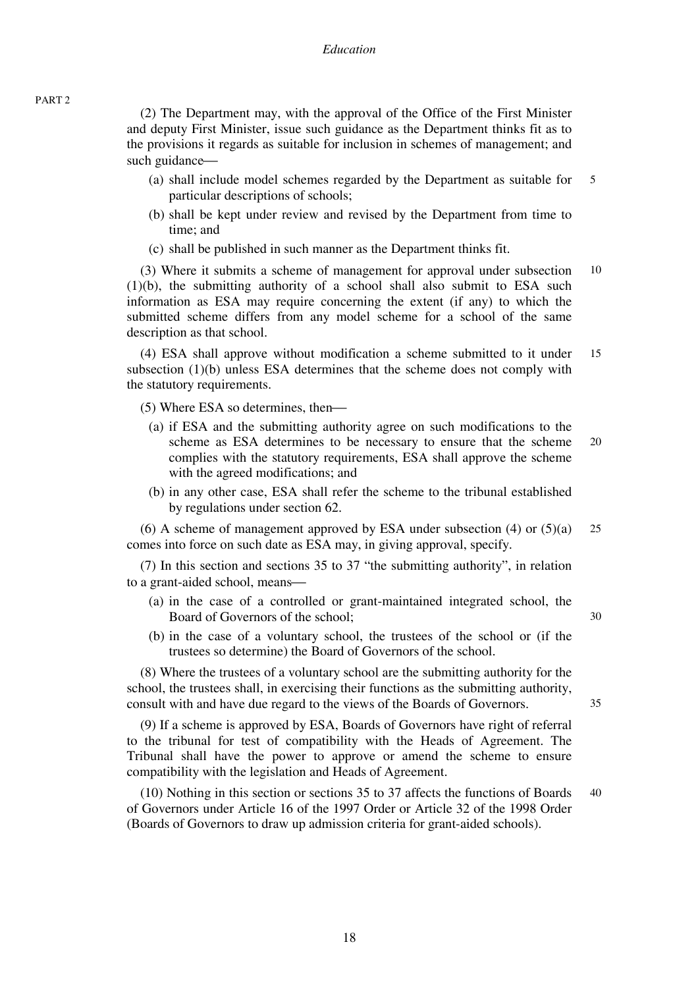(2) The Department may, with the approval of the Office of the First Minister and deputy First Minister, issue such guidance as the Department thinks fit as to the provisions it regards as suitable for inclusion in schemes of management; and such guidance—

- 5 (a) shall include model schemes regarded by the Department as suitable for particular descriptions of schools;
- (b) shall be kept under review and revised by the Department from time to time; and
- (c) shall be published in such manner as the Department thinks fit.

10 (3) Where it submits a scheme of management for approval under subsection (1)(b), the submitting authority of a school shall also submit to ESA such information as ESA may require concerning the extent (if any) to which the submitted scheme differs from any model scheme for a school of the same description as that school.

15 (4) ESA shall approve without modification a scheme submitted to it under subsection (1)(b) unless ESA determines that the scheme does not comply with the statutory requirements.

 $(5)$  Where ESA so determines, then—

- 20 (a) if ESA and the submitting authority agree on such modifications to the scheme as ESA determines to be necessary to ensure that the scheme complies with the statutory requirements, ESA shall approve the scheme with the agreed modifications; and
- (b) in any other case, ESA shall refer the scheme to the tribunal established by regulations under section 62.

25 (6) A scheme of management approved by ESA under subsection (4) or (5)(a) comes into force on such date as ESA may, in giving approval, specify.

(7) In this section and sections 35 to 37 "the submitting authority", in relation to a grant-aided school, means—

- (a) in the case of a controlled or grant-maintained integrated school, the Board of Governors of the school;
- (b) in the case of a voluntary school, the trustees of the school or (if the trustees so determine) the Board of Governors of the school.

(8) Where the trustees of a voluntary school are the submitting authority for the school, the trustees shall, in exercising their functions as the submitting authority, consult with and have due regard to the views of the Boards of Governors.

(9) If a scheme is approved by ESA, Boards of Governors have right of referral to the tribunal for test of compatibility with the Heads of Agreement. The Tribunal shall have the power to approve or amend the scheme to ensure compatibility with the legislation and Heads of Agreement.

40 (10) Nothing in this section or sections 35 to 37 affects the functions of Boards of Governors under Article 16 of the 1997 Order or Article 32 of the 1998 Order (Boards of Governors to draw up admission criteria for grant-aided schools).

35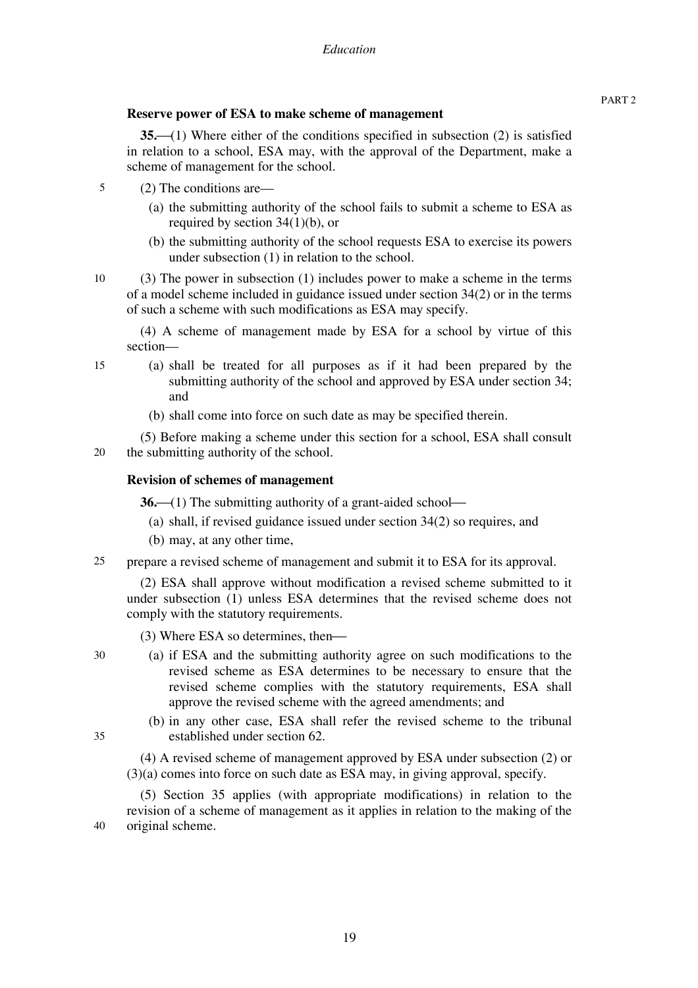# **Reserve power of ESA to make scheme of management**

**35.** (1) Where either of the conditions specified in subsection (2) is satisfied in relation to a school, ESA may, with the approval of the Department, make a scheme of management for the school.

- 5 (2) The conditions are—
	- (a) the submitting authority of the school fails to submit a scheme to ESA as required by section 34(1)(b), or
	- (b) the submitting authority of the school requests ESA to exercise its powers under subsection (1) in relation to the school.
- 10

(3) The power in subsection (1) includes power to make a scheme in the terms of a model scheme included in guidance issued under section 34(2) or in the terms of such a scheme with such modifications as ESA may specify.

(4) A scheme of management made by ESA for a school by virtue of this section—

15

(a) shall be treated for all purposes as if it had been prepared by the submitting authority of the school and approved by ESA under section 34; and

(b) shall come into force on such date as may be specified therein.

20 (5) Before making a scheme under this section for a school, ESA shall consult the submitting authority of the school.

# **Revision of schemes of management**

**36.**—(1) The submitting authority of a grant-aided school—

- (a) shall, if revised guidance issued under section 34(2) so requires, and
- (b) may, at any other time,
- $25$ prepare a revised scheme of management and submit it to ESA for its approval.

(2) ESA shall approve without modification a revised scheme submitted to it under subsection (1) unless ESA determines that the revised scheme does not comply with the statutory requirements.

- $(3)$  Where ESA so determines, then—
- (a) if ESA and the submitting authority agree on such modifications to the revised scheme as ESA determines to be necessary to ensure that the revised scheme complies with the statutory requirements, ESA shall approve the revised scheme with the agreed amendments; and
- 35

30

(b) in any other case, ESA shall refer the revised scheme to the tribunal established under section 62.

(4) A revised scheme of management approved by ESA under subsection (2) or (3)(a) comes into force on such date as ESA may, in giving approval, specify.

40 (5) Section 35 applies (with appropriate modifications) in relation to the revision of a scheme of management as it applies in relation to the making of the original scheme.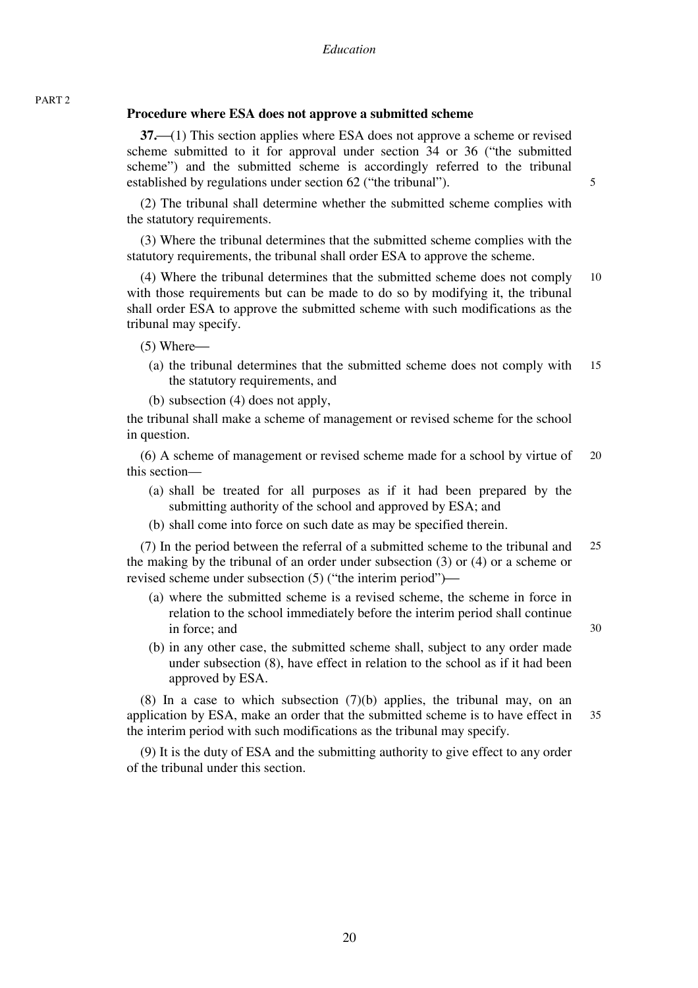# **Procedure where ESA does not approve a submitted scheme**

**37.** (1) This section applies where ESA does not approve a scheme or revised scheme submitted to it for approval under section 34 or 36 ("the submitted scheme") and the submitted scheme is accordingly referred to the tribunal established by regulations under section 62 ("the tribunal").

(2) The tribunal shall determine whether the submitted scheme complies with the statutory requirements.

(3) Where the tribunal determines that the submitted scheme complies with the statutory requirements, the tribunal shall order ESA to approve the scheme.

10 (4) Where the tribunal determines that the submitted scheme does not comply with those requirements but can be made to do so by modifying it, the tribunal shall order ESA to approve the submitted scheme with such modifications as the tribunal may specify.

 $(5)$  Where $-$ 

PART 2

- 15 (a) the tribunal determines that the submitted scheme does not comply with the statutory requirements, and
- (b) subsection (4) does not apply,

the tribunal shall make a scheme of management or revised scheme for the school in question.

20 (6) A scheme of management or revised scheme made for a school by virtue of this section—

(a) shall be treated for all purposes as if it had been prepared by the submitting authority of the school and approved by ESA; and

(b) shall come into force on such date as may be specified therein.

25 (7) In the period between the referral of a submitted scheme to the tribunal and the making by the tribunal of an order under subsection (3) or (4) or a scheme or revised scheme under subsection  $(5)$  ("the interim period")—

- (a) where the submitted scheme is a revised scheme, the scheme in force in relation to the school immediately before the interim period shall continue in force; and
- (b) in any other case, the submitted scheme shall, subject to any order made under subsection (8), have effect in relation to the school as if it had been approved by ESA.

35 (8) In a case to which subsection (7)(b) applies, the tribunal may, on an application by ESA, make an order that the submitted scheme is to have effect in the interim period with such modifications as the tribunal may specify.

(9) It is the duty of ESA and the submitting authority to give effect to any order of the tribunal under this section.

20

30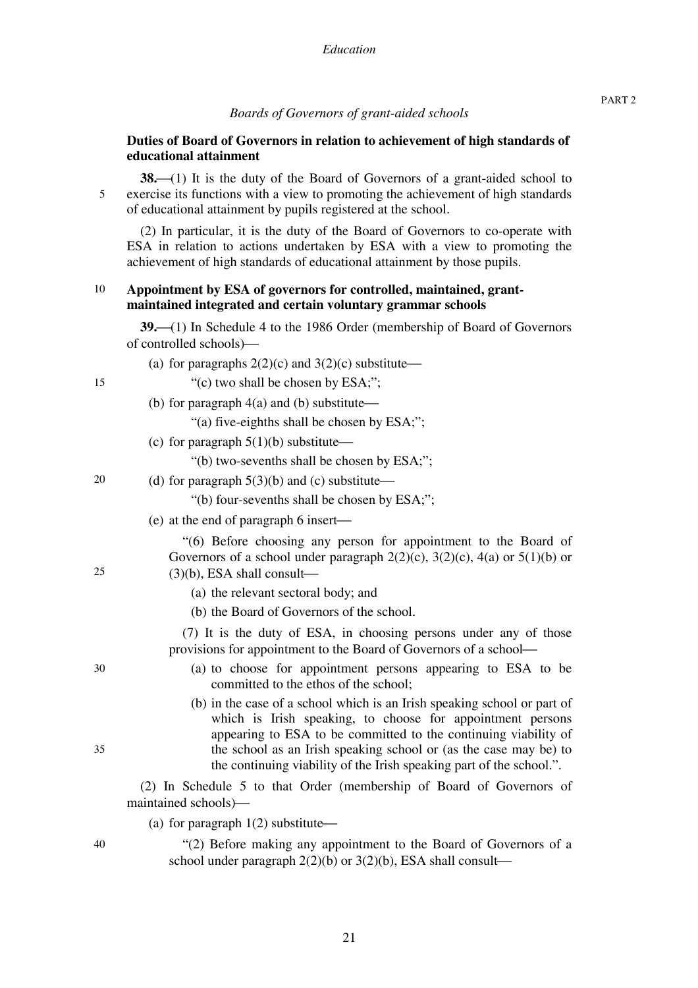#### *Boards of Governors of grant-aided schools*

## **Duties of Board of Governors in relation to achievement of high standards of educational attainment**

**38.** (1) It is the duty of the Board of Governors of a grant-aided school to exercise its functions with a view to promoting the achievement of high standards of educational attainment by pupils registered at the school.

(2) In particular, it is the duty of the Board of Governors to co-operate with ESA in relation to actions undertaken by ESA with a view to promoting the achievement of high standards of educational attainment by those pupils.

#### 10 **Appointment by ESA of governors for controlled, maintained, grantmaintained integrated and certain voluntary grammar schools**

**39.** (1) In Schedule 4 to the 1986 Order (membership of Board of Governors of controlled schools)—

- (a) for paragraphs  $2(2)(c)$  and  $3(2)(c)$  substitute—
	- "(c) two shall be chosen by ESA;";
- (b) for paragraph  $4(a)$  and (b) substitute—

"(a) five-eighths shall be chosen by ESA;";

(c) for paragraph  $5(1)(b)$  substitute—

"(b) two-sevenths shall be chosen by ESA;";

20 (d) for paragraph  $5(3)(b)$  and (c) substitute—

"(b) four-sevenths shall be chosen by ESA;";

 $(e)$  at the end of paragraph 6 insert—

"(6) Before choosing any person for appointment to the Board of Governors of a school under paragraph  $2(2)(c)$ ,  $3(2)(c)$ ,  $4(a)$  or  $5(1)(b)$  or  $(3)(b)$ , ESA shall consult—

- (a) the relevant sectoral body; and
- (b) the Board of Governors of the school.

(7) It is the duty of ESA, in choosing persons under any of those provisions for appointment to the Board of Governors of a school—

- (a) to choose for appointment persons appearing to ESA to be committed to the ethos of the school;
- (b) in the case of a school which is an Irish speaking school or part of which is Irish speaking, to choose for appointment persons appearing to ESA to be committed to the continuing viability of the school as an Irish speaking school or (as the case may be) to the continuing viability of the Irish speaking part of the school.".

(2) In Schedule 5 to that Order (membership of Board of Governors of maintained schools)—

(a) for paragraph  $1(2)$  substitute—

"(2) Before making any appointment to the Board of Governors of a school under paragraph  $2(2)(b)$  or  $3(2)(b)$ , ESA shall consult—

30

25

5

15

40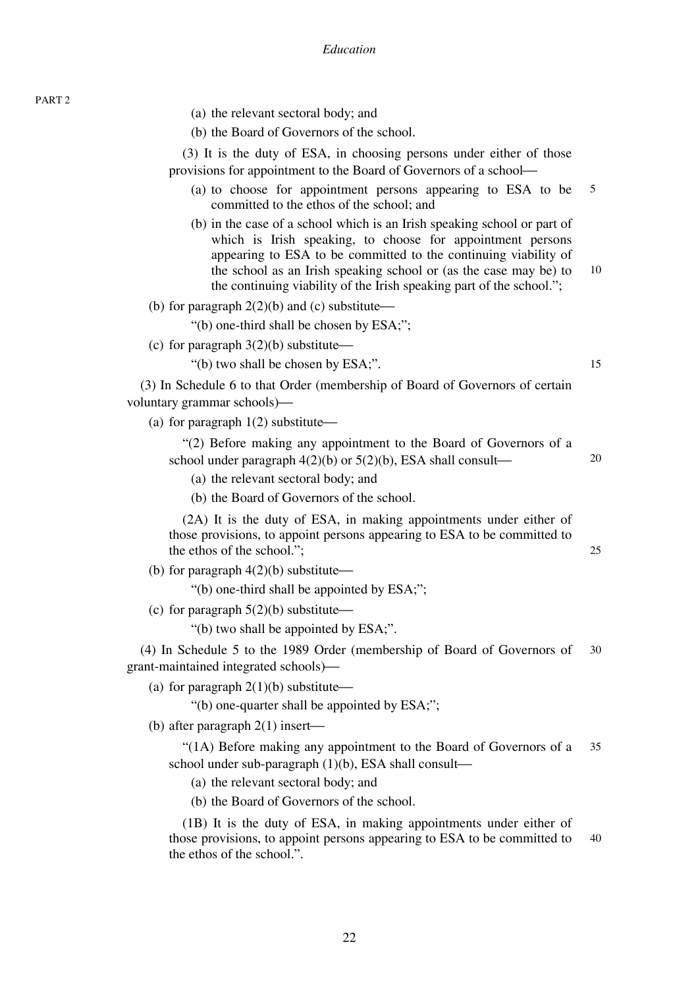(a) the relevant sectoral body; and

(b) the Board of Governors of the school.

(3) It is the duty of ESA, in choosing persons under either of those provisions for appointment to the Board of Governors of a school–

- 5 (a) to choose for appointment persons appearing to ESA to be committed to the ethos of the school; and
- (b) in the case of a school which is an Irish speaking school or part of which is Irish speaking, to choose for appointment persons appearing to ESA to be committed to the continuing viability of the school as an Irish speaking school or (as the case may be) to the continuing viability of the Irish speaking part of the school.";

10

15

25

(b) for paragraph  $2(2)(b)$  and (c) substitute—

"(b) one-third shall be chosen by ESA;";

(c) for paragraph  $3(2)(b)$  substitute—

"(b) two shall be chosen by ESA;".

(3) In Schedule 6 to that Order (membership of Board of Governors of certain voluntary grammar schools)—

(a) for paragraph  $1(2)$  substitute $\rightarrow$ 

| "(2) Before making any appointment to the Board of Governors of a  |    |
|--------------------------------------------------------------------|----|
| school under paragraph $4(2)(b)$ or $5(2)(b)$ , ESA shall consult— | 20 |

(a) the relevant sectoral body; and

(b) the Board of Governors of the school.

(2A) It is the duty of ESA, in making appointments under either of those provisions, to appoint persons appearing to ESA to be committed to the ethos of the school.";

(b) for paragraph  $4(2)(b)$  substitute $\rightarrow$ 

"(b) one-third shall be appointed by ESA;";

(c) for paragraph  $5(2)(b)$  substitute—

"(b) two shall be appointed by ESA;".

30 (4) In Schedule 5 to the 1989 Order (membership of Board of Governors of grant-maintained integrated schools)—

(a) for paragraph  $2(1)(b)$  substitute—

"(b) one-quarter shall be appointed by ESA;";

(b) after paragraph  $2(1)$  insert—

35 "(1A) Before making any appointment to the Board of Governors of a school under sub-paragraph  $(1)(b)$ , ESA shall consult—

(a) the relevant sectoral body; and

(b) the Board of Governors of the school.

40 (1B) It is the duty of ESA, in making appointments under either of those provisions, to appoint persons appearing to ESA to be committed to the ethos of the school.".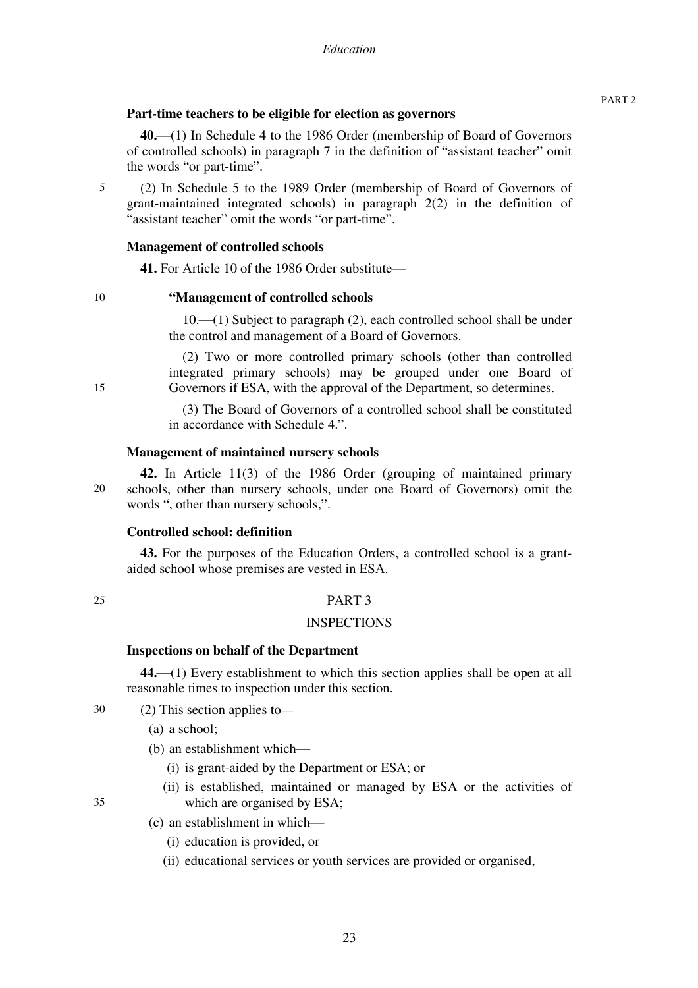# **Part-time teachers to be eligible for election as governors**

**40.**⎯(1) In Schedule 4 to the 1986 Order (membership of Board of Governors of controlled schools) in paragraph 7 in the definition of "assistant teacher" omit the words "or part-time".

(2) In Schedule 5 to the 1989 Order (membership of Board of Governors of grant-maintained integrated schools) in paragraph 2(2) in the definition of "assistant teacher" omit the words "or part-time".

# **Management of controlled schools**

41. For Article 10 of the 1986 Order substitute—

# **"Management of controlled schools**

10.<sup>-</sup>(1) Subject to paragraph (2), each controlled school shall be under the control and management of a Board of Governors.

(2) Two or more controlled primary schools (other than controlled integrated primary schools) may be grouped under one Board of Governors if ESA, with the approval of the Department, so determines.

(3) The Board of Governors of a controlled school shall be constituted in accordance with Schedule 4.".

#### **Management of maintained nursery schools**

20 **42.** In Article 11(3) of the 1986 Order (grouping of maintained primary schools, other than nursery schools, under one Board of Governors) omit the words ", other than nursery schools,".

#### **Controlled school: definition**

**43.** For the purposes of the Education Orders, a controlled school is a grantaided school whose premises are vested in ESA.

# 25

5

10

15

# PART 3

#### **INSPECTIONS**

# **Inspections on behalf of the Department**

44.<sup> $(1)$ </sup> Every establishment to which this section applies shall be open at all reasonable times to inspection under this section.

30  $(2)$  This section applies to-

- (a) a school;
- (b) an establishment which—
	- (i) is grant-aided by the Department or ESA; or
	- (ii) is established, maintained or managed by ESA or the activities of which are organised by ESA;

35

(c) an establishment in which— (i) education is provided, or

(ii) educational services or youth services are provided or organised,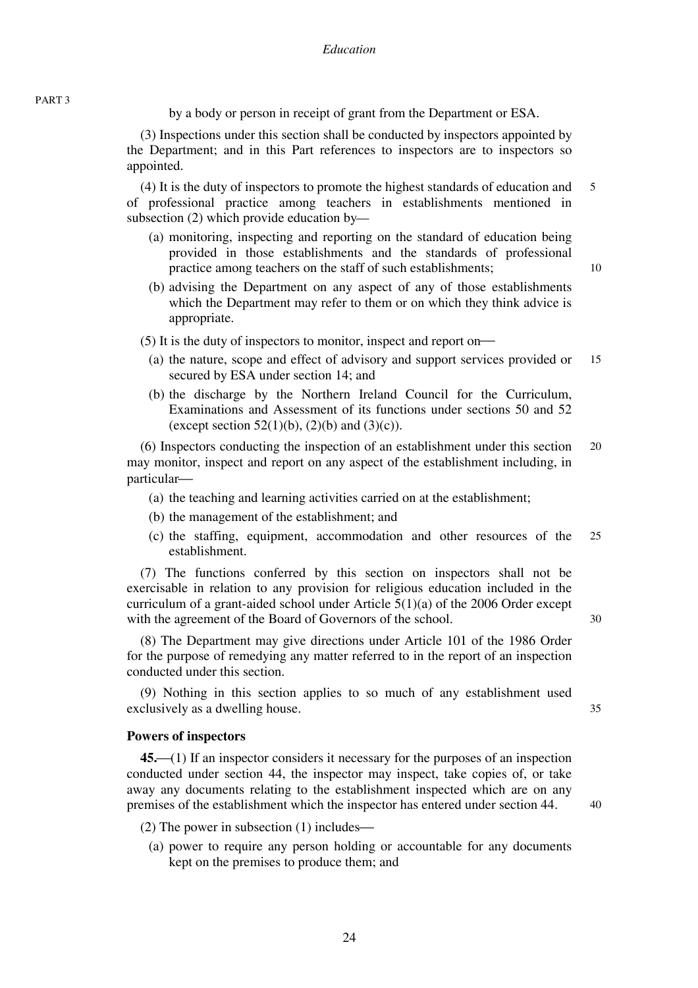by a body or person in receipt of grant from the Department or ESA.

(3) Inspections under this section shall be conducted by inspectors appointed by the Department; and in this Part references to inspectors are to inspectors so appointed.

5 (4) It is the duty of inspectors to promote the highest standards of education and of professional practice among teachers in establishments mentioned in subsection  $(2)$  which provide education by—

- (a) monitoring, inspecting and reporting on the standard of education being provided in those establishments and the standards of professional practice among teachers on the staff of such establishments;
- (b) advising the Department on any aspect of any of those establishments which the Department may refer to them or on which they think advice is appropriate.
- $(5)$  It is the duty of inspectors to monitor, inspect and report on-
	- 15 (a) the nature, scope and effect of advisory and support services provided or secured by ESA under section 14; and
	- (b) the discharge by the Northern Ireland Council for the Curriculum, Examinations and Assessment of its functions under sections 50 and 52 (except section 52(1)(b), (2)(b) and (3)(c)).

20 (6) Inspectors conducting the inspection of an establishment under this section may monitor, inspect and report on any aspect of the establishment including, in particular-

- (a) the teaching and learning activities carried on at the establishment;
- (b) the management of the establishment; and
- 25 (c) the staffing, equipment, accommodation and other resources of the establishment.

(7) The functions conferred by this section on inspectors shall not be exercisable in relation to any provision for religious education included in the curriculum of a grant-aided school under Article 5(1)(a) of the 2006 Order except with the agreement of the Board of Governors of the school.

(8) The Department may give directions under Article 101 of the 1986 Order for the purpose of remedying any matter referred to in the report of an inspection conducted under this section.

(9) Nothing in this section applies to so much of any establishment used exclusively as a dwelling house.

#### **Powers of inspectors**

**45.**⎯(1) If an inspector considers it necessary for the purposes of an inspection conducted under section 44, the inspector may inspect, take copies of, or take away any documents relating to the establishment inspected which are on any premises of the establishment which the inspector has entered under section 44.

(2) The power in subsection  $(1)$  includes—

(a) power to require any person holding or accountable for any documents kept on the premises to produce them; and

40

30

35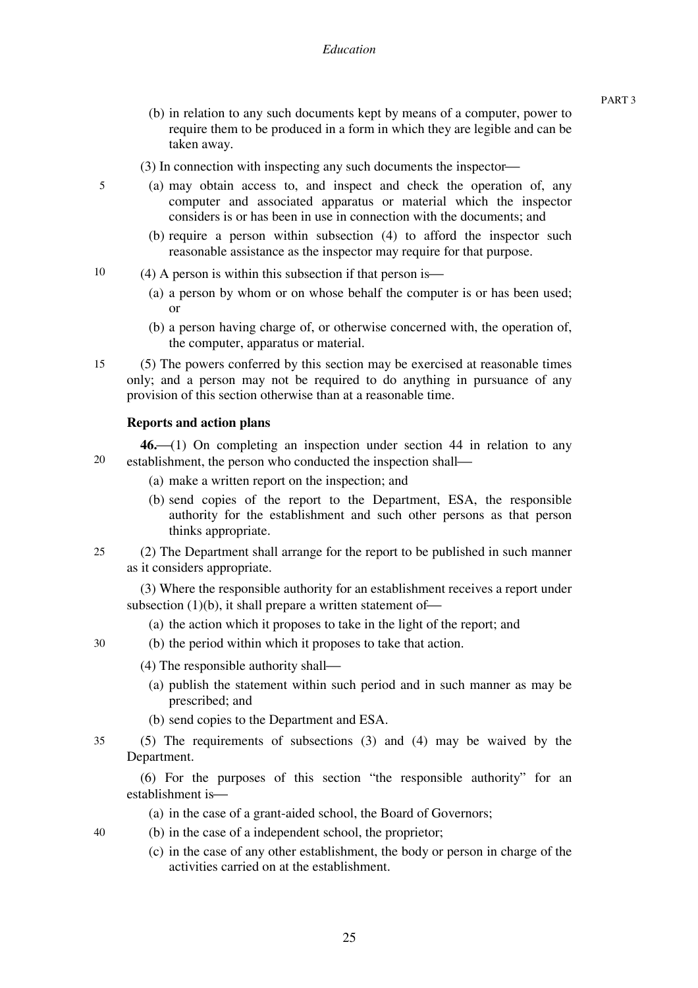- (b) in relation to any such documents kept by means of a computer, power to require them to be produced in a form in which they are legible and can be taken away.
- $(3)$  In connection with inspecting any such documents the inspector—
- (a) may obtain access to, and inspect and check the operation of, any computer and associated apparatus or material which the inspector considers is or has been in use in connection with the documents; and
	- (b) require a person within subsection (4) to afford the inspector such reasonable assistance as the inspector may require for that purpose.
- 10  $(4)$  A person is within this subsection if that person is—
	- (a) a person by whom or on whose behalf the computer is or has been used; or
	- (b) a person having charge of, or otherwise concerned with, the operation of, the computer, apparatus or material.
- 15 (5) The powers conferred by this section may be exercised at reasonable times only; and a person may not be required to do anything in pursuance of any provision of this section otherwise than at a reasonable time.

#### **Reports and action plans**

5

40

20 46.<sup> $(1)$ </sup> On completing an inspection under section 44 in relation to any establishment, the person who conducted the inspection shall—

- (a) make a written report on the inspection; and
- (b) send copies of the report to the Department, ESA, the responsible authority for the establishment and such other persons as that person thinks appropriate.
- $25$ (2) The Department shall arrange for the report to be published in such manner as it considers appropriate.

(3) Where the responsible authority for an establishment receives a report under subsection  $(1)(b)$ , it shall prepare a written statement of-

- (a) the action which it proposes to take in the light of the report; and
- 30 (b) the period within which it proposes to take that action.
	- $(4)$  The responsible authority shall—
		- (a) publish the statement within such period and in such manner as may be prescribed; and
		- (b) send copies to the Department and ESA.
- 35 (5) The requirements of subsections (3) and (4) may be waived by the Department.

(6) For the purposes of this section "the responsible authority" for an establishment is-

- (a) in the case of a grant-aided school, the Board of Governors;
- (b) in the case of a independent school, the proprietor;
	- (c) in the case of any other establishment, the body or person in charge of the activities carried on at the establishment.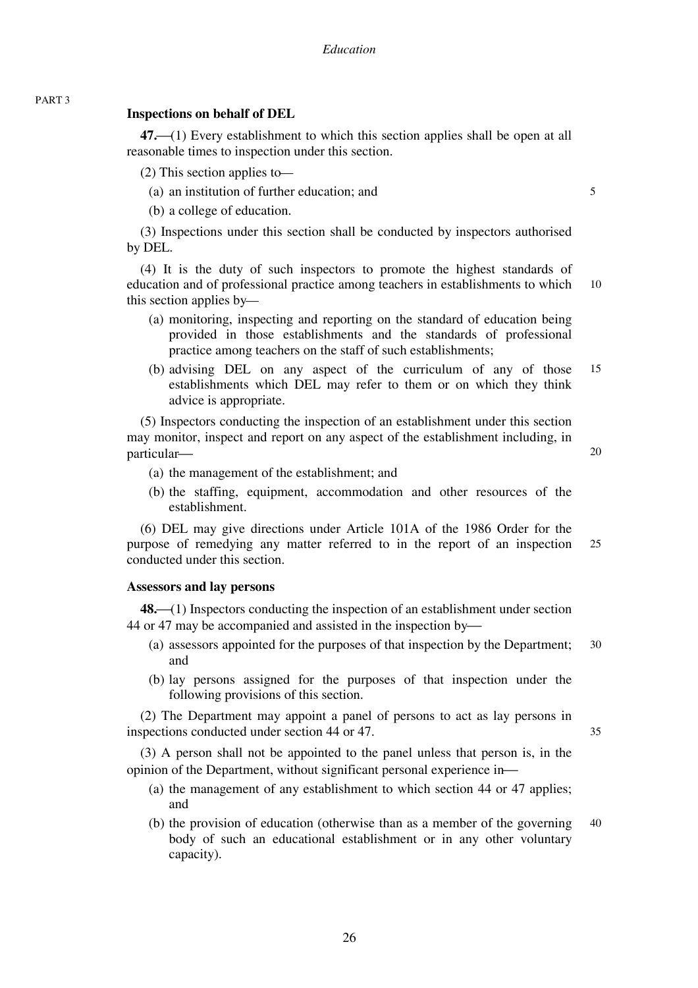# **Inspections on behalf of DEL**

**47.**⎯(1) Every establishment to which this section applies shall be open at all reasonable times to inspection under this section.

 $(2)$  This section applies to-

(a) an institution of further education; and

(b) a college of education.

(3) Inspections under this section shall be conducted by inspectors authorised by DEL.

10 (4) It is the duty of such inspectors to promote the highest standards of education and of professional practice among teachers in establishments to which this section applies by—

- (a) monitoring, inspecting and reporting on the standard of education being provided in those establishments and the standards of professional practice among teachers on the staff of such establishments;
- 15 (b) advising DEL on any aspect of the curriculum of any of those establishments which DEL may refer to them or on which they think advice is appropriate.

(5) Inspectors conducting the inspection of an establishment under this section may monitor, inspect and report on any aspect of the establishment including, in particular-

20

5

- (a) the management of the establishment; and
- (b) the staffing, equipment, accommodation and other resources of the establishment.

25 (6) DEL may give directions under Article 101A of the 1986 Order for the purpose of remedying any matter referred to in the report of an inspection conducted under this section.

#### **Assessors and lay persons**

**48.**⎯(1) Inspectors conducting the inspection of an establishment under section 44 or 47 may be accompanied and assisted in the inspection by—

- 30 (a) assessors appointed for the purposes of that inspection by the Department; and
- (b) lay persons assigned for the purposes of that inspection under the following provisions of this section.

(2) The Department may appoint a panel of persons to act as lay persons in inspections conducted under section 44 or 47.

(3) A person shall not be appointed to the panel unless that person is, in the opinion of the Department, without significant personal experience in-

- (a) the management of any establishment to which section 44 or 47 applies; and
- 40 (b) the provision of education (otherwise than as a member of the governing body of such an educational establishment or in any other voluntary capacity).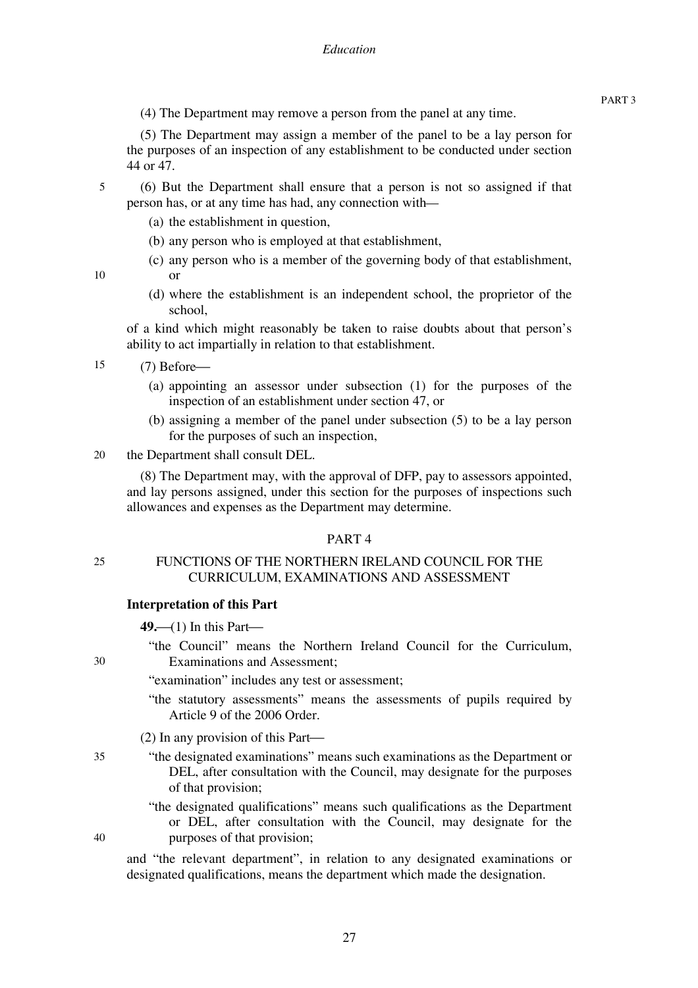(4) The Department may remove a person from the panel at any time.

(5) The Department may assign a member of the panel to be a lay person for the purposes of an inspection of any establishment to be conducted under section 44 or 47.

- 5 (6) But the Department shall ensure that a person is not so assigned if that person has, or at any time has had, any connection with—
	- (a) the establishment in question,
	- (b) any person who is employed at that establishment,
	- (c) any person who is a member of the governing body of that establishment,

10

25

30

35

40

(d) where the establishment is an independent school, the proprietor of the school,

of a kind which might reasonably be taken to raise doubts about that person's ability to act impartially in relation to that establishment.

15  $(7)$  Before $-$ 

or

- (a) appointing an assessor under subsection (1) for the purposes of the inspection of an establishment under section 47, or
- (b) assigning a member of the panel under subsection (5) to be a lay person for the purposes of such an inspection,
- 20 the Department shall consult DEL.

(8) The Department may, with the approval of DFP, pay to assessors appointed, and lay persons assigned, under this section for the purposes of inspections such allowances and expenses as the Department may determine.

#### PART 4

# FUNCTIONS OF THE NORTHERN IRELAND COUNCIL FOR THE CURRICULUM, EXAMINATIONS AND ASSESSMENT

# **Interpretation of this Part**

 $49$ —(1) In this Part—

"the Council" means the Northern Ireland Council for the Curriculum, Examinations and Assessment;

"examination" includes any test or assessment;

- "the statutory assessments" means the assessments of pupils required by Article 9 of the 2006 Order.
- (2) In any provision of this Part $\rightarrow$
- "the designated examinations" means such examinations as the Department or DEL, after consultation with the Council, may designate for the purposes of that provision;
	- "the designated qualifications" means such qualifications as the Department or DEL, after consultation with the Council, may designate for the purposes of that provision;

and "the relevant department", in relation to any designated examinations or designated qualifications, means the department which made the designation.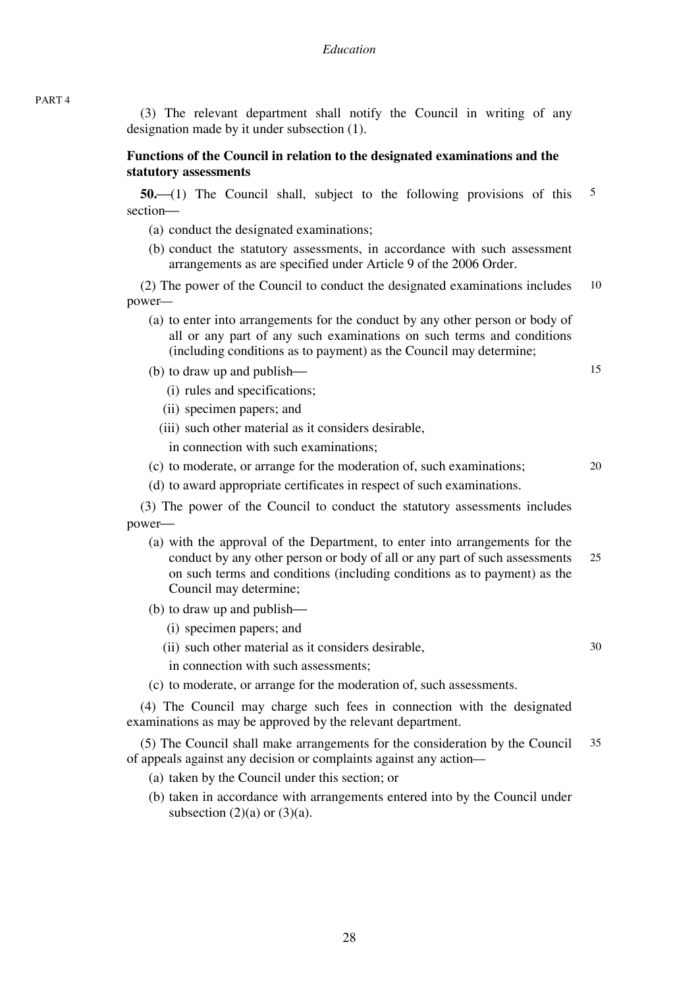(3) The relevant department shall notify the Council in writing of any designation made by it under subsection (1).

# **Functions of the Council in relation to the designated examinations and the statutory assessments**

5 **50.** (1) The Council shall, subject to the following provisions of this section-

- (a) conduct the designated examinations;
- (b) conduct the statutory assessments, in accordance with such assessment arrangements as are specified under Article 9 of the 2006 Order.

10 (2) The power of the Council to conduct the designated examinations includes power—

(a) to enter into arrangements for the conduct by any other person or body of all or any part of any such examinations on such terms and conditions (including conditions as to payment) as the Council may determine;

15

20

30

- $(b)$  to draw up and publish—
	- (i) rules and specifications;
	- (ii) specimen papers; and
	- (iii) such other material as it considers desirable,

in connection with such examinations;

- (c) to moderate, or arrange for the moderation of, such examinations;
- (d) to award appropriate certificates in respect of such examinations.

(3) The power of the Council to conduct the statutory assessments includes power—

- 25 (a) with the approval of the Department, to enter into arrangements for the conduct by any other person or body of all or any part of such assessments on such terms and conditions (including conditions as to payment) as the Council may determine;
- (b) to draw up and publish—
	- (i) specimen papers; and
	- (ii) such other material as it considers desirable,
	- in connection with such assessments;
- (c) to moderate, or arrange for the moderation of, such assessments.

(4) The Council may charge such fees in connection with the designated examinations as may be approved by the relevant department.

35 (5) The Council shall make arrangements for the consideration by the Council of appeals against any decision or complaints against any action—

- (a) taken by the Council under this section; or
- (b) taken in accordance with arrangements entered into by the Council under subsection  $(2)(a)$  or  $(3)(a)$ .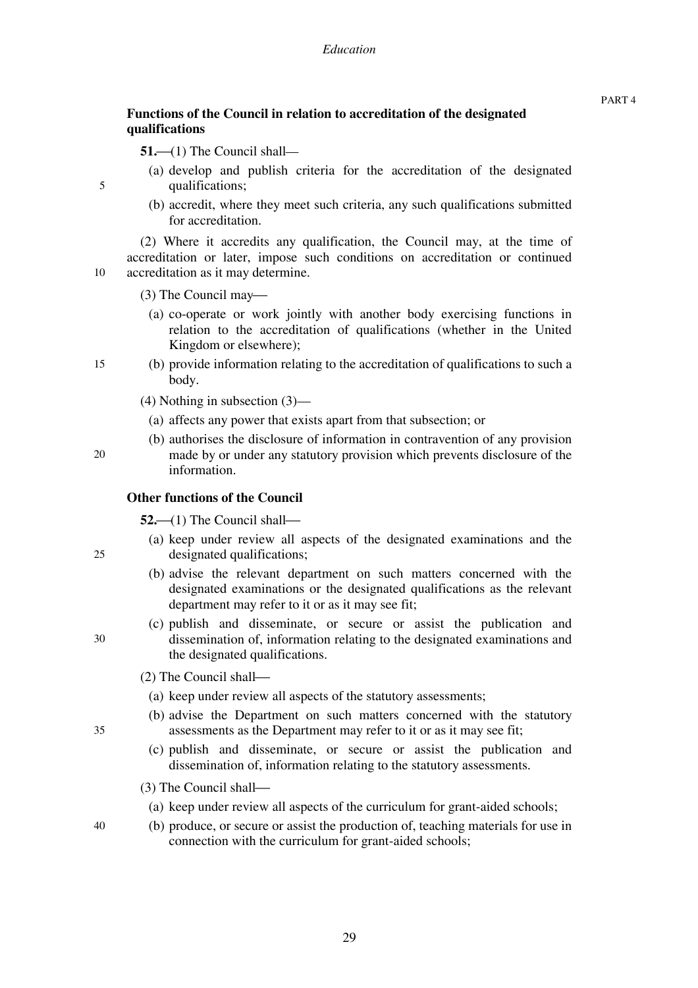$51$ —(1) The Council shall—

- (a) develop and publish criteria for the accreditation of the designated qualifications;
- (b) accredit, where they meet such criteria, any such qualifications submitted for accreditation.

(2) Where it accredits any qualification, the Council may, at the time of accreditation or later, impose such conditions on accreditation or continued accreditation as it may determine.

(3) The Council may—

- (a) co-operate or work jointly with another body exercising functions in relation to the accreditation of qualifications (whether in the United Kingdom or elsewhere);
- 15 (b) provide information relating to the accreditation of qualifications to such a body.
	- (4) Nothing in subsection (3)—
		- (a) affects any power that exists apart from that subsection; or
	- (b) authorises the disclosure of information in contravention of any provision made by or under any statutory provision which prevents disclosure of the information.

# **Other functions of the Council**

 $52$ —(1) The Council shall—

- (a) keep under review all aspects of the designated examinations and the designated qualifications;
- (b) advise the relevant department on such matters concerned with the designated examinations or the designated qualifications as the relevant department may refer to it or as it may see fit;
- (c) publish and disseminate, or secure or assist the publication and dissemination of, information relating to the designated examinations and the designated qualifications.
- $(2)$  The Council shall—
	- (a) keep under review all aspects of the statutory assessments;
- (b) advise the Department on such matters concerned with the statutory assessments as the Department may refer to it or as it may see fit;
- (c) publish and disseminate, or secure or assist the publication and dissemination of, information relating to the statutory assessments.
- (3) The Council shall—
	- (a) keep under review all aspects of the curriculum for grant-aided schools;
- (b) produce, or secure or assist the production of, teaching materials for use in connection with the curriculum for grant-aided schools;

10

5

25

30

35

40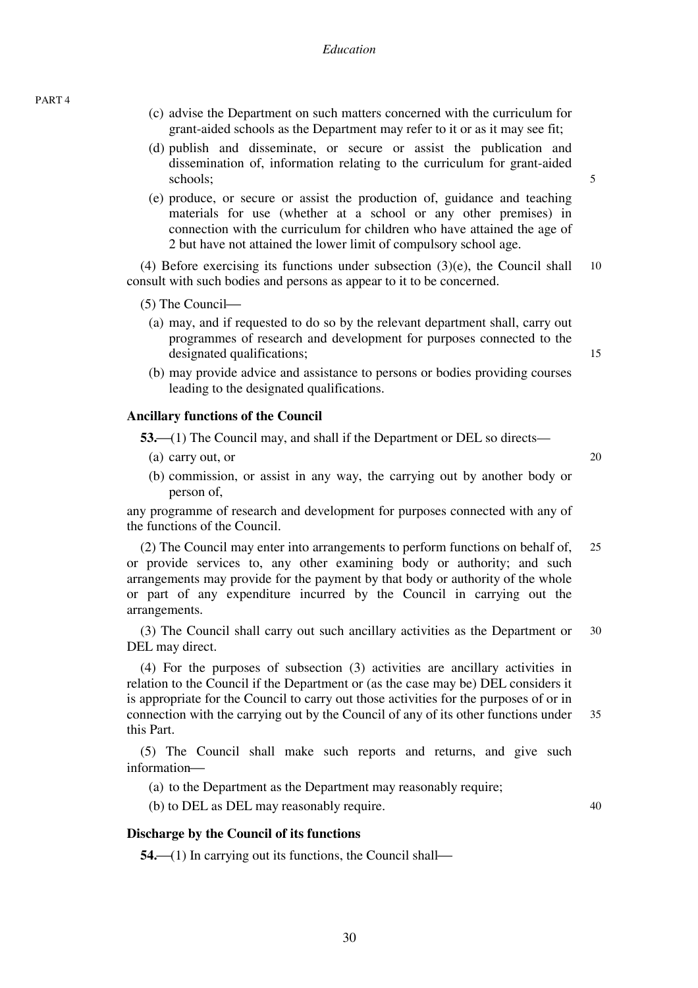PART 4

- (c) advise the Department on such matters concerned with the curriculum for grant-aided schools as the Department may refer to it or as it may see fit;
- (d) publish and disseminate, or secure or assist the publication and dissemination of, information relating to the curriculum for grant-aided schools;
- (e) produce, or secure or assist the production of, guidance and teaching materials for use (whether at a school or any other premises) in connection with the curriculum for children who have attained the age of 2 but have not attained the lower limit of compulsory school age.

10 (4) Before exercising its functions under subsection (3)(e), the Council shall consult with such bodies and persons as appear to it to be concerned.

 $(5)$  The Council—

- (a) may, and if requested to do so by the relevant department shall, carry out programmes of research and development for purposes connected to the designated qualifications;
- (b) may provide advice and assistance to persons or bodies providing courses leading to the designated qualifications.

#### **Ancillary functions of the Council**

**53.**—(1) The Council may, and shall if the Department or DEL so directs—

- (a) carry out, or
- (b) commission, or assist in any way, the carrying out by another body or person of,

any programme of research and development for purposes connected with any of the functions of the Council.

25 (2) The Council may enter into arrangements to perform functions on behalf of, or provide services to, any other examining body or authority; and such arrangements may provide for the payment by that body or authority of the whole or part of any expenditure incurred by the Council in carrying out the arrangements.

30 (3) The Council shall carry out such ancillary activities as the Department or DEL may direct.

35 (4) For the purposes of subsection (3) activities are ancillary activities in relation to the Council if the Department or (as the case may be) DEL considers it is appropriate for the Council to carry out those activities for the purposes of or in connection with the carrying out by the Council of any of its other functions under this Part.

(5) The Council shall make such reports and returns, and give such information-

(a) to the Department as the Department may reasonably require;

(b) to DEL as DEL may reasonably require.

40

#### **Discharge by the Council of its functions**

 $54$ —(1) In carrying out its functions, the Council shall—

15

20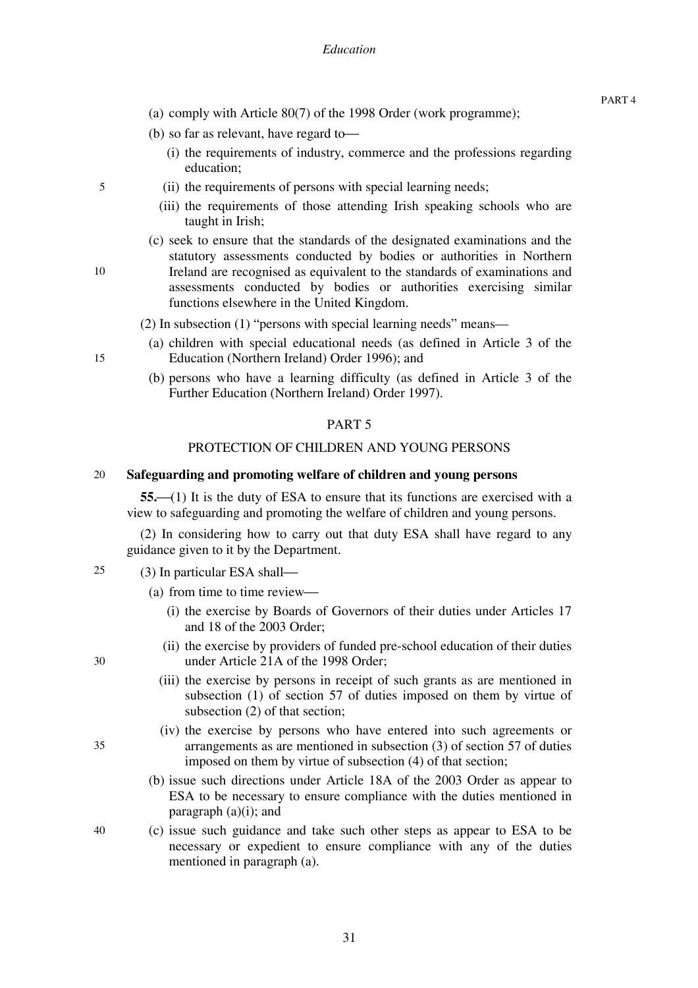- (a) comply with Article 80(7) of the 1998 Order (work programme);
- (b) so far as relevant, have regard to-
	- (i) the requirements of industry, commerce and the professions regarding education;
- (ii) the requirements of persons with special learning needs;
- (iii) the requirements of those attending Irish speaking schools who are taught in Irish;
- (c) seek to ensure that the standards of the designated examinations and the statutory assessments conducted by bodies or authorities in Northern Ireland are recognised as equivalent to the standards of examinations and assessments conducted by bodies or authorities exercising similar functions elsewhere in the United Kingdom.
- (2) In subsection (1) "persons with special learning needs" means—
- (a) children with special educational needs (as defined in Article 3 of the Education (Northern Ireland) Order 1996); and
- (b) persons who have a learning difficulty (as defined in Article 3 of the Further Education (Northern Ireland) Order 1997).

#### PART 5

#### PROTECTION OF CHILDREN AND YOUNG PERSONS

#### 20 **Safeguarding and promoting welfare of children and young persons**

**55.** (1) It is the duty of ESA to ensure that its functions are exercised with a view to safeguarding and promoting the welfare of children and young persons.

(2) In considering how to carry out that duty ESA shall have regard to any guidance given to it by the Department.

- 25  $(3)$  In particular ESA shall—
	- (a) from time to time review—
		- (i) the exercise by Boards of Governors of their duties under Articles 17 and 18 of the 2003 Order;
		- (ii) the exercise by providers of funded pre-school education of their duties under Article 21A of the 1998 Order;
		- (iii) the exercise by persons in receipt of such grants as are mentioned in subsection (1) of section 57 of duties imposed on them by virtue of subsection (2) of that section;
		- (iv) the exercise by persons who have entered into such agreements or arrangements as are mentioned in subsection (3) of section 57 of duties imposed on them by virtue of subsection (4) of that section;
	- (b) issue such directions under Article 18A of the 2003 Order as appear to ESA to be necessary to ensure compliance with the duties mentioned in paragraph  $(a)(i)$ ; and
	- (c) issue such guidance and take such other steps as appear to ESA to be necessary or expedient to ensure compliance with any of the duties mentioned in paragraph (a).

30

35

40

5

10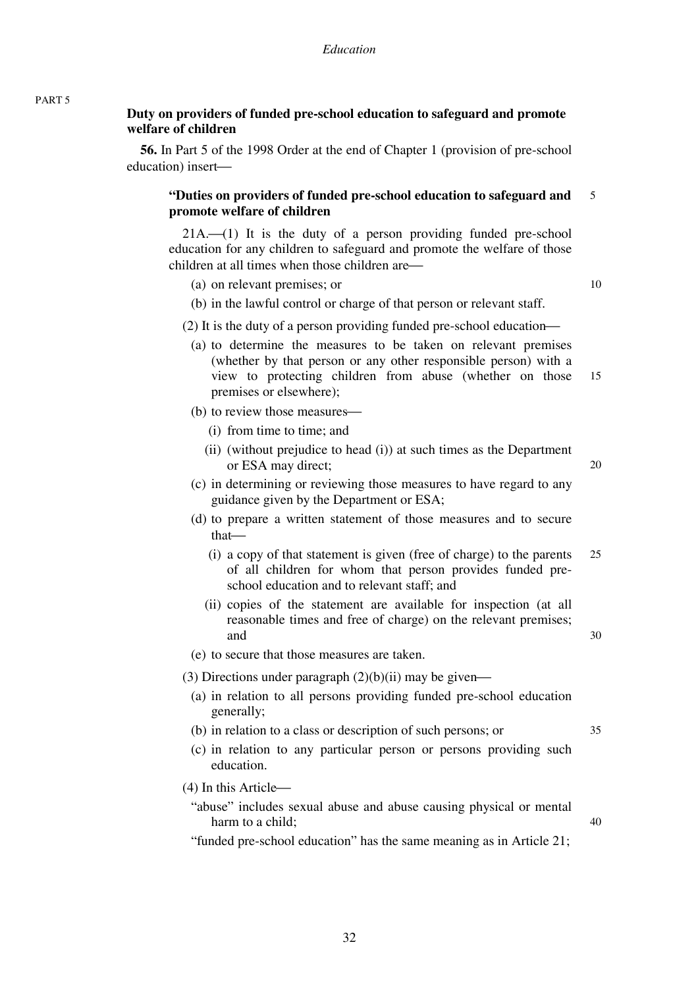# **Duty on providers of funded pre-school education to safeguard and promote welfare of children**

**56.** In Part 5 of the 1998 Order at the end of Chapter 1 (provision of pre-school education) insert—

#### 5 **"Duties on providers of funded pre-school education to safeguard and promote welfare of children**

 $21A.$  (1) It is the duty of a person providing funded pre-school education for any children to safeguard and promote the welfare of those children at all times when those children are—

(a) on relevant premises; or

10

20

30

35

40

- (b) in the lawful control or charge of that person or relevant staff.
- (2) It is the duty of a person providing funded pre-school education—
	- 15 (a) to determine the measures to be taken on relevant premises (whether by that person or any other responsible person) with a view to protecting children from abuse (whether on those premises or elsewhere);
	- (b) to review those measures—
		- (i) from time to time; and
		- (ii) (without prejudice to head (i)) at such times as the Department or ESA may direct;
	- (c) in determining or reviewing those measures to have regard to any guidance given by the Department or ESA;
	- (d) to prepare a written statement of those measures and to secure that-
		- 25 (i) a copy of that statement is given (free of charge) to the parents of all children for whom that person provides funded preschool education and to relevant staff; and
		- (ii) copies of the statement are available for inspection (at all reasonable times and free of charge) on the relevant premises; and
	- (e) to secure that those measures are taken.

(3) Directions under paragraph  $(2)(b)(ii)$  may be given—

- (a) in relation to all persons providing funded pre-school education generally;
- (b) in relation to a class or description of such persons; or
- (c) in relation to any particular person or persons providing such education.

 $(4)$  In this Article $\rightarrow$ 

- "abuse" includes sexual abuse and abuse causing physical or mental harm to a child;
- "funded pre-school education" has the same meaning as in Article 21;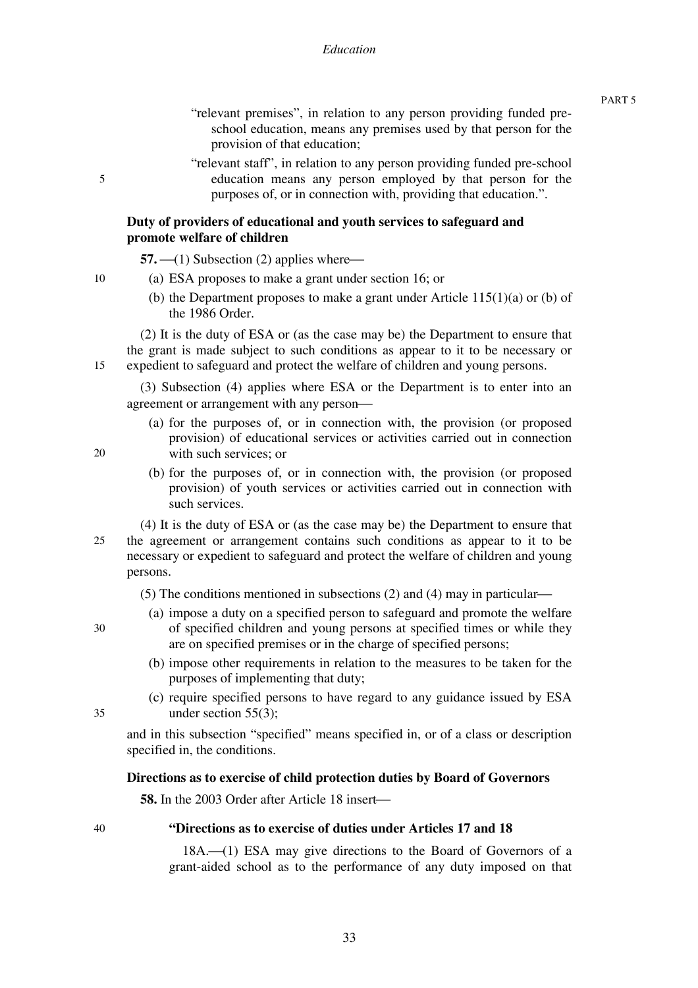"relevant premises", in relation to any person providing funded preschool education, means any premises used by that person for the provision of that education;

"relevant staff", in relation to any person providing funded pre-school education means any person employed by that person for the purposes of, or in connection with, providing that education.".

### **Duty of providers of educational and youth services to safeguard and promote welfare of children**

 $57. \t\t-(1)$  Subsection (2) applies where $\leftarrow$ 

- (a) ESA proposes to make a grant under section 16; or
	- (b) the Department proposes to make a grant under Article 115(1)(a) or (b) of the 1986 Order.

15 (2) It is the duty of ESA or (as the case may be) the Department to ensure that the grant is made subject to such conditions as appear to it to be necessary or expedient to safeguard and protect the welfare of children and young persons.

(3) Subsection (4) applies where ESA or the Department is to enter into an agreement or arrangement with any person-

(a) for the purposes of, or in connection with, the provision (or proposed provision) of educational services or activities carried out in connection with such services; or

20

5

10

(b) for the purposes of, or in connection with, the provision (or proposed provision) of youth services or activities carried out in connection with such services.

25 (4) It is the duty of ESA or (as the case may be) the Department to ensure that the agreement or arrangement contains such conditions as appear to it to be necessary or expedient to safeguard and protect the welfare of children and young persons.

(5) The conditions mentioned in subsections (2) and (4) may in particular—

- (a) impose a duty on a specified person to safeguard and promote the welfare of specified children and young persons at specified times or while they are on specified premises or in the charge of specified persons;
- (b) impose other requirements in relation to the measures to be taken for the purposes of implementing that duty;
- 35

30

(c) require specified persons to have regard to any guidance issued by ESA under section 55(3);

and in this subsection "specified" means specified in, or of a class or description specified in, the conditions.

### **Directions as to exercise of child protection duties by Board of Governors**

**58.** In the 2003 Order after Article 18 insert—

40

# **"Directions as to exercise of duties under Articles 17 and 18**

18A.<sup>(1)</sup> ESA may give directions to the Board of Governors of a grant-aided school as to the performance of any duty imposed on that

PART 5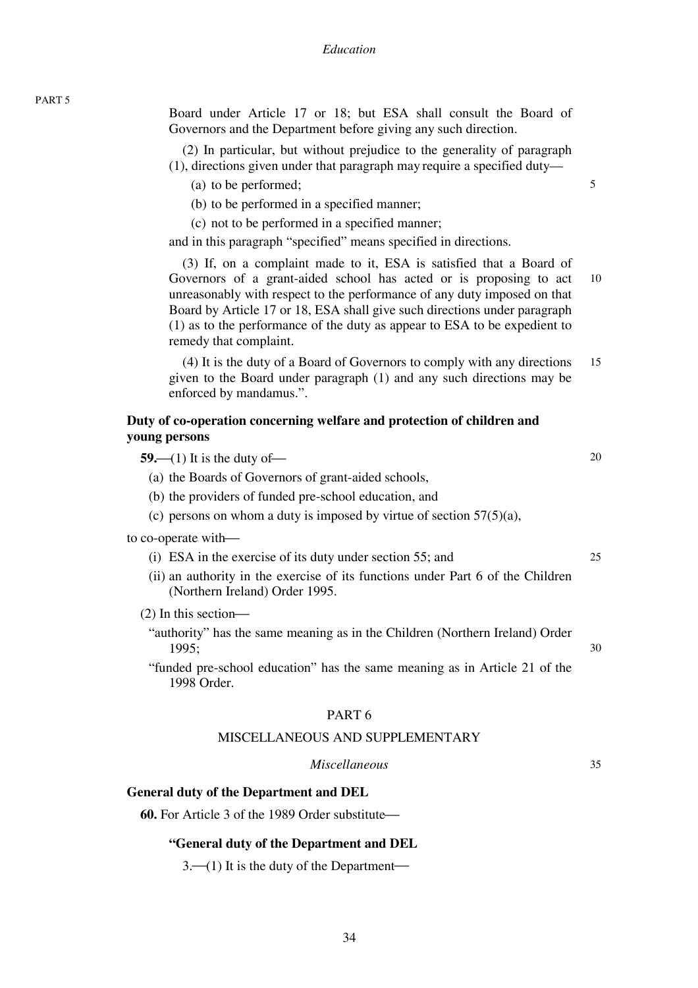| × | ٧ |
|---|---|
|---|---|

Board under Article 17 or 18; but ESA shall consult the Board of Governors and the Department before giving any such direction.

(2) In particular, but without prejudice to the generality of paragraph (1), directions given under that paragraph may require a specified duty—

5

35

- (a) to be performed;
- (b) to be performed in a specified manner;
- (c) not to be performed in a specified manner;

and in this paragraph "specified" means specified in directions.

10 (3) If, on a complaint made to it, ESA is satisfied that a Board of Governors of a grant-aided school has acted or is proposing to act unreasonably with respect to the performance of any duty imposed on that Board by Article 17 or 18, ESA shall give such directions under paragraph (1) as to the performance of the duty as appear to ESA to be expedient to remedy that complaint.

15 (4) It is the duty of a Board of Governors to comply with any directions given to the Board under paragraph (1) and any such directions may be enforced by mandamus.".

### **Duty of co-operation concerning welfare and protection of children and young persons**

| 59.—(1) It is the duty of—                                                                                        | 20 |
|-------------------------------------------------------------------------------------------------------------------|----|
| (a) the Boards of Governors of grant-aided schools,                                                               |    |
| (b) the providers of funded pre-school education, and                                                             |    |
| (c) persons on whom a duty is imposed by virtue of section $57(5)(a)$ ,                                           |    |
| to co-operate with—                                                                                               |    |
| (i) ESA in the exercise of its duty under section 55; and                                                         | 25 |
| (ii) an authority in the exercise of its functions under Part 6 of the Children<br>(Northern Ireland) Order 1995. |    |
| $(2)$ In this section—                                                                                            |    |
| "authority" has the same meaning as in the Children (Northern Ireland) Order<br>1995;                             | 30 |
| "funded pre-school education" has the same meaning as in Article 21 of the<br>1998 Order.                         |    |
| PART <sub>6</sub>                                                                                                 |    |

#### MISCELLANEOUS AND SUPPLEMENTARY

### *Miscellaneous*

**General duty of the Department and DEL** 

**60.** For Article 3 of the 1989 Order substitute—

#### **"General duty of the Department and DEL**

 $3.$ —(1) It is the duty of the Department—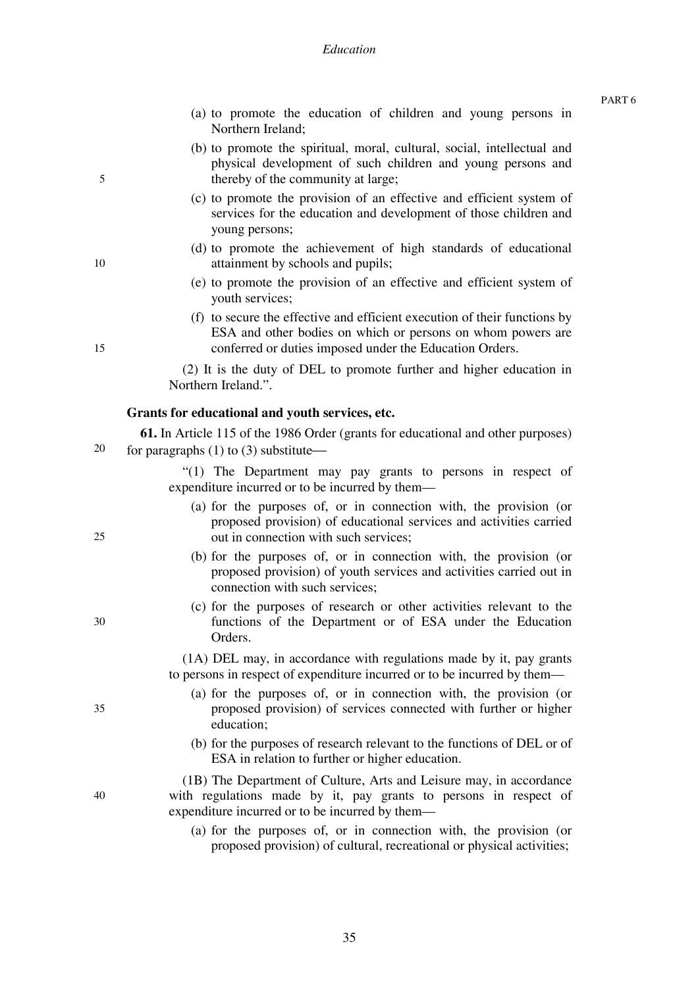#### *Education*

- (a) to promote the education of children and young persons in Northern Ireland;
- (b) to promote the spiritual, moral, cultural, social, intellectual and physical development of such children and young persons and thereby of the community at large;
- (c) to promote the provision of an effective and efficient system of services for the education and development of those children and young persons;
- (d) to promote the achievement of high standards of educational attainment by schools and pupils;
- (e) to promote the provision of an effective and efficient system of youth services;
- (f) to secure the effective and efficient execution of their functions by ESA and other bodies on which or persons on whom powers are conferred or duties imposed under the Education Orders.

(2) It is the duty of DEL to promote further and higher education in Northern Ireland.".

#### **Grants for educational and youth services, etc.**

20 **61.** In Article 115 of the 1986 Order (grants for educational and other purposes) for paragraphs  $(1)$  to  $(3)$  substitute—

> "(1) The Department may pay grants to persons in respect of expenditure incurred or to be incurred by them—

- (a) for the purposes of, or in connection with, the provision (or proposed provision) of educational services and activities carried out in connection with such services;
- (b) for the purposes of, or in connection with, the provision (or proposed provision) of youth services and activities carried out in connection with such services;
- (c) for the purposes of research or other activities relevant to the functions of the Department or of ESA under the Education Orders.

(1A) DEL may, in accordance with regulations made by it, pay grants to persons in respect of expenditure incurred or to be incurred by them—

- (a) for the purposes of, or in connection with, the provision (or proposed provision) of services connected with further or higher education;
- (b) for the purposes of research relevant to the functions of DEL or of ESA in relation to further or higher education.

(1B) The Department of Culture, Arts and Leisure may, in accordance with regulations made by it, pay grants to persons in respect of expenditure incurred or to be incurred by them—

(a) for the purposes of, or in connection with, the provision (or proposed provision) of cultural, recreational or physical activities;

10

5

15

25

30

35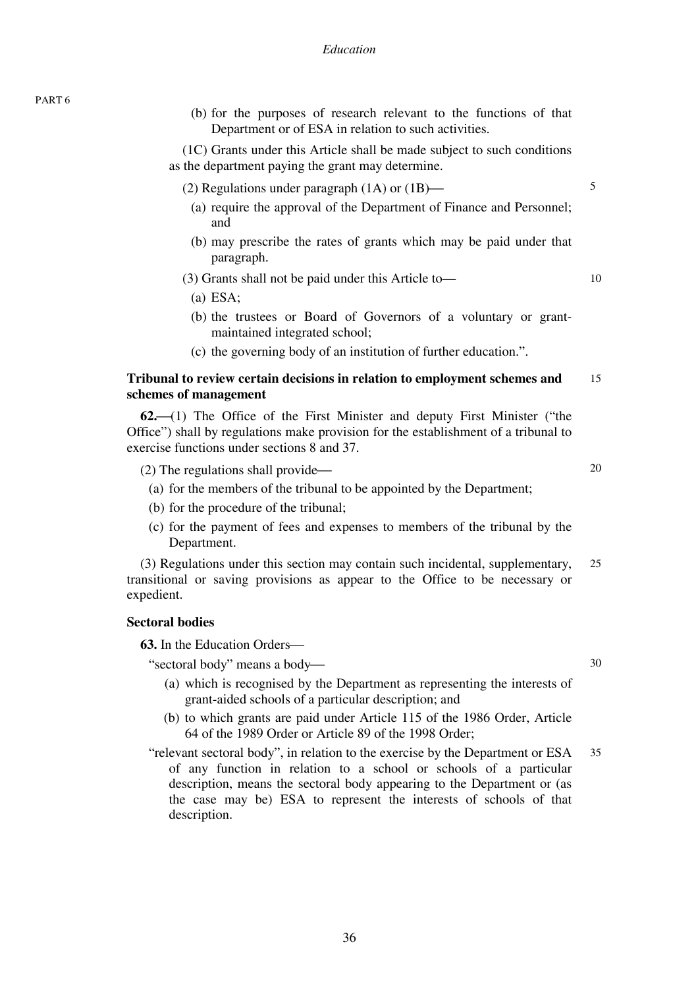(b) for the purposes of research relevant to the functions of that Department or of ESA in relation to such activities.

(1C) Grants under this Article shall be made subject to such conditions as the department paying the grant may determine.

- (2) Regulations under paragraph  $(1A)$  or  $(1B)$ 
	- (a) require the approval of the Department of Finance and Personnel; and

5

10

20

30

(b) may prescribe the rates of grants which may be paid under that paragraph.

(3) Grants shall not be paid under this Article to—

(a) ESA;

- (b) the trustees or Board of Governors of a voluntary or grantmaintained integrated school;
- (c) the governing body of an institution of further education.".

#### 15 **Tribunal to review certain decisions in relation to employment schemes and schemes of management**

**62.**⎯(1) The Office of the First Minister and deputy First Minister ("the Office") shall by regulations make provision for the establishment of a tribunal to exercise functions under sections 8 and 37.

- $(2)$  The regulations shall provide—
	- (a) for the members of the tribunal to be appointed by the Department;
	- (b) for the procedure of the tribunal;
	- (c) for the payment of fees and expenses to members of the tribunal by the Department.

25 (3) Regulations under this section may contain such incidental, supplementary, transitional or saving provisions as appear to the Office to be necessary or expedient.

# **Sectoral bodies**

**63.** In the Education Orders—

"sectoral body" means a body-

- (a) which is recognised by the Department as representing the interests of grant-aided schools of a particular description; and
- (b) to which grants are paid under Article 115 of the 1986 Order, Article 64 of the 1989 Order or Article 89 of the 1998 Order;
- 35 "relevant sectoral body", in relation to the exercise by the Department or ESA of any function in relation to a school or schools of a particular description, means the sectoral body appearing to the Department or (as the case may be) ESA to represent the interests of schools of that description.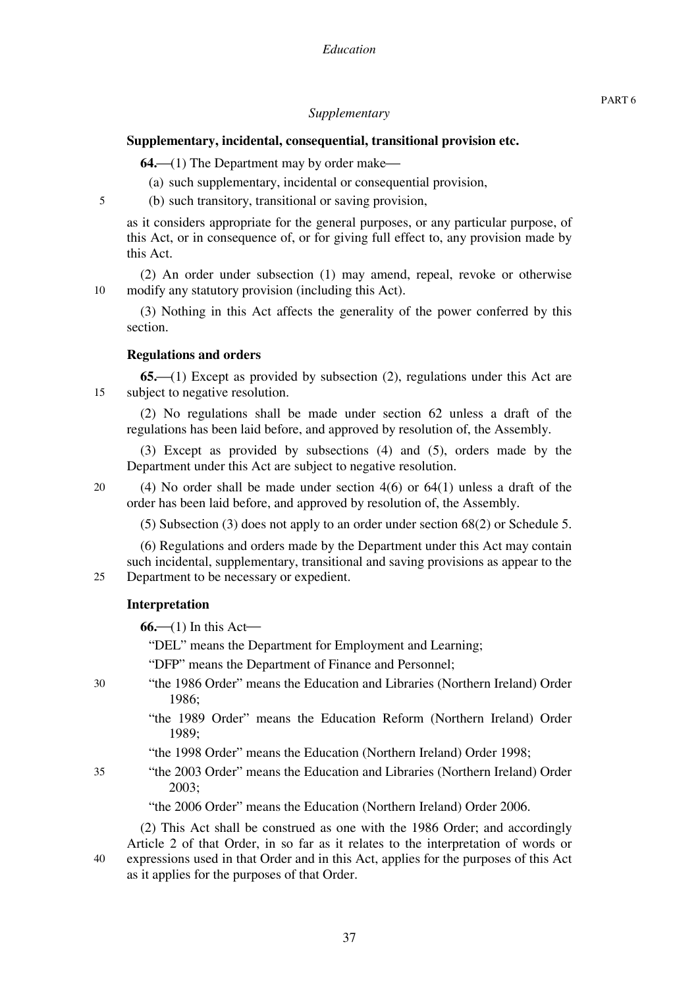## *Supplementary*

## **Supplementary, incidental, consequential, transitional provision etc.**

**64.**—(1) The Department may by order make—

- (a) such supplementary, incidental or consequential provision,
- (b) such transitory, transitional or saving provision,

as it considers appropriate for the general purposes, or any particular purpose, of this Act, or in consequence of, or for giving full effect to, any provision made by this Act.

(2) An order under subsection (1) may amend, repeal, revoke or otherwise modify any statutory provision (including this Act).

(3) Nothing in this Act affects the generality of the power conferred by this section.

#### **Regulations and orders**

15 **65.**⎯(1) Except as provided by subsection (2), regulations under this Act are subject to negative resolution.

(2) No regulations shall be made under section 62 unless a draft of the regulations has been laid before, and approved by resolution of, the Assembly.

(3) Except as provided by subsections (4) and (5), orders made by the Department under this Act are subject to negative resolution.

20

5

10

(4) No order shall be made under section 4(6) or 64(1) unless a draft of the order has been laid before, and approved by resolution of, the Assembly.

(5) Subsection (3) does not apply to an order under section 68(2) or Schedule 5.

25 (6) Regulations and orders made by the Department under this Act may contain such incidental, supplementary, transitional and saving provisions as appear to the Department to be necessary or expedient.

#### **Interpretation**

 $66$ —(1) In this Act—

"DEL" means the Department for Employment and Learning;

"DFP" means the Department of Finance and Personnel;

- "the 1986 Order" means the Education and Libraries (Northern Ireland) Order 1986;
	- "the 1989 Order" means the Education Reform (Northern Ireland) Order 1989;
	- "the 1998 Order" means the Education (Northern Ireland) Order 1998;
- "the 2003 Order" means the Education and Libraries (Northern Ireland) Order 2003;

"the 2006 Order" means the Education (Northern Ireland) Order 2006.

(2) This Act shall be construed as one with the 1986 Order; and accordingly Article 2 of that Order, in so far as it relates to the interpretation of words or expressions used in that Order and in this Act, applies for the purposes of this Act as it applies for the purposes of that Order.

30

35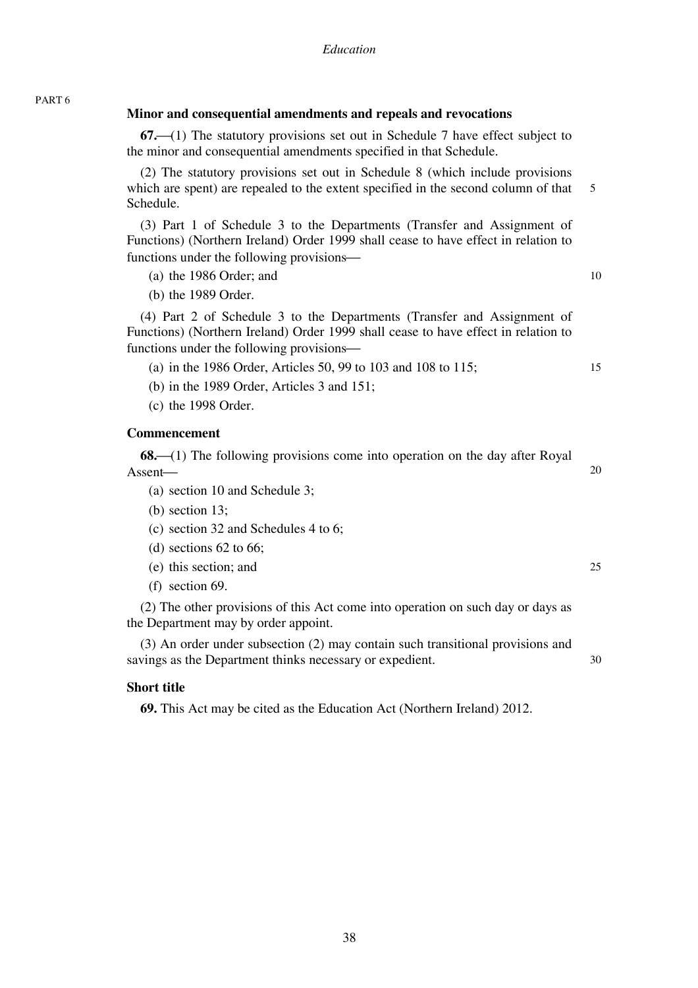# **Minor and consequential amendments and repeals and revocations**

**67.**⎯(1) The statutory provisions set out in Schedule 7 have effect subject to the minor and consequential amendments specified in that Schedule.

5 (2) The statutory provisions set out in Schedule 8 (which include provisions which are spent) are repealed to the extent specified in the second column of that Schedule.

(3) Part 1 of Schedule 3 to the Departments (Transfer and Assignment of Functions) (Northern Ireland) Order 1999 shall cease to have effect in relation to functions under the following provisions—

10

15

20

25

30

(a) the 1986 Order; and

(b) the 1989 Order.

(4) Part 2 of Schedule 3 to the Departments (Transfer and Assignment of Functions) (Northern Ireland) Order 1999 shall cease to have effect in relation to functions under the following provisions—

(a) in the 1986 Order, Articles 50, 99 to 103 and 108 to 115;

- (b) in the 1989 Order, Articles 3 and 151;
- (c) the 1998 Order.

# **Commencement**

PART 6

**68.**—(1) The following provisions come into operation on the day after Royal Assent—

- (a) section 10 and Schedule 3;
- (b) section 13;
- (c) section 32 and Schedules 4 to 6;
- (d) sections 62 to 66;
- (e) this section; and
- (f) section 69.

(2) The other provisions of this Act come into operation on such day or days as the Department may by order appoint.

(3) An order under subsection (2) may contain such transitional provisions and savings as the Department thinks necessary or expedient.

### **Short title**

**69.** This Act may be cited as the Education Act (Northern Ireland) 2012.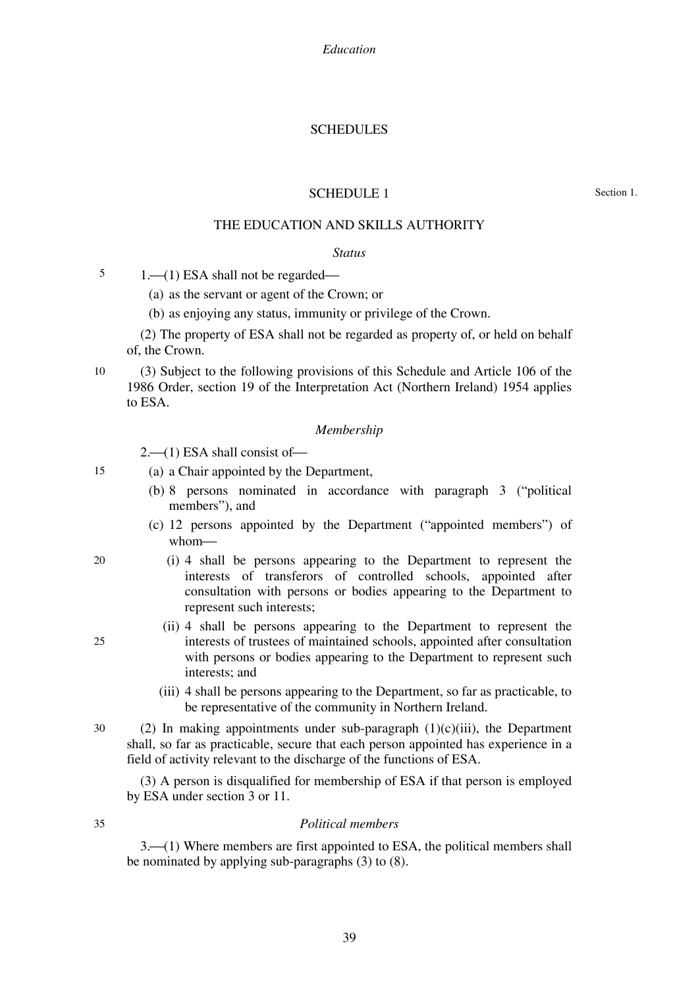*Education* 

### SCHEDULES

#### SCHEDULE 1

Section 1.

# THE EDUCATION AND SKILLS AUTHORITY

#### *Status*

5  $1. \rightarrow (1)$  ESA shall not be regarded $\rightarrow$ 

- (a) as the servant or agent of the Crown; or
- (b) as enjoying any status, immunity or privilege of the Crown.

(2) The property of ESA shall not be regarded as property of, or held on behalf of, the Crown.

10 (3) Subject to the following provisions of this Schedule and Article 106 of the 1986 Order, section 19 of the Interpretation Act (Northern Ireland) 1954 applies to ESA.

#### *Membership*

 $2-$ (1) ESA shall consist of  $-$ 

- (a) a Chair appointed by the Department,
	- (b) 8 persons nominated in accordance with paragraph 3 ("political members"), and
	- (c) 12 persons appointed by the Department ("appointed members") of whom-
	- (i) 4 shall be persons appearing to the Department to represent the interests of transferors of controlled schools, appointed after consultation with persons or bodies appearing to the Department to represent such interests;
		- (ii) 4 shall be persons appearing to the Department to represent the interests of trustees of maintained schools, appointed after consultation with persons or bodies appearing to the Department to represent such interests; and
		- (iii) 4 shall be persons appearing to the Department, so far as practicable, to be representative of the community in Northern Ireland.
- 30 (2) In making appointments under sub-paragraph  $(1)(c)(iii)$ , the Department shall, so far as practicable, secure that each person appointed has experience in a field of activity relevant to the discharge of the functions of ESA.

(3) A person is disqualified for membership of ESA if that person is employed by ESA under section 3 or 11.

35

15

20

25

#### *Political members*

3.<sup>{1}</sup> 41) Where members are first appointed to ESA, the political members shall be nominated by applying sub-paragraphs (3) to (8).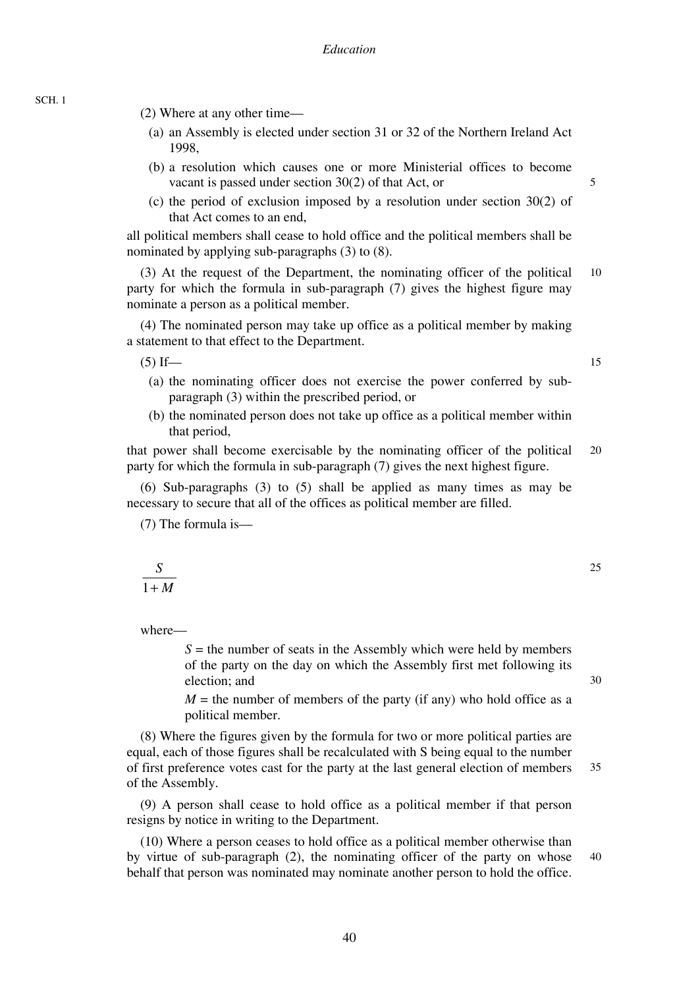- (2) Where at any other time—
	- (a) an Assembly is elected under section 31 or 32 of the Northern Ireland Act 1998,
	- (b) a resolution which causes one or more Ministerial offices to become vacant is passed under section 30(2) of that Act, or
	- (c) the period of exclusion imposed by a resolution under section 30(2) of that Act comes to an end,

all political members shall cease to hold office and the political members shall be nominated by applying sub-paragraphs (3) to (8).

10 (3) At the request of the Department, the nominating officer of the political party for which the formula in sub-paragraph (7) gives the highest figure may nominate a person as a political member.

(4) The nominated person may take up office as a political member by making a statement to that effect to the Department.

 $(5)$  If—

- (a) the nominating officer does not exercise the power conferred by subparagraph (3) within the prescribed period, or
- (b) the nominated person does not take up office as a political member within that period,

20 that power shall become exercisable by the nominating officer of the political party for which the formula in sub-paragraph (7) gives the next highest figure.

(6) Sub-paragraphs (3) to (5) shall be applied as many times as may be necessary to secure that all of the offices as political member are filled.

(7) The formula is—

where—

 $1 + M$ *S*

> $S =$  the number of seats in the Assembly which were held by members of the party on the day on which the Assembly first met following its election; and

> $M =$  the number of members of the party (if any) who hold office as a political member.

35 (8) Where the figures given by the formula for two or more political parties are equal, each of those figures shall be recalculated with S being equal to the number of first preference votes cast for the party at the last general election of members of the Assembly.

(9) A person shall cease to hold office as a political member if that person resigns by notice in writing to the Department.

40 (10) Where a person ceases to hold office as a political member otherwise than by virtue of sub-paragraph (2), the nominating officer of the party on whose behalf that person was nominated may nominate another person to hold the office.

15

5

30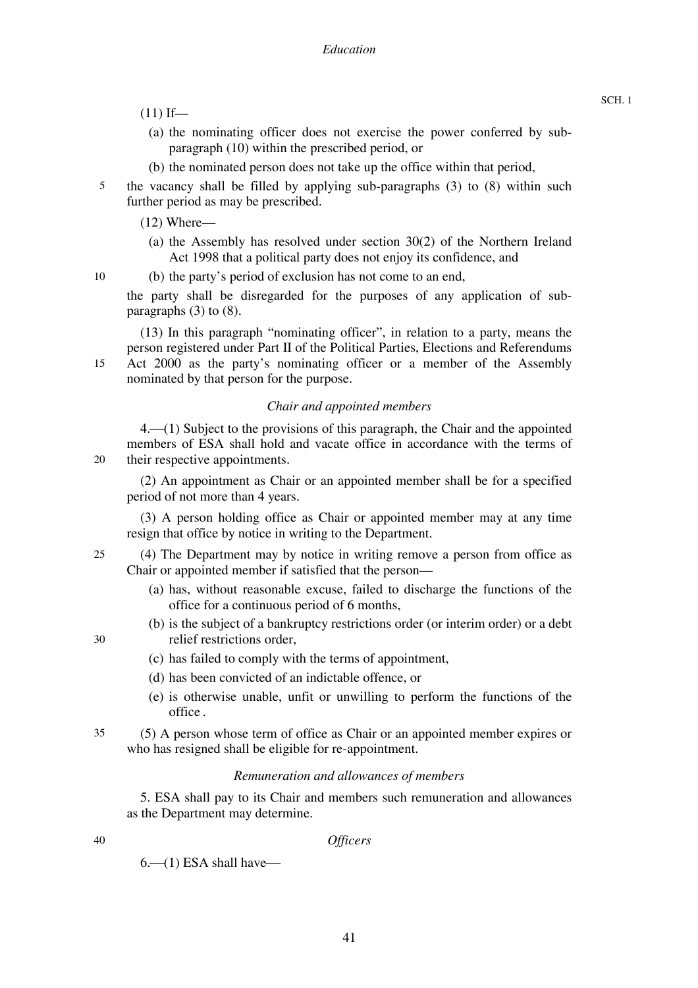- $(11)$  If—
	- (a) the nominating officer does not exercise the power conferred by subparagraph (10) within the prescribed period, or
	- (b) the nominated person does not take up the office within that period,
- 5 the vacancy shall be filled by applying sub-paragraphs (3) to (8) within such further period as may be prescribed.
	- (12) Where—
		- (a) the Assembly has resolved under section 30(2) of the Northern Ireland Act 1998 that a political party does not enjoy its confidence, and
- 10 (b) the party's period of exclusion has not come to an end,

nominated by that person for the purpose.

the party shall be disregarded for the purposes of any application of subparagraphs (3) to (8).

(13) In this paragraph "nominating officer", in relation to a party, means the person registered under Part II of the Political Parties, Elections and Referendums Act 2000 as the party's nominating officer or a member of the Assembly

## *Chair and appointed members*

 $4.$   $\rightarrow$  (1) Subject to the provisions of this paragraph, the Chair and the appointed members of ESA shall hold and vacate office in accordance with the terms of their respective appointments.

(2) An appointment as Chair or an appointed member shall be for a specified period of not more than 4 years.

(3) A person holding office as Chair or appointed member may at any time resign that office by notice in writing to the Department.

25 (4) The Department may by notice in writing remove a person from office as Chair or appointed member if satisfied that the person—

- (a) has, without reasonable excuse, failed to discharge the functions of the office for a continuous period of 6 months,
- (b) is the subject of a bankruptcy restrictions order (or interim order) or a debt relief restrictions order,
- - (c) has failed to comply with the terms of appointment,
	- (d) has been convicted of an indictable offence, or
	- (e) is otherwise unable, unfit or unwilling to perform the functions of the office.
- 35 (5) A person whose term of office as Chair or an appointed member expires or who has resigned shall be eligible for re-appointment.

### *Remuneration and allowances of members*

5. ESA shall pay to its Chair and members such remuneration and allowances as the Department may determine.

40

15

 $20$ 

30

#### *Officers*

 $6 - (1)$  ESA shall have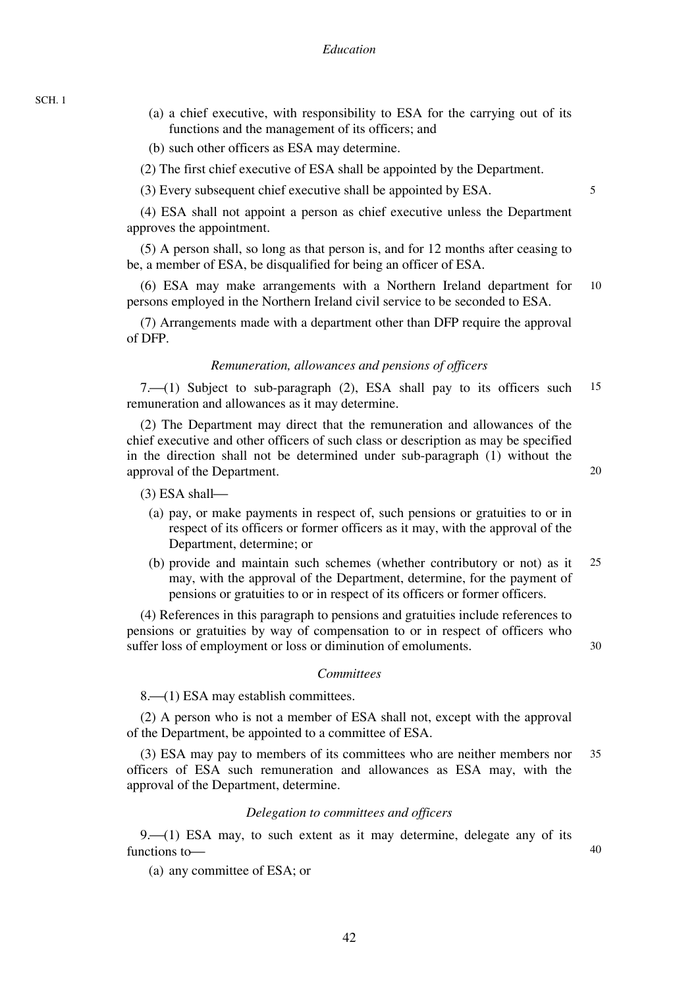SCH. 1

- (a) a chief executive, with responsibility to ESA for the carrying out of its functions and the management of its officers; and
- (b) such other officers as ESA may determine.
- (2) The first chief executive of ESA shall be appointed by the Department.
- (3) Every subsequent chief executive shall be appointed by ESA.

5

(4) ESA shall not appoint a person as chief executive unless the Department approves the appointment.

(5) A person shall, so long as that person is, and for 12 months after ceasing to be, a member of ESA, be disqualified for being an officer of ESA.

10 (6) ESA may make arrangements with a Northern Ireland department for persons employed in the Northern Ireland civil service to be seconded to ESA.

(7) Arrangements made with a department other than DFP require the approval of DFP.

#### *Remuneration, allowances and pensions of officers*

15 7. $\left(\frac{1}{2}\right)$  Subject to sub-paragraph (2), ESA shall pay to its officers such remuneration and allowances as it may determine.

(2) The Department may direct that the remuneration and allowances of the chief executive and other officers of such class or description as may be specified in the direction shall not be determined under sub-paragraph (1) without the approval of the Department.

 $(3)$  ESA shall—

- (a) pay, or make payments in respect of, such pensions or gratuities to or in respect of its officers or former officers as it may, with the approval of the Department, determine; or
- 25 (b) provide and maintain such schemes (whether contributory or not) as it may, with the approval of the Department, determine, for the payment of pensions or gratuities to or in respect of its officers or former officers.

(4) References in this paragraph to pensions and gratuities include references to pensions or gratuities by way of compensation to or in respect of officers who suffer loss of employment or loss or diminution of emoluments.

#### *Committees*

8. (1) ESA may establish committees.

(2) A person who is not a member of ESA shall not, except with the approval of the Department, be appointed to a committee of ESA.

35 (3) ESA may pay to members of its committees who are neither members nor officers of ESA such remuneration and allowances as ESA may, with the approval of the Department, determine.

#### *Delegation to committees and officers*

 $9. (1)$  ESA may, to such extent as it may determine, delegate any of its functions to-

(a) any committee of ESA; or

20

30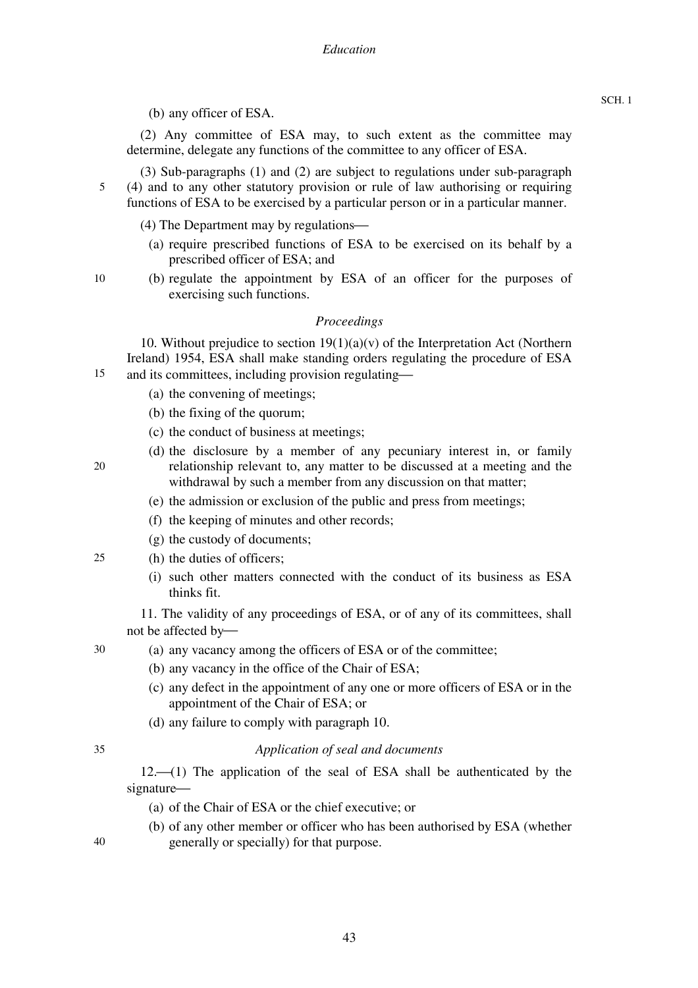(2) Any committee of ESA may, to such extent as the committee may determine, delegate any functions of the committee to any officer of ESA.

(3) Sub-paragraphs (1) and (2) are subject to regulations under sub-paragraph

- 5 (4) and to any other statutory provision or rule of law authorising or requiring functions of ESA to be exercised by a particular person or in a particular manner.
	- (4) The Department may by regulations—
		- (a) require prescribed functions of ESA to be exercised on its behalf by a prescribed officer of ESA; and
	- (b) regulate the appointment by ESA of an officer for the purposes of exercising such functions.

## *Proceedings*

10. Without prejudice to section  $19(1)(a)(v)$  of the Interpretation Act (Northern Ireland) 1954, ESA shall make standing orders regulating the procedure of ESA and its committees, including provision regulating—

- (a) the convening of meetings;
- (b) the fixing of the quorum;
- (c) the conduct of business at meetings;
- (d) the disclosure by a member of any pecuniary interest in, or family relationship relevant to, any matter to be discussed at a meeting and the withdrawal by such a member from any discussion on that matter;
	- (e) the admission or exclusion of the public and press from meetings;
	- (f) the keeping of minutes and other records;
	- (g) the custody of documents;
- 25 (h) the duties of officers;
	- (i) such other matters connected with the conduct of its business as ESA thinks fit.

11. The validity of any proceedings of ESA, or of any of its committees, shall not be affected by-

- (a) any vacancy among the officers of ESA or of the committee;
	- (b) any vacancy in the office of the Chair of ESA;
	- (c) any defect in the appointment of any one or more officers of ESA or in the appointment of the Chair of ESA; or
	- (d) any failure to comply with paragraph 10.

# 35

30

### *Application of seal and documents*

 $12.$  (1) The application of the seal of ESA shall be authenticated by the signature-

- (a) of the Chair of ESA or the chief executive; or
- (b) of any other member or officer who has been authorised by ESA (whether generally or specially) for that purpose.

SCH. 1

 $40$ 

20

15

- 
-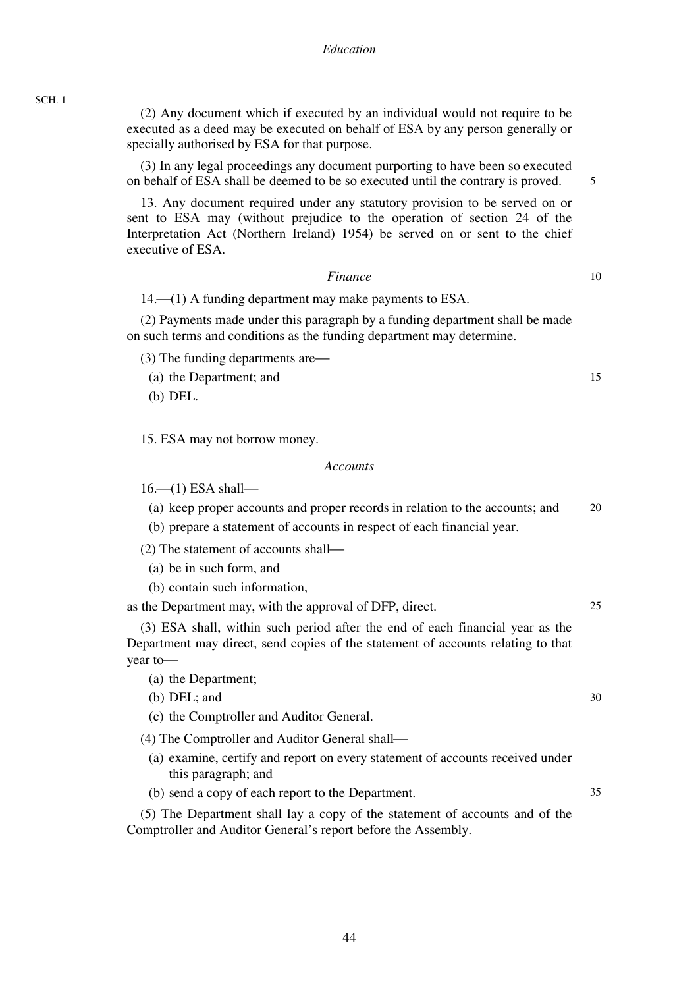(2) Any document which if executed by an individual would not require to be executed as a deed may be executed on behalf of ESA by any person generally or specially authorised by ESA for that purpose.

(3) In any legal proceedings any document purporting to have been so executed on behalf of ESA shall be deemed to be so executed until the contrary is proved.

13. Any document required under any statutory provision to be served on or sent to ESA may (without prejudice to the operation of section 24 of the Interpretation Act (Northern Ireland) 1954) be served on or sent to the chief executive of ESA.

#### *Finance*

 $14.$  (1) A funding department may make payments to ESA.

(2) Payments made under this paragraph by a funding department shall be made on such terms and conditions as the funding department may determine.

 $(3)$  The funding departments are—

(a) the Department; and

(b) DEL.

SCH. 1

15. ESA may not borrow money.

#### *Accounts*

 $16$ — $(1)$  ESA shall—

20 (a) keep proper accounts and proper records in relation to the accounts; and

(b) prepare a statement of accounts in respect of each financial year.

 $(2)$  The statement of accounts shall—

- (a) be in such form, and
- (b) contain such information,

as the Department may, with the approval of DFP, direct.

(3) ESA shall, within such period after the end of each financial year as the Department may direct, send copies of the statement of accounts relating to that year to-

(a) the Department;

(b) DEL; and

(c) the Comptroller and Auditor General.

(4) The Comptroller and Auditor General shall—

- (a) examine, certify and report on every statement of accounts received under this paragraph; and
- (b) send a copy of each report to the Department.

(5) The Department shall lay a copy of the statement of accounts and of the Comptroller and Auditor General's report before the Assembly.

15

10

5

30

25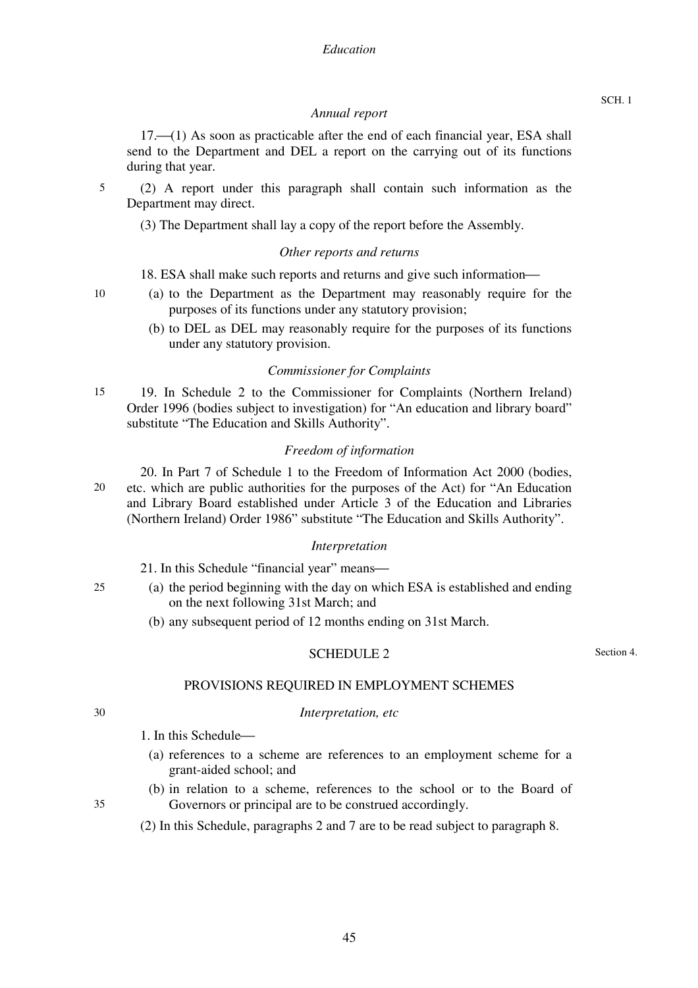### *Annual report*

17.<sup> $(1)$ </sup> As soon as practicable after the end of each financial year, ESA shall send to the Department and DEL a report on the carrying out of its functions during that year.

(2) A report under this paragraph shall contain such information as the Department may direct.

(3) The Department shall lay a copy of the report before the Assembly.

## *Other reports and returns*

### 18. ESA shall make such reports and returns and give such information—

- (a) to the Department as the Department may reasonably require for the purposes of its functions under any statutory provision;
	- (b) to DEL as DEL may reasonably require for the purposes of its functions under any statutory provision.

### *Commissioner for Complaints*

15 19. In Schedule 2 to the Commissioner for Complaints (Northern Ireland) Order 1996 (bodies subject to investigation) for "An education and library board" substitute "The Education and Skills Authority".

## *Freedom of information*

20 20. In Part 7 of Schedule 1 to the Freedom of Information Act 2000 (bodies, etc. which are public authorities for the purposes of the Act) for "An Education and Library Board established under Article 3 of the Education and Libraries (Northern Ireland) Order 1986" substitute "The Education and Skills Authority".

### *Interpretation*

21. In this Schedule "financial year" means—

- 25 (a) the period beginning with the day on which ESA is established and ending on the next following 31st March; and
	- (b) any subsequent period of 12 months ending on 31st March.

# SCHEDULE 2

Section 4.

# PROVISIONS REQUIRED IN EMPLOYMENT SCHEMES

*Interpretation, etc* 

30

1. In this Schedule—

- (a) references to a scheme are references to an employment scheme for a grant-aided school; and
- (b) in relation to a scheme, references to the school or to the Board of Governors or principal are to be construed accordingly.
- 35
- (2) In this Schedule, paragraphs 2 and 7 are to be read subject to paragraph 8.

10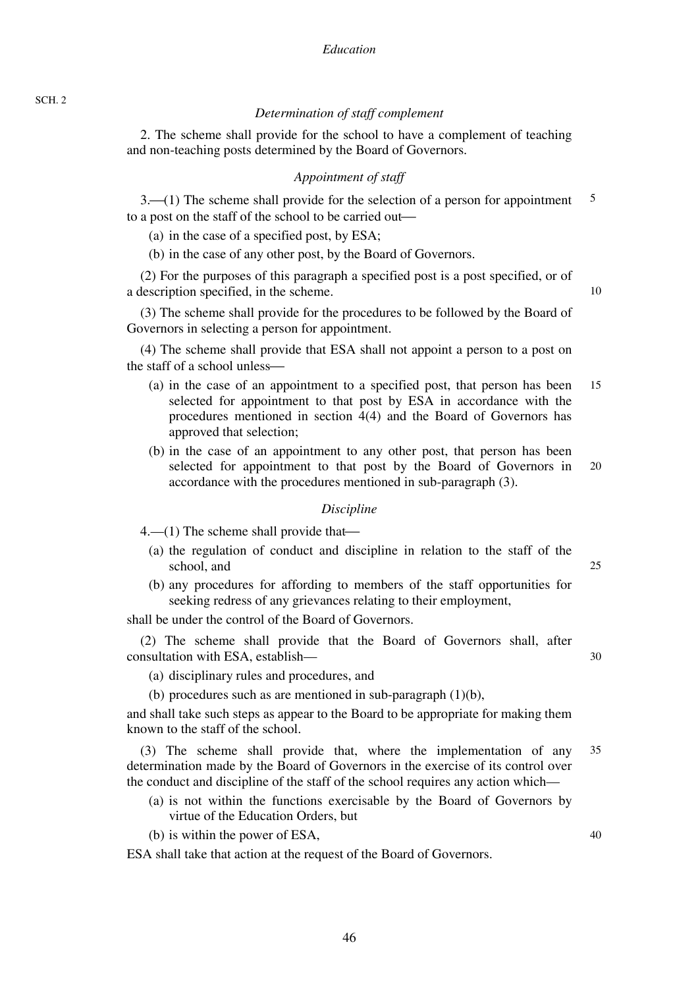46

# *Determination of staff complement*

2. The scheme shall provide for the school to have a complement of teaching and non-teaching posts determined by the Board of Governors.

# *Appointment of staff*

5  $3-(1)$  The scheme shall provide for the selection of a person for appointment to a post on the staff of the school to be carried out—

(a) in the case of a specified post, by ESA;

(b) in the case of any other post, by the Board of Governors.

(2) For the purposes of this paragraph a specified post is a post specified, or of a description specified, in the scheme.

(3) The scheme shall provide for the procedures to be followed by the Board of Governors in selecting a person for appointment.

(4) The scheme shall provide that ESA shall not appoint a person to a post on the staff of a school unless—

- 15 (a) in the case of an appointment to a specified post, that person has been selected for appointment to that post by ESA in accordance with the procedures mentioned in section 4(4) and the Board of Governors has approved that selection;
- 20 (b) in the case of an appointment to any other post, that person has been selected for appointment to that post by the Board of Governors in accordance with the procedures mentioned in sub-paragraph (3).

### *Discipline*

 $4.$ —(1) The scheme shall provide that—

- (a) the regulation of conduct and discipline in relation to the staff of the school, and
- (b) any procedures for affording to members of the staff opportunities for seeking redress of any grievances relating to their employment,

shall be under the control of the Board of Governors.

(2) The scheme shall provide that the Board of Governors shall, after consultation with ESA, establish—

- (a) disciplinary rules and procedures, and
- (b) procedures such as are mentioned in sub-paragraph  $(1)(b)$ ,

and shall take such steps as appear to the Board to be appropriate for making them known to the staff of the school.

35 (3) The scheme shall provide that, where the implementation of any determination made by the Board of Governors in the exercise of its control over the conduct and discipline of the staff of the school requires any action which—

- (a) is not within the functions exercisable by the Board of Governors by virtue of the Education Orders, but
- (b) is within the power of ESA,

ESA shall take that action at the request of the Board of Governors.

10

30

25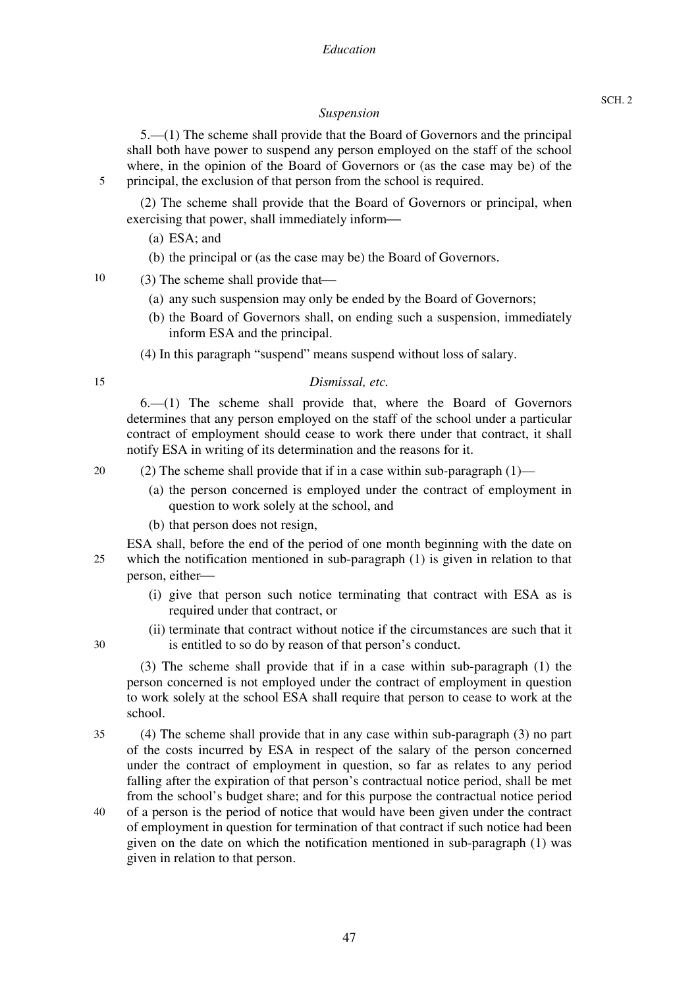# *Suspension*

5.—(1) The scheme shall provide that the Board of Governors and the principal shall both have power to suspend any person employed on the staff of the school where, in the opinion of the Board of Governors or (as the case may be) of the principal, the exclusion of that person from the school is required.

(2) The scheme shall provide that the Board of Governors or principal, when exercising that power, shall immediately inform—

(a) ESA; and

(b) the principal or (as the case may be) the Board of Governors.

10  $(3)$  The scheme shall provide that—

- (a) any such suspension may only be ended by the Board of Governors;
- (b) the Board of Governors shall, on ending such a suspension, immediately inform ESA and the principal.
- (4) In this paragraph "suspend" means suspend without loss of salary.

15

30

5

## *Dismissal, etc.*

6.—(1) The scheme shall provide that, where the Board of Governors determines that any person employed on the staff of the school under a particular contract of employment should cease to work there under that contract, it shall notify ESA in writing of its determination and the reasons for it.

20 (2) The scheme shall provide that if in a case within sub-paragraph (1)—

- (a) the person concerned is employed under the contract of employment in question to work solely at the school, and
- (b) that person does not resign,

25 ESA shall, before the end of the period of one month beginning with the date on which the notification mentioned in sub-paragraph (1) is given in relation to that person, either-

- (i) give that person such notice terminating that contract with ESA as is required under that contract, or
- (ii) terminate that contract without notice if the circumstances are such that it is entitled to so do by reason of that person's conduct.

(3) The scheme shall provide that if in a case within sub-paragraph (1) the person concerned is not employed under the contract of employment in question to work solely at the school ESA shall require that person to cease to work at the school.

35 40 (4) The scheme shall provide that in any case within sub-paragraph (3) no part of the costs incurred by ESA in respect of the salary of the person concerned under the contract of employment in question, so far as relates to any period falling after the expiration of that person's contractual notice period, shall be met from the school's budget share; and for this purpose the contractual notice period of a person is the period of notice that would have been given under the contract of employment in question for termination of that contract if such notice had been given on the date on which the notification mentioned in sub-paragraph (1) was given in relation to that person.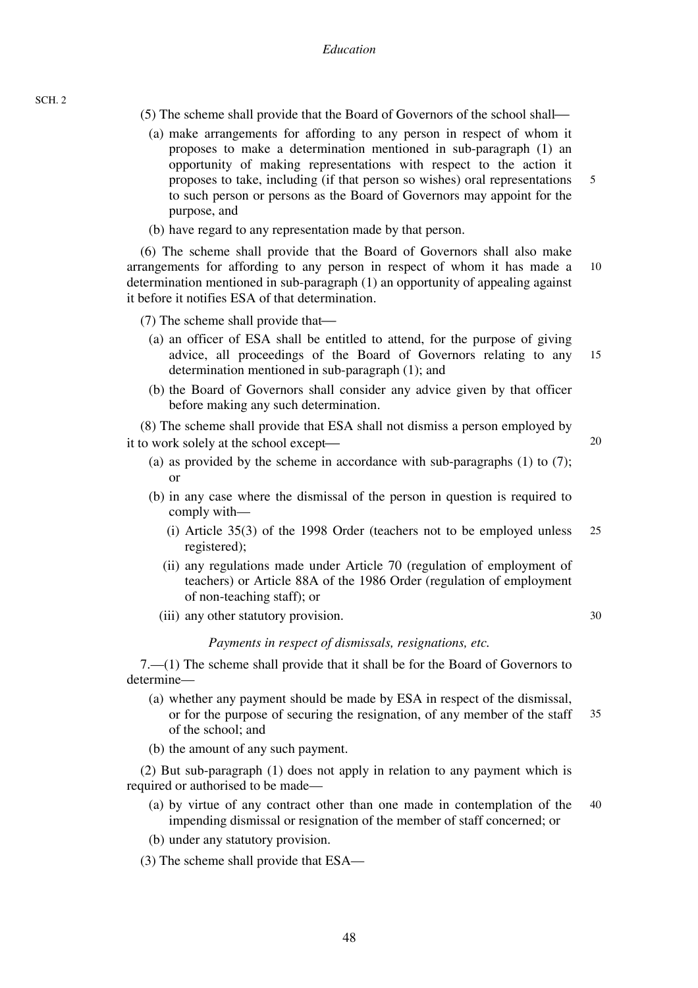- (5) The scheme shall provide that the Board of Governors of the school shall—
	- 5 (a) make arrangements for affording to any person in respect of whom it proposes to make a determination mentioned in sub-paragraph (1) an opportunity of making representations with respect to the action it proposes to take, including (if that person so wishes) oral representations to such person or persons as the Board of Governors may appoint for the purpose, and
	- (b) have regard to any representation made by that person.

10 (6) The scheme shall provide that the Board of Governors shall also make arrangements for affording to any person in respect of whom it has made a determination mentioned in sub-paragraph (1) an opportunity of appealing against it before it notifies ESA of that determination.

- $(7)$  The scheme shall provide that—
	- 15 (a) an officer of ESA shall be entitled to attend, for the purpose of giving advice, all proceedings of the Board of Governors relating to any determination mentioned in sub-paragraph (1); and
	- (b) the Board of Governors shall consider any advice given by that officer before making any such determination.

(8) The scheme shall provide that ESA shall not dismiss a person employed by it to work solely at the school except—

- (a) as provided by the scheme in accordance with sub-paragraphs (1) to (7); or
- (b) in any case where the dismissal of the person in question is required to comply with—
	- 25 (i) Article 35(3) of the 1998 Order (teachers not to be employed unless registered);
	- (ii) any regulations made under Article 70 (regulation of employment of teachers) or Article 88A of the 1986 Order (regulation of employment of non-teaching staff); or
	- (iii) any other statutory provision.

### *Payments in respect of dismissals, resignations, etc.*

7.—(1) The scheme shall provide that it shall be for the Board of Governors to determine—

- 35 (a) whether any payment should be made by ESA in respect of the dismissal, or for the purpose of securing the resignation, of any member of the staff of the school; and
- (b) the amount of any such payment.

(2) But sub-paragraph (1) does not apply in relation to any payment which is required or authorised to be made—

- 40 (a) by virtue of any contract other than one made in contemplation of the impending dismissal or resignation of the member of staff concerned; or
- (b) under any statutory provision.
- (3) The scheme shall provide that ESA—

30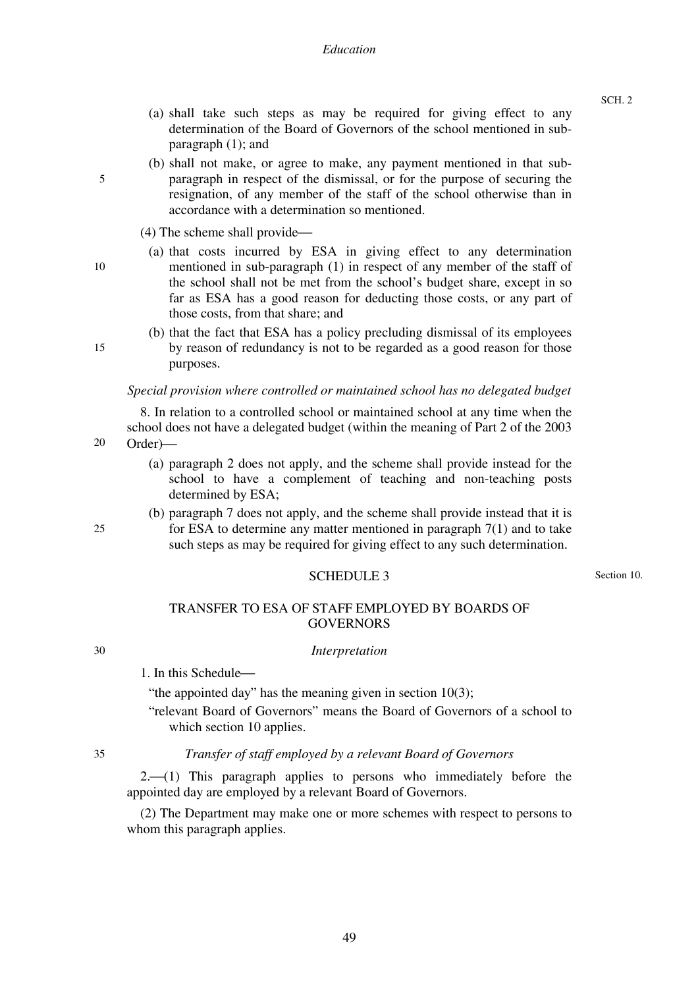- (a) shall take such steps as may be required for giving effect to any determination of the Board of Governors of the school mentioned in subparagraph (1); and
- (b) shall not make, or agree to make, any payment mentioned in that subparagraph in respect of the dismissal, or for the purpose of securing the resignation, of any member of the staff of the school otherwise than in accordance with a determination so mentioned.
- $(4)$  The scheme shall provide—
- (a) that costs incurred by ESA in giving effect to any determination mentioned in sub-paragraph (1) in respect of any member of the staff of the school shall not be met from the school's budget share, except in so far as ESA has a good reason for deducting those costs, or any part of those costs, from that share; and
- (b) that the fact that ESA has a policy precluding dismissal of its employees by reason of redundancy is not to be regarded as a good reason for those purposes.

### *Special provision where controlled or maintained school has no delegated budget*

8. In relation to a controlled school or maintained school at any time when the school does not have a delegated budget (within the meaning of Part 2 of the 2003 Order)—

- (a) paragraph 2 does not apply, and the scheme shall provide instead for the school to have a complement of teaching and non-teaching posts determined by ESA;
- (b) paragraph 7 does not apply, and the scheme shall provide instead that it is for ESA to determine any matter mentioned in paragraph 7(1) and to take such steps as may be required for giving effect to any such determination.

## SCHEDULE 3

Section 10.

### TRANSFER TO ESA OF STAFF EMPLOYED BY BOARDS OF **GOVERNORS**

#### *Interpretation*

1. In this Schedule—

"the appointed day" has the meaning given in section 10(3);

"relevant Board of Governors" means the Board of Governors of a school to which section 10 applies.

35

30

#### *Transfer of staff employed by a relevant Board of Governors*

 $2. (1)$  This paragraph applies to persons who immediately before the appointed day are employed by a relevant Board of Governors.

(2) The Department may make one or more schemes with respect to persons to whom this paragraph applies.

15

20

25

10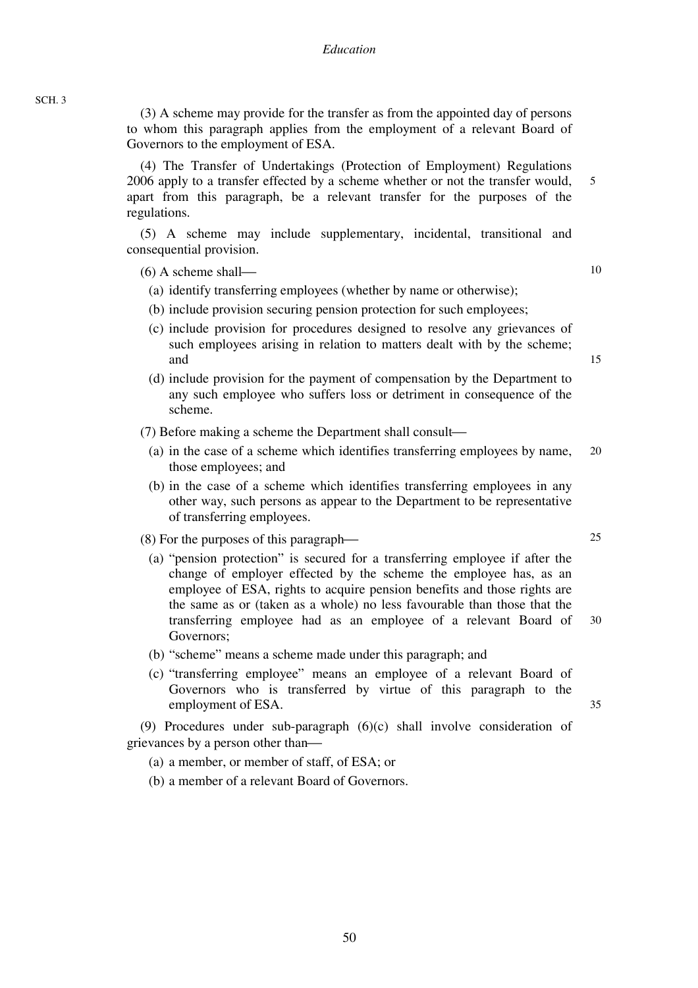(3) A scheme may provide for the transfer as from the appointed day of persons to whom this paragraph applies from the employment of a relevant Board of Governors to the employment of ESA.

(4) The Transfer of Undertakings (Protection of Employment) Regulations 2006 apply to a transfer effected by a scheme whether or not the transfer would, apart from this paragraph, be a relevant transfer for the purposes of the regulations.

(5) A scheme may include supplementary, incidental, transitional and consequential provision.

 $(6)$  A scheme shall—

- (a) identify transferring employees (whether by name or otherwise);
- (b) include provision securing pension protection for such employees;
- (c) include provision for procedures designed to resolve any grievances of such employees arising in relation to matters dealt with by the scheme; and
- (d) include provision for the payment of compensation by the Department to any such employee who suffers loss or detriment in consequence of the scheme.
- $(7)$  Before making a scheme the Department shall consult—
	- 20 (a) in the case of a scheme which identifies transferring employees by name, those employees; and
	- (b) in the case of a scheme which identifies transferring employees in any other way, such persons as appear to the Department to be representative of transferring employees.
- $(8)$  For the purposes of this paragraph—
	- 30 (a) "pension protection" is secured for a transferring employee if after the change of employer effected by the scheme the employee has, as an employee of ESA, rights to acquire pension benefits and those rights are the same as or (taken as a whole) no less favourable than those that the transferring employee had as an employee of a relevant Board of Governors;
	- (b) "scheme" means a scheme made under this paragraph; and
	- (c) "transferring employee" means an employee of a relevant Board of Governors who is transferred by virtue of this paragraph to the employment of ESA.

(9) Procedures under sub-paragraph (6)(c) shall involve consideration of grievances by a person other than—

- (a) a member, or member of staff, of ESA; or
- (b) a member of a relevant Board of Governors.

15

10

5

25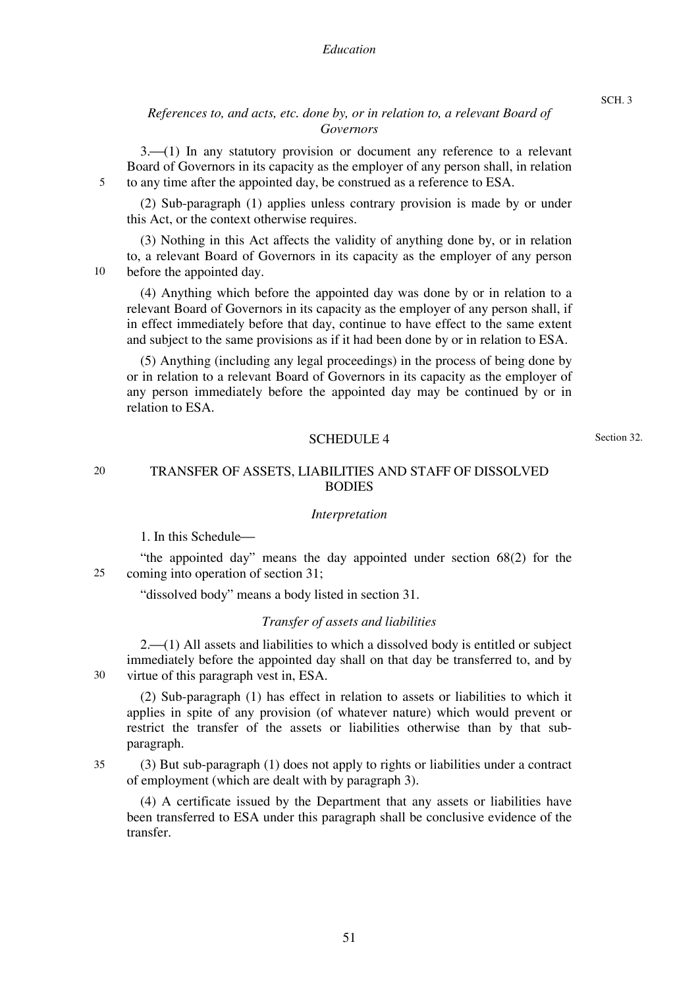#### *Education*

# *References to, and acts, etc. done by, or in relation to, a relevant Board of Governors*

 $3-(1)$  In any statutory provision or document any reference to a relevant Board of Governors in its capacity as the employer of any person shall, in relation to any time after the appointed day, be construed as a reference to ESA.

(2) Sub-paragraph (1) applies unless contrary provision is made by or under this Act, or the context otherwise requires.

(3) Nothing in this Act affects the validity of anything done by, or in relation to, a relevant Board of Governors in its capacity as the employer of any person before the appointed day.

(4) Anything which before the appointed day was done by or in relation to a relevant Board of Governors in its capacity as the employer of any person shall, if in effect immediately before that day, continue to have effect to the same extent and subject to the same provisions as if it had been done by or in relation to ESA.

(5) Anything (including any legal proceedings) in the process of being done by or in relation to a relevant Board of Governors in its capacity as the employer of any person immediately before the appointed day may be continued by or in relation to ESA.

#### SCHEDULE 4

Section 32.

SCH. 3

### TRANSFER OF ASSETS, LIABILITIES AND STAFF OF DISSOLVED **BODIES**

#### *Interpretation*

1. In this Schedule—

25 "the appointed day" means the day appointed under section 68(2) for the coming into operation of section 31;

"dissolved body" means a body listed in section 31.

#### *Transfer of assets and liabilities*

 $2. (1)$  All assets and liabilities to which a dissolved body is entitled or subject immediately before the appointed day shall on that day be transferred to, and by virtue of this paragraph vest in, ESA.

30

(2) Sub-paragraph (1) has effect in relation to assets or liabilities to which it applies in spite of any provision (of whatever nature) which would prevent or restrict the transfer of the assets or liabilities otherwise than by that subparagraph.

35 (3) But sub-paragraph (1) does not apply to rights or liabilities under a contract of employment (which are dealt with by paragraph 3).

(4) A certificate issued by the Department that any assets or liabilities have been transferred to ESA under this paragraph shall be conclusive evidence of the transfer.

5

10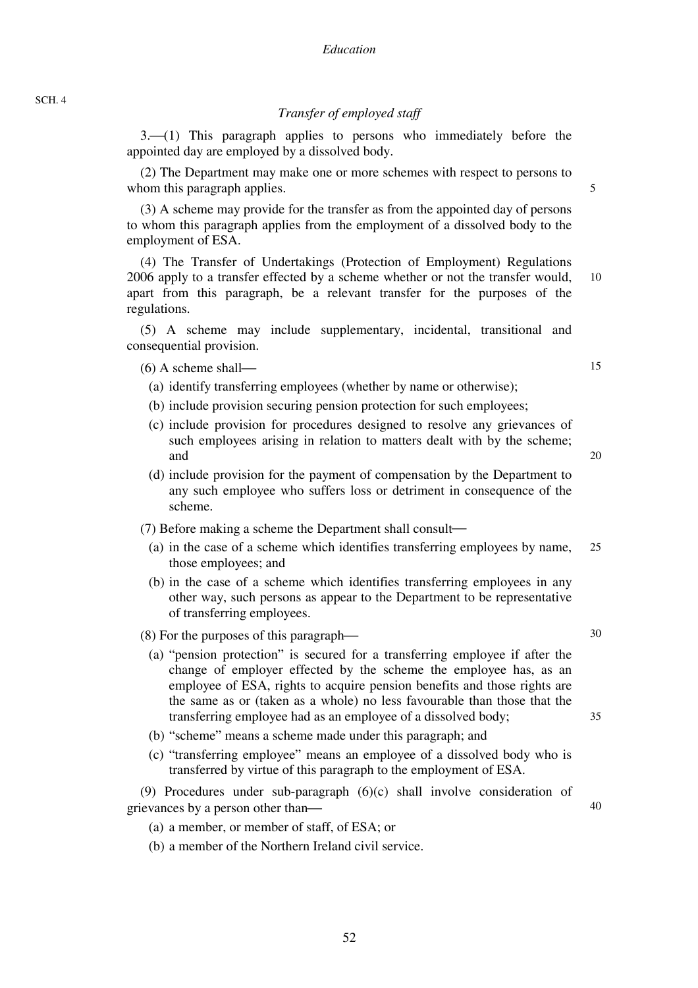### *Transfer of employed staff*

 $3-(1)$  This paragraph applies to persons who immediately before the appointed day are employed by a dissolved body.

(2) The Department may make one or more schemes with respect to persons to whom this paragraph applies.

(3) A scheme may provide for the transfer as from the appointed day of persons to whom this paragraph applies from the employment of a dissolved body to the employment of ESA.

10 (4) The Transfer of Undertakings (Protection of Employment) Regulations 2006 apply to a transfer effected by a scheme whether or not the transfer would, apart from this paragraph, be a relevant transfer for the purposes of the regulations.

(5) A scheme may include supplementary, incidental, transitional and consequential provision.

 $(6)$  A scheme shall—

- (a) identify transferring employees (whether by name or otherwise);
- (b) include provision securing pension protection for such employees;
- (c) include provision for procedures designed to resolve any grievances of such employees arising in relation to matters dealt with by the scheme; and
- (d) include provision for the payment of compensation by the Department to any such employee who suffers loss or detriment in consequence of the scheme.
- $(7)$  Before making a scheme the Department shall consult—
- 25 (a) in the case of a scheme which identifies transferring employees by name, those employees; and
- (b) in the case of a scheme which identifies transferring employees in any other way, such persons as appear to the Department to be representative of transferring employees.

 $(8)$  For the purposes of this paragraph—

- (a) "pension protection" is secured for a transferring employee if after the change of employer effected by the scheme the employee has, as an employee of ESA, rights to acquire pension benefits and those rights are the same as or (taken as a whole) no less favourable than those that the transferring employee had as an employee of a dissolved body;
- (b) "scheme" means a scheme made under this paragraph; and
- (c) "transferring employee" means an employee of a dissolved body who is transferred by virtue of this paragraph to the employment of ESA.

(9) Procedures under sub-paragraph (6)(c) shall involve consideration of grievances by a person other than—

- (a) a member, or member of staff, of ESA; or
- (b) a member of the Northern Ireland civil service.

15

5

35

30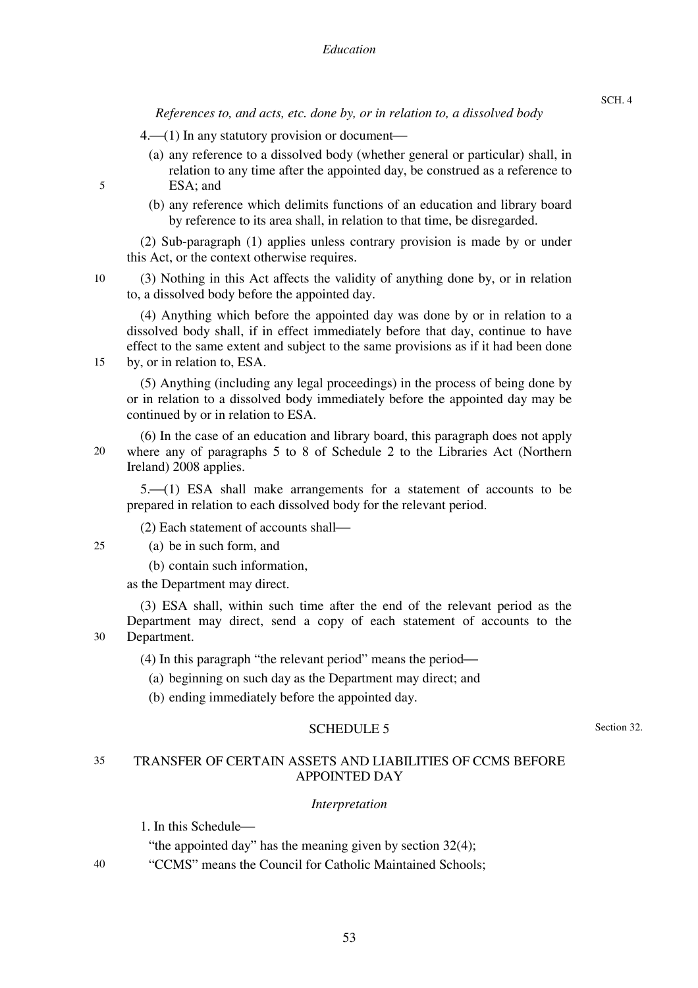*References to, and acts, etc. done by, or in relation to, a dissolved body* 

 $4.$  (1) In any statutory provision or document—

- (a) any reference to a dissolved body (whether general or particular) shall, in relation to any time after the appointed day, be construed as a reference to ESA; and
- (b) any reference which delimits functions of an education and library board by reference to its area shall, in relation to that time, be disregarded.

(2) Sub-paragraph (1) applies unless contrary provision is made by or under this Act, or the context otherwise requires.

(3) Nothing in this Act affects the validity of anything done by, or in relation to, a dissolved body before the appointed day.

(4) Anything which before the appointed day was done by or in relation to a dissolved body shall, if in effect immediately before that day, continue to have effect to the same extent and subject to the same provisions as if it had been done by, or in relation to, ESA.

(5) Anything (including any legal proceedings) in the process of being done by or in relation to a dissolved body immediately before the appointed day may be continued by or in relation to ESA.

20 (6) In the case of an education and library board, this paragraph does not apply where any of paragraphs 5 to 8 of Schedule 2 to the Libraries Act (Northern Ireland) 2008 applies.

 $5-(1)$  ESA shall make arrangements for a statement of accounts to be prepared in relation to each dissolved body for the relevant period.

 $(2)$  Each statement of accounts shall—

25 (a) be in such form, and

(b) contain such information,

as the Department may direct.

30 (3) ESA shall, within such time after the end of the relevant period as the Department may direct, send a copy of each statement of accounts to the Department.

 $(4)$  In this paragraph "the relevant period" means the period—

(a) beginning on such day as the Department may direct; and

(b) ending immediately before the appointed day.

#### SCHEDULE 5

Section 32.

#### 35 TRANSFER OF CERTAIN ASSETS AND LIABILITIES OF CCMS BEFORE APPOINTED DAY

#### *Interpretation*

1. In this Schedule—

"the appointed day" has the meaning given by section 32(4);

"CCMS" means the Council for Catholic Maintained Schools;

5

10

15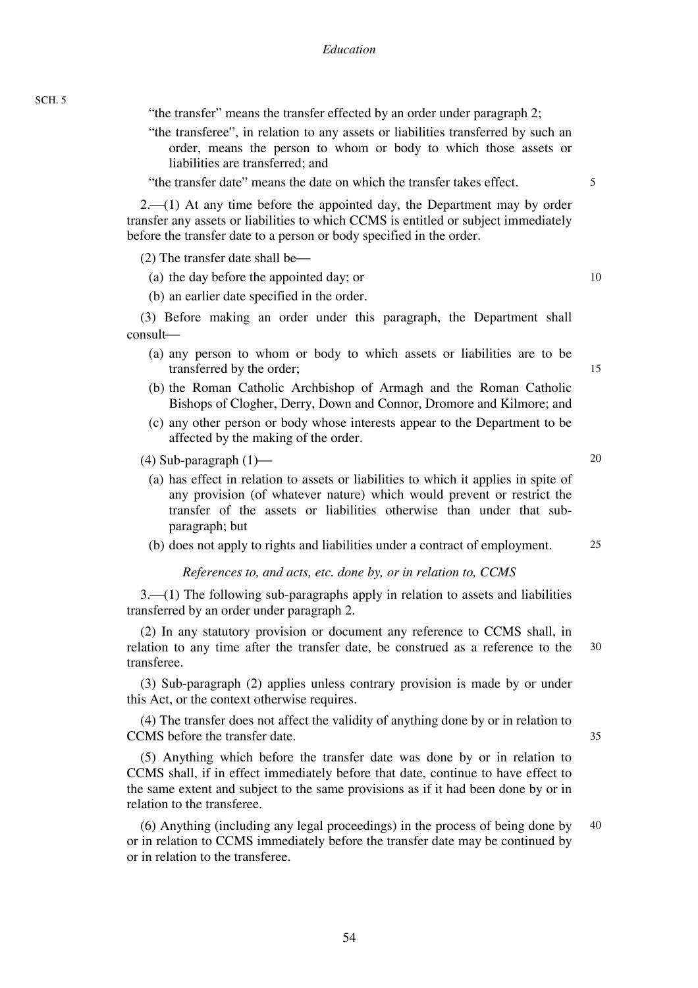"the transfer" means the transfer effected by an order under paragraph 2;

"the transferee", in relation to any assets or liabilities transferred by such an order, means the person to whom or body to which those assets or liabilities are transferred; and

"the transfer date" means the date on which the transfer takes effect.

 $2. (1)$  At any time before the appointed day, the Department may by order transfer any assets or liabilities to which CCMS is entitled or subject immediately before the transfer date to a person or body specified in the order.

 $(2)$  The transfer date shall be—

(a) the day before the appointed day; or

(b) an earlier date specified in the order.

(3) Before making an order under this paragraph, the Department shall consult-

- (a) any person to whom or body to which assets or liabilities are to be transferred by the order;
- (b) the Roman Catholic Archbishop of Armagh and the Roman Catholic Bishops of Clogher, Derry, Down and Connor, Dromore and Kilmore; and
- (c) any other person or body whose interests appear to the Department to be affected by the making of the order.

(4) Sub-paragraph  $(1)$ —

(a) has effect in relation to assets or liabilities to which it applies in spite of any provision (of whatever nature) which would prevent or restrict the transfer of the assets or liabilities otherwise than under that subparagraph; but

(b) does not apply to rights and liabilities under a contract of employment.

#### *References to, and acts, etc. done by, or in relation to, CCMS*

 $3-(1)$  The following sub-paragraphs apply in relation to assets and liabilities transferred by an order under paragraph 2.

30 (2) In any statutory provision or document any reference to CCMS shall, in relation to any time after the transfer date, be construed as a reference to the transferee.

(3) Sub-paragraph (2) applies unless contrary provision is made by or under this Act, or the context otherwise requires.

(4) The transfer does not affect the validity of anything done by or in relation to CCMS before the transfer date.

(5) Anything which before the transfer date was done by or in relation to CCMS shall, if in effect immediately before that date, continue to have effect to the same extent and subject to the same provisions as if it had been done by or in relation to the transferee.

40 (6) Anything (including any legal proceedings) in the process of being done by or in relation to CCMS immediately before the transfer date may be continued by or in relation to the transferee.

54

SCH. 5

20

25

35

10

15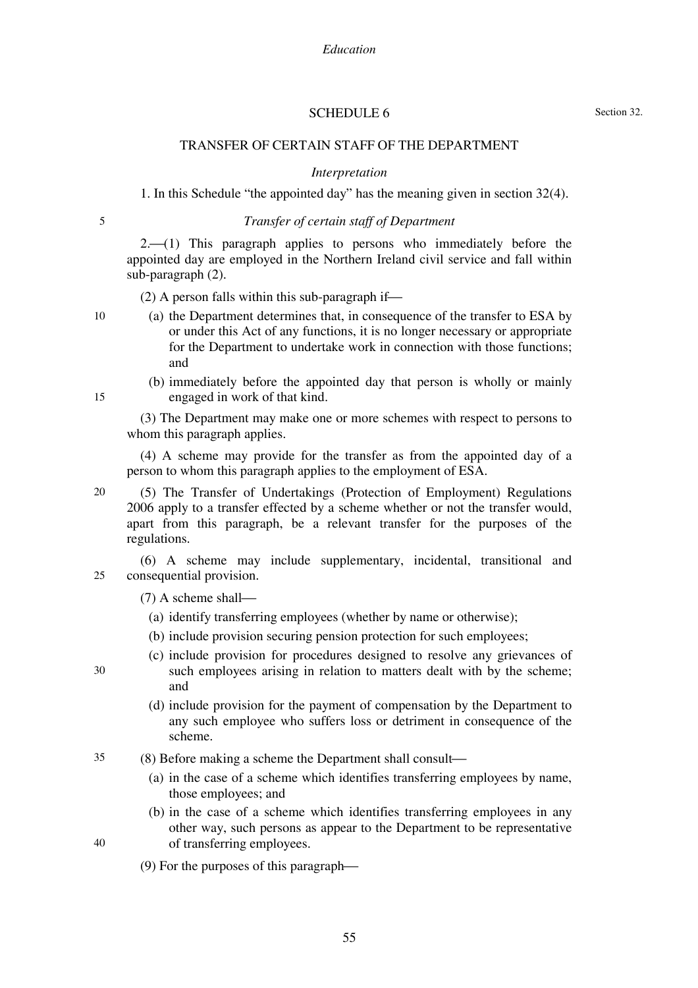### SCHEDULE 6

## TRANSFER OF CERTAIN STAFF OF THE DEPARTMENT

*Interpretation* 

1. In this Schedule "the appointed day" has the meaning given in section 32(4).

5

# *Transfer of certain staff of Department*

 $2. (1)$  This paragraph applies to persons who immediately before the appointed day are employed in the Northern Ireland civil service and fall within sub-paragraph (2).

 $(2)$  A person falls within this sub-paragraph if—

- (a) the Department determines that, in consequence of the transfer to ESA by or under this Act of any functions, it is no longer necessary or appropriate for the Department to undertake work in connection with those functions; and
	- (b) immediately before the appointed day that person is wholly or mainly engaged in work of that kind.

(3) The Department may make one or more schemes with respect to persons to whom this paragraph applies.

(4) A scheme may provide for the transfer as from the appointed day of a person to whom this paragraph applies to the employment of ESA.

20 (5) The Transfer of Undertakings (Protection of Employment) Regulations 2006 apply to a transfer effected by a scheme whether or not the transfer would, apart from this paragraph, be a relevant transfer for the purposes of the regulations.

 $25$ (6) A scheme may include supplementary, incidental, transitional and consequential provision.

- (a) identify transferring employees (whether by name or otherwise);
- (b) include provision securing pension protection for such employees;
- (c) include provision for procedures designed to resolve any grievances of such employees arising in relation to matters dealt with by the scheme; and
	- (d) include provision for the payment of compensation by the Department to any such employee who suffers loss or detriment in consequence of the scheme.
- 35 (8) Before making a scheme the Department shall consult—
	- (a) in the case of a scheme which identifies transferring employees by name, those employees; and
	- (b) in the case of a scheme which identifies transferring employees in any other way, such persons as appear to the Department to be representative of transferring employees.

55

(9) For the purposes of this paragraph—

15

10

 $(7)$  A scheme shall—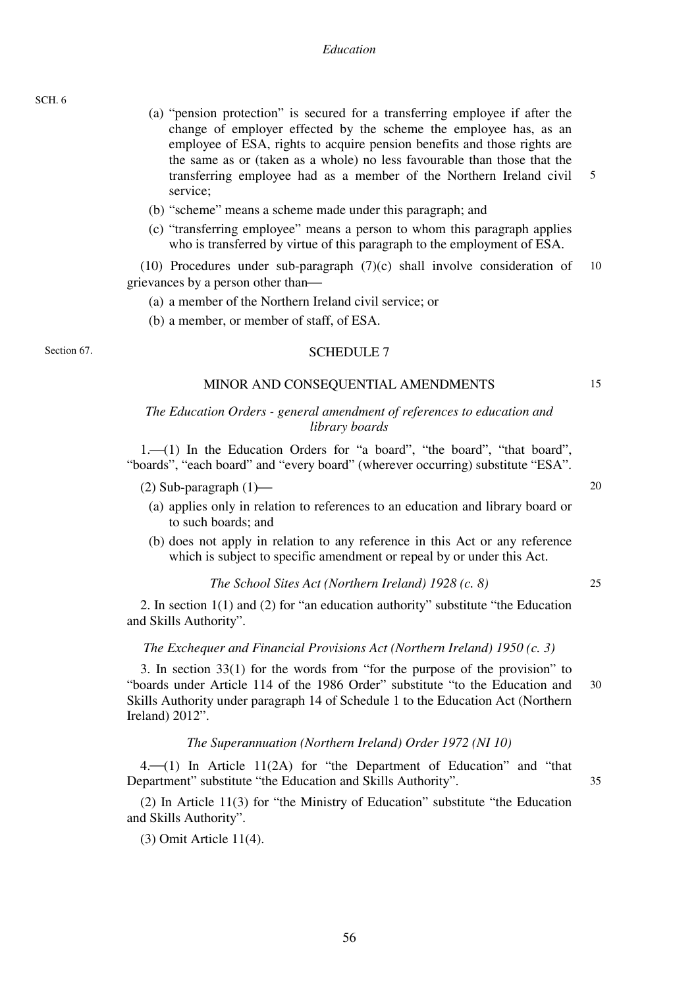SCH. 6

- 5 (a) "pension protection" is secured for a transferring employee if after the change of employer effected by the scheme the employee has, as an employee of ESA, rights to acquire pension benefits and those rights are the same as or (taken as a whole) no less favourable than those that the transferring employee had as a member of the Northern Ireland civil service;
- (b) "scheme" means a scheme made under this paragraph; and
- (c) "transferring employee" means a person to whom this paragraph applies who is transferred by virtue of this paragraph to the employment of ESA.

10 (10) Procedures under sub-paragraph (7)(c) shall involve consideration of grievances by a person other than—

- (a) a member of the Northern Ireland civil service; or
- (b) a member, or member of staff, of ESA.

#### Section 67.

#### SCHEDULE 7

#### MINOR AND CONSEQUENTIAL AMENDMENTS

### *The Education Orders - general amendment of references to education and library boards*

1.<sup>{1}</sup> 1. In the Education Orders for "a board", "the board", "that board", "boards", "each board" and "every board" (wherever occurring) substitute "ESA".

- (2) Sub-paragraph  $(1)$ 
	- (a) applies only in relation to references to an education and library board or to such boards; and
	- (b) does not apply in relation to any reference in this Act or any reference which is subject to specific amendment or repeal by or under this Act.

### *The School Sites Act (Northern Ireland) 1928 (c. 8)*

2. In section 1(1) and (2) for "an education authority" substitute "the Education and Skills Authority".

#### *The Exchequer and Financial Provisions Act (Northern Ireland) 1950 (c. 3)*

30 3. In section 33(1) for the words from "for the purpose of the provision" to "boards under Article 114 of the 1986 Order" substitute "to the Education and Skills Authority under paragraph 14 of Schedule 1 to the Education Act (Northern Ireland) 2012".

#### *The Superannuation (Northern Ireland) Order 1972 (NI 10)*

 $4. (1)$  In Article 11(2A) for "the Department of Education" and "that Department" substitute "the Education and Skills Authority".

(2) In Article 11(3) for "the Ministry of Education" substitute "the Education and Skills Authority".

(3) Omit Article 11(4).

 $20$ 

25

35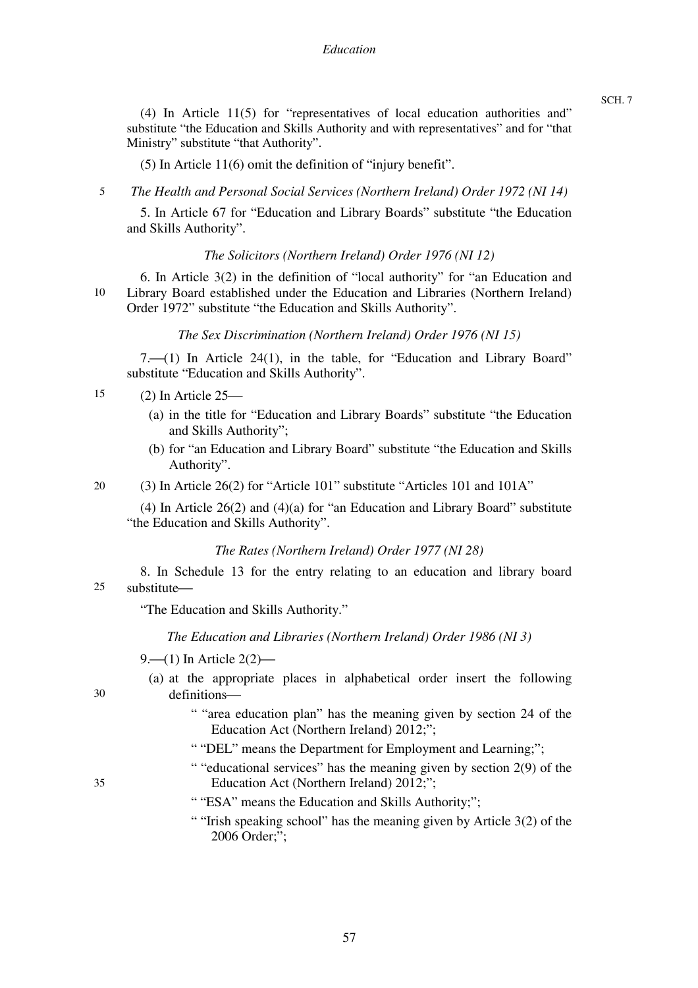#### *Education*

SCH. 7

(4) In Article 11(5) for "representatives of local education authorities and" substitute "the Education and Skills Authority and with representatives" and for "that Ministry" substitute "that Authority".

(5) In Article 11(6) omit the definition of "injury benefit".

5 *The Health and Personal Social Services (Northern Ireland) Order 1972 (NI 14)* 

5. In Article 67 for "Education and Library Boards" substitute "the Education and Skills Authority".

### *The Solicitors (Northern Ireland) Order 1976 (NI 12)*

10 6. In Article 3(2) in the definition of "local authority" for "an Education and Library Board established under the Education and Libraries (Northern Ireland) Order 1972" substitute "the Education and Skills Authority".

### *The Sex Discrimination (Northern Ireland) Order 1976 (NI 15)*

 $7. (1)$  In Article 24(1), in the table, for "Education and Library Board" substitute "Education and Skills Authority".

- 15  $(2)$  In Article  $25$ —
	- (a) in the title for "Education and Library Boards" substitute "the Education and Skills Authority";
	- (b) for "an Education and Library Board" substitute "the Education and Skills Authority".

20 (3) In Article 26(2) for "Article 101" substitute "Articles 101 and 101A"

(4) In Article 26(2) and (4)(a) for "an Education and Library Board" substitute "the Education and Skills Authority".

### *The Rates (Northern Ireland) Order 1977 (NI 28)*

25 8. In Schedule 13 for the entry relating to an education and library board substitute-

"The Education and Skills Authority."

*The Education and Libraries (Northern Ireland) Order 1986 (NI 3)* 

9.  $(1)$  In Article 2(2) —

# (a) at the appropriate places in alphabetical order insert the following definitions-

- " "area education plan" has the meaning given by section 24 of the Education Act (Northern Ireland) 2012;";
- " "DEL" means the Department for Employment and Learning;";
- " "educational services" has the meaning given by section 2(9) of the Education Act (Northern Ireland) 2012;";
- 35

- " "ESA" means the Education and Skills Authority;";
- " "Irish speaking school" has the meaning given by Article 3(2) of the 2006 Order;";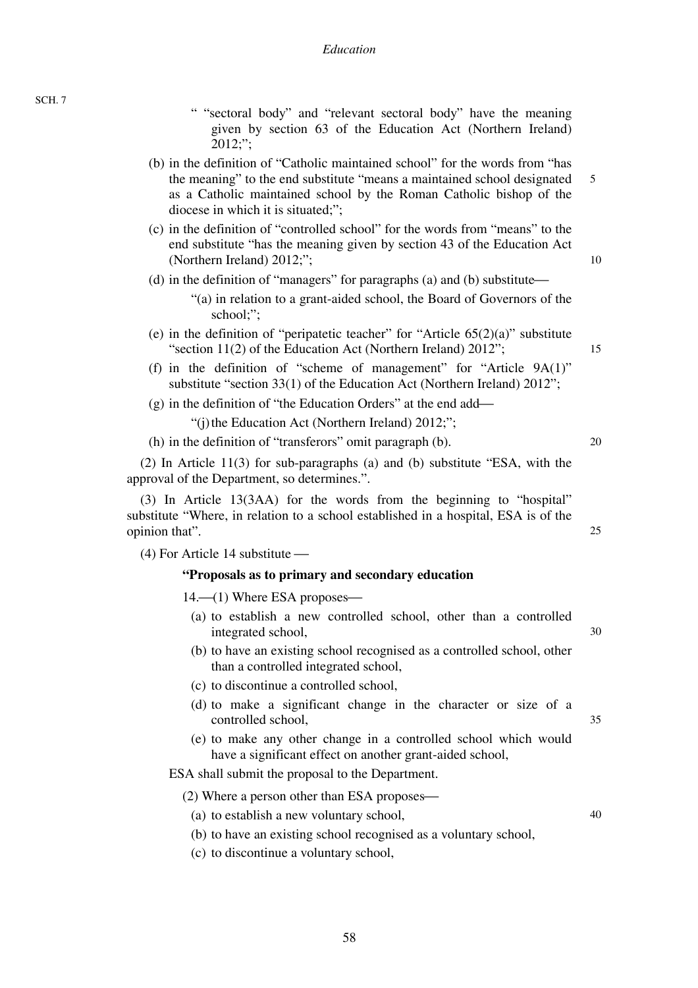- " "sectoral body" and "relevant sectoral body" have the meaning given by section 63 of the Education Act (Northern Ireland) 2012;";
- 5 (b) in the definition of "Catholic maintained school" for the words from "has the meaning" to the end substitute "means a maintained school designated as a Catholic maintained school by the Roman Catholic bishop of the diocese in which it is situated;";
- (c) in the definition of "controlled school" for the words from "means" to the end substitute "has the meaning given by section 43 of the Education Act (Northern Ireland) 2012;";
- (d) in the definition of "managers" for paragraphs (a) and (b) substitute—
	- "(a) in relation to a grant-aided school, the Board of Governors of the school;";
- (e) in the definition of "peripatetic teacher" for "Article  $65(2)(a)$ " substitute "section 11(2) of the Education Act (Northern Ireland) 2012";
- (f) in the definition of "scheme of management" for "Article 9A(1)" substitute "section 33(1) of the Education Act (Northern Ireland) 2012";
- $(g)$  in the definition of "the Education Orders" at the end add—

"(j) the Education Act (Northern Ireland) 2012;";

(h) in the definition of "transferors" omit paragraph (b).

(2) In Article 11(3) for sub-paragraphs (a) and (b) substitute "ESA, with the approval of the Department, so determines.".

(3) In Article 13(3AA) for the words from the beginning to "hospital" substitute "Where, in relation to a school established in a hospital, ESA is of the opinion that".

 $(4)$  For Article 14 substitute —

#### **"Proposals as to primary and secondary education**

 $14.$ — $(1)$  Where ESA proposes—

- (a) to establish a new controlled school, other than a controlled integrated school,
- (b) to have an existing school recognised as a controlled school, other than a controlled integrated school,
- (c) to discontinue a controlled school,
- (d) to make a significant change in the character or size of a controlled school,
- (e) to make any other change in a controlled school which would have a significant effect on another grant-aided school,

ESA shall submit the proposal to the Department.

 $(2)$  Where a person other than ESA proposes—

(a) to establish a new voluntary school,

(b) to have an existing school recognised as a voluntary school,

(c) to discontinue a voluntary school,

40

10

15

20

25

30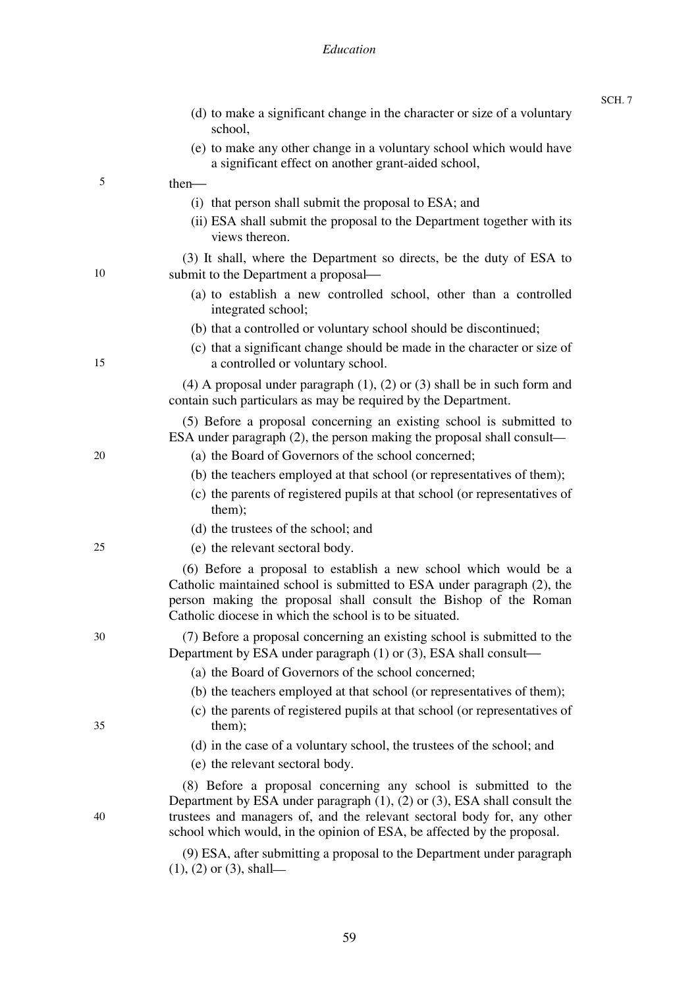### *Education*

|    | (d) to make a significant change in the character or size of a voluntary<br>school,                                                                                                                                                                                                                       |
|----|-----------------------------------------------------------------------------------------------------------------------------------------------------------------------------------------------------------------------------------------------------------------------------------------------------------|
|    | (e) to make any other change in a voluntary school which would have<br>a significant effect on another grant-aided school,                                                                                                                                                                                |
| 5  | $then$ —                                                                                                                                                                                                                                                                                                  |
|    | (i) that person shall submit the proposal to ESA; and                                                                                                                                                                                                                                                     |
|    | (ii) ESA shall submit the proposal to the Department together with its<br>views thereon.                                                                                                                                                                                                                  |
| 10 | (3) It shall, where the Department so directs, be the duty of ESA to<br>submit to the Department a proposal—                                                                                                                                                                                              |
|    | (a) to establish a new controlled school, other than a controlled<br>integrated school;                                                                                                                                                                                                                   |
|    | (b) that a controlled or voluntary school should be discontinued;                                                                                                                                                                                                                                         |
| 15 | (c) that a significant change should be made in the character or size of<br>a controlled or voluntary school.                                                                                                                                                                                             |
|    | $(4)$ A proposal under paragraph $(1)$ , $(2)$ or $(3)$ shall be in such form and<br>contain such particulars as may be required by the Department.                                                                                                                                                       |
|    | (5) Before a proposal concerning an existing school is submitted to<br>ESA under paragraph (2), the person making the proposal shall consult—                                                                                                                                                             |
| 20 | (a) the Board of Governors of the school concerned;                                                                                                                                                                                                                                                       |
|    | (b) the teachers employed at that school (or representatives of them);                                                                                                                                                                                                                                    |
|    | (c) the parents of registered pupils at that school (or representatives of<br>them);                                                                                                                                                                                                                      |
|    | (d) the trustees of the school; and                                                                                                                                                                                                                                                                       |
| 25 | (e) the relevant sectoral body.                                                                                                                                                                                                                                                                           |
|    | (6) Before a proposal to establish a new school which would be a<br>Catholic maintained school is submitted to ESA under paragraph (2), the<br>person making the proposal shall consult the Bishop of the Roman<br>Catholic diocese in which the school is to be situated.                                |
| 30 | (7) Before a proposal concerning an existing school is submitted to the<br>Department by ESA under paragraph (1) or (3), ESA shall consult—                                                                                                                                                               |
|    | (a) the Board of Governors of the school concerned;                                                                                                                                                                                                                                                       |
|    | (b) the teachers employed at that school (or representatives of them);                                                                                                                                                                                                                                    |
| 35 | (c) the parents of registered pupils at that school (or representatives of<br>them);                                                                                                                                                                                                                      |
|    | (d) in the case of a voluntary school, the trustees of the school; and                                                                                                                                                                                                                                    |
|    | (e) the relevant sectoral body.                                                                                                                                                                                                                                                                           |
| 40 | (8) Before a proposal concerning any school is submitted to the<br>Department by ESA under paragraph $(1)$ , $(2)$ or $(3)$ , ESA shall consult the<br>trustees and managers of, and the relevant sectoral body for, any other<br>school which would, in the opinion of ESA, be affected by the proposal. |
|    | (9) ESA, after submitting a proposal to the Department under paragraph<br>$(1)$ , $(2)$ or $(3)$ , shall—                                                                                                                                                                                                 |

SCH. 7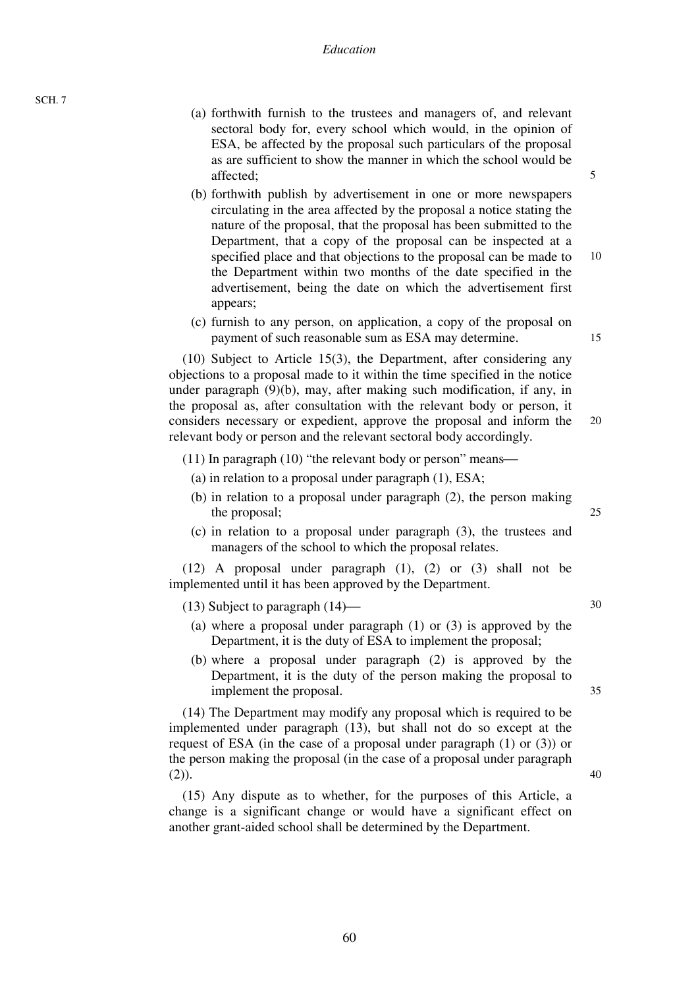- (a) forthwith furnish to the trustees and managers of, and relevant sectoral body for, every school which would, in the opinion of ESA, be affected by the proposal such particulars of the proposal as are sufficient to show the manner in which the school would be affected;
- (b) forthwith publish by advertisement in one or more newspapers circulating in the area affected by the proposal a notice stating the nature of the proposal, that the proposal has been submitted to the Department, that a copy of the proposal can be inspected at a specified place and that objections to the proposal can be made to the Department within two months of the date specified in the advertisement, being the date on which the advertisement first appears;
- (c) furnish to any person, on application, a copy of the proposal on payment of such reasonable sum as ESA may determine.

20 (10) Subject to Article 15(3), the Department, after considering any objections to a proposal made to it within the time specified in the notice under paragraph (9)(b), may, after making such modification, if any, in the proposal as, after consultation with the relevant body or person, it considers necessary or expedient, approve the proposal and inform the relevant body or person and the relevant sectoral body accordingly.

- (11) In paragraph  $(10)$  "the relevant body or person" means—
	- (a) in relation to a proposal under paragraph (1), ESA;
	- (b) in relation to a proposal under paragraph (2), the person making the proposal;
	- (c) in relation to a proposal under paragraph (3), the trustees and managers of the school to which the proposal relates.

(12) A proposal under paragraph (1), (2) or (3) shall not be implemented until it has been approved by the Department.

(13) Subject to paragraph  $(14)$ —

- (a) where a proposal under paragraph (1) or (3) is approved by the Department, it is the duty of ESA to implement the proposal;
- (b) where a proposal under paragraph (2) is approved by the Department, it is the duty of the person making the proposal to implement the proposal.

(14) The Department may modify any proposal which is required to be implemented under paragraph (13), but shall not do so except at the request of ESA (in the case of a proposal under paragraph (1) or (3)) or the person making the proposal (in the case of a proposal under paragraph  $(2)$ ).

(15) Any dispute as to whether, for the purposes of this Article, a change is a significant change or would have a significant effect on another grant-aided school shall be determined by the Department.

15

10

5

30

40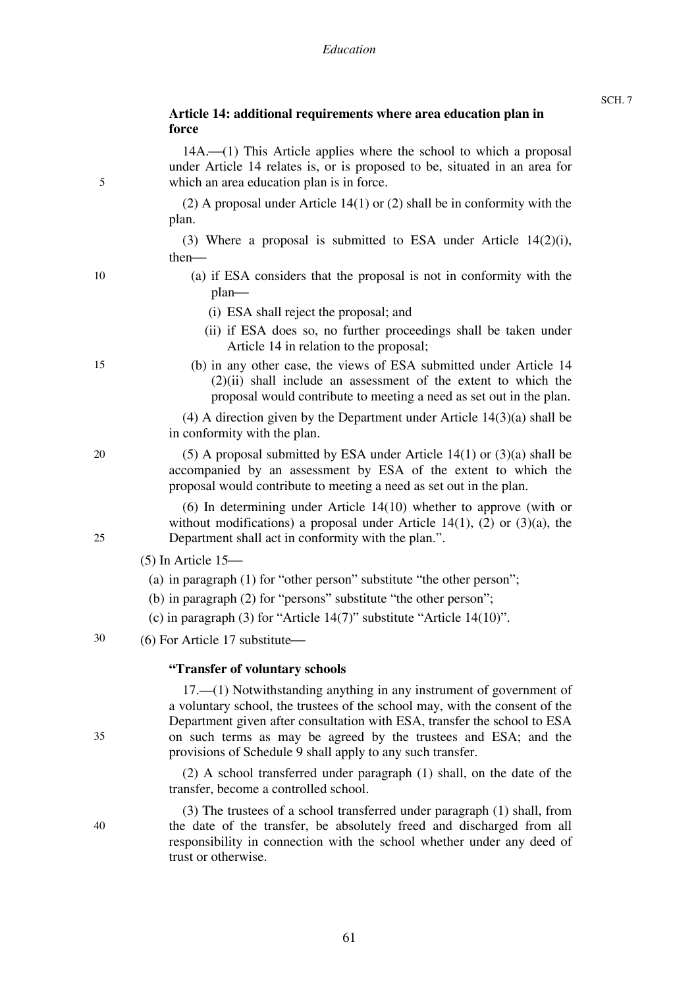# **Article 14: additional requirements where area education plan in force**

| 5  | $14A$ .—(1) This Article applies where the school to which a proposal<br>under Article 14 relates is, or is proposed to be, situated in an area for<br>which an area education plan is in force.                                                                                                                                                                      |
|----|-----------------------------------------------------------------------------------------------------------------------------------------------------------------------------------------------------------------------------------------------------------------------------------------------------------------------------------------------------------------------|
|    | (2) A proposal under Article $14(1)$ or (2) shall be in conformity with the<br>plan.                                                                                                                                                                                                                                                                                  |
|    | (3) Where a proposal is submitted to ESA under Article $14(2)(i)$ ,<br>$then$ —                                                                                                                                                                                                                                                                                       |
| 10 | (a) if ESA considers that the proposal is not in conformity with the<br>$plan$ —                                                                                                                                                                                                                                                                                      |
|    | (i) ESA shall reject the proposal; and                                                                                                                                                                                                                                                                                                                                |
|    | (ii) if ESA does so, no further proceedings shall be taken under<br>Article 14 in relation to the proposal;                                                                                                                                                                                                                                                           |
| 15 | (b) in any other case, the views of ESA submitted under Article 14<br>$(2)(ii)$ shall include an assessment of the extent to which the<br>proposal would contribute to meeting a need as set out in the plan.                                                                                                                                                         |
|    | $(4)$ A direction given by the Department under Article 14 $(3)(a)$ shall be<br>in conformity with the plan.                                                                                                                                                                                                                                                          |
| 20 | $(5)$ A proposal submitted by ESA under Article 14(1) or $(3)(a)$ shall be<br>accompanied by an assessment by ESA of the extent to which the<br>proposal would contribute to meeting a need as set out in the plan.                                                                                                                                                   |
| 25 | $(6)$ In determining under Article 14 $(10)$ whether to approve (with or<br>without modifications) a proposal under Article 14(1), (2) or (3)(a), the<br>Department shall act in conformity with the plan.".                                                                                                                                                          |
|    | $(5)$ In Article 15—                                                                                                                                                                                                                                                                                                                                                  |
|    | (a) in paragraph $(1)$ for "other person" substitute "the other person";                                                                                                                                                                                                                                                                                              |
|    | (b) in paragraph (2) for "persons" substitute "the other person";                                                                                                                                                                                                                                                                                                     |
|    | (c) in paragraph (3) for "Article $14(7)$ " substitute "Article $14(10)$ ".                                                                                                                                                                                                                                                                                           |
| 30 | (6) For Article 17 substitute-                                                                                                                                                                                                                                                                                                                                        |
|    | "Transfer of voluntary schools"                                                                                                                                                                                                                                                                                                                                       |
| 35 | $17. \t— (1)$ Notwithstanding anything in any instrument of government of<br>a voluntary school, the trustees of the school may, with the consent of the<br>Department given after consultation with ESA, transfer the school to ESA<br>on such terms as may be agreed by the trustees and ESA; and the<br>provisions of Schedule 9 shall apply to any such transfer. |
|    | (2) A school transferred under paragraph (1) shall, on the date of the<br>transfer, become a controlled school.                                                                                                                                                                                                                                                       |
| 40 | (3) The trustees of a school transferred under paragraph (1) shall, from<br>the date of the transfer, be absolutely freed and discharged from all                                                                                                                                                                                                                     |

the date of the transfer, be absolutely freed and discharged from all responsibility in connection with the school whether under any deed of trust or otherwise.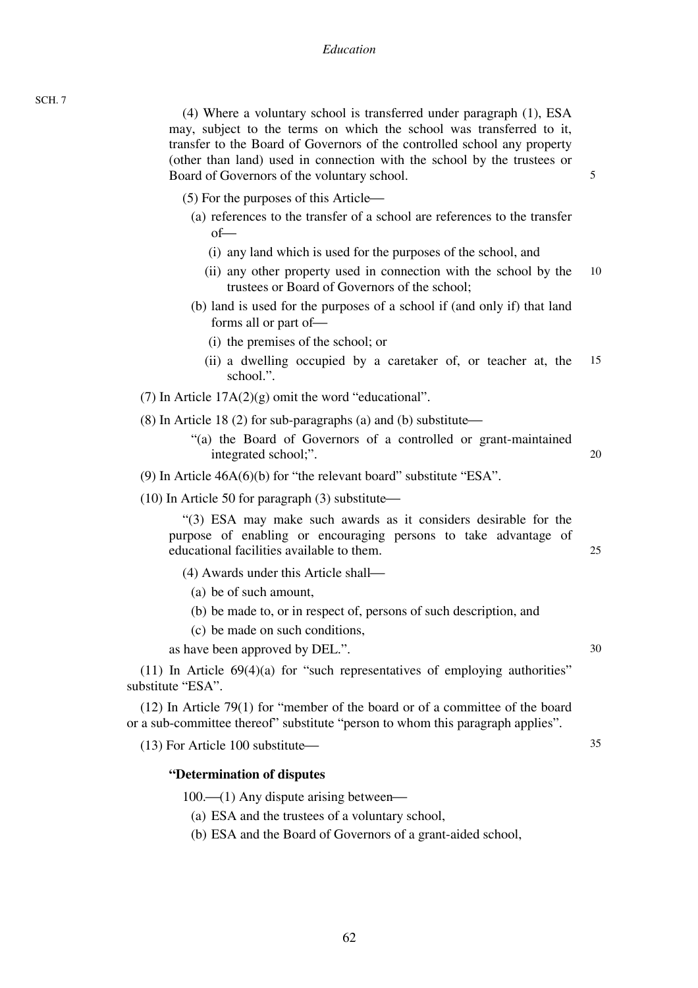#### *Education*

(4) Where a voluntary school is transferred under paragraph (1), ESA may, subject to the terms on which the school was transferred to it, transfer to the Board of Governors of the controlled school any property (other than land) used in connection with the school by the trustees or Board of Governors of the voluntary school.

5

- $(5)$  For the purposes of this Article $\rightarrow$ 
	- (a) references to the transfer of a school are references to the transfer  $of$ 
		- (i) any land which is used for the purposes of the school, and
		- 10 (ii) any other property used in connection with the school by the trustees or Board of Governors of the school;
	- (b) land is used for the purposes of a school if (and only if) that land forms all or part of-
		- (i) the premises of the school; or
		- 15 (ii) a dwelling occupied by a caretaker of, or teacher at, the school.".

(7) In Article  $17A(2)(g)$  omit the word "educational".

- (8) In Article 18 (2) for sub-paragraphs (a) and (b) substitute $\rightarrow$ 
	- "(a) the Board of Governors of a controlled or grant-maintained integrated school;".
- (9) In Article 46A(6)(b) for "the relevant board" substitute "ESA".

 $(10)$  In Article 50 for paragraph  $(3)$  substitute—

"(3) ESA may make such awards as it considers desirable for the purpose of enabling or encouraging persons to take advantage of educational facilities available to them.

- $(4)$  Awards under this Article shall—
	- (a) be of such amount,
	- (b) be made to, or in respect of, persons of such description, and
	- (c) be made on such conditions,

as have been approved by DEL.".

 $(11)$  In Article  $69(4)(a)$  for "such representatives of employing authorities" substitute "ESA".

(12) In Article 79(1) for "member of the board or of a committee of the board or a sub-committee thereof" substitute "person to whom this paragraph applies".

 $(13)$  For Article 100 substitute $\overline{\phantom{a}}$ 

#### **"Determination of disputes**

 $100$ — $(1)$  Any dispute arising between—

- (a) ESA and the trustees of a voluntary school,
- (b) ESA and the Board of Governors of a grant-aided school,

30

35

20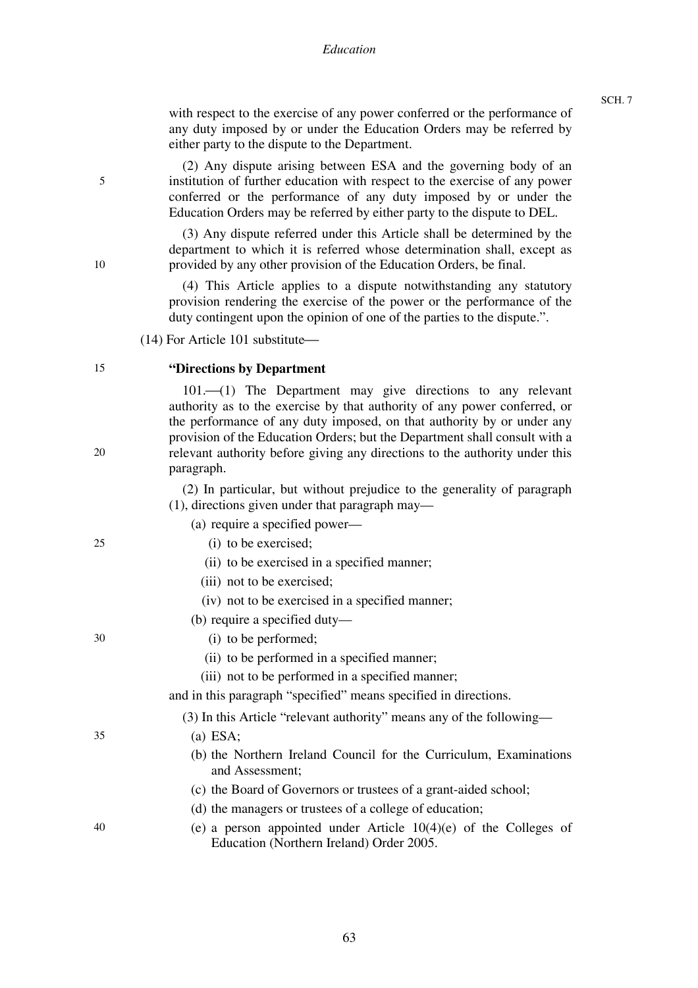with respect to the exercise of any power conferred or the performance of any duty imposed by or under the Education Orders may be referred by either party to the dispute to the Department.

(2) Any dispute arising between ESA and the governing body of an institution of further education with respect to the exercise of any power conferred or the performance of any duty imposed by or under the Education Orders may be referred by either party to the dispute to DEL.

(3) Any dispute referred under this Article shall be determined by the department to which it is referred whose determination shall, except as provided by any other provision of the Education Orders, be final.

(4) This Article applies to a dispute notwithstanding any statutory provision rendering the exercise of the power or the performance of the duty contingent upon the opinion of one of the parties to the dispute.".

 $(14)$  For Article 101 substitute $-$ 

#### 15 **"Directions by Department**

 $101. (1)$  The Department may give directions to any relevant authority as to the exercise by that authority of any power conferred, or the performance of any duty imposed, on that authority by or under any provision of the Education Orders; but the Department shall consult with a relevant authority before giving any directions to the authority under this paragraph.

(2) In particular, but without prejudice to the generality of paragraph (1), directions given under that paragraph may—

- (a) require a specified power—
	- (i) to be exercised;
	- (ii) to be exercised in a specified manner;
	- (iii) not to be exercised;
	- (iv) not to be exercised in a specified manner;
- (b) require a specified duty—
	- (i) to be performed;
	- (ii) to be performed in a specified manner;
	- (iii) not to be performed in a specified manner;

and in this paragraph "specified" means specified in directions.

(3) In this Article "relevant authority" means any of the following—

- (a) ESA;
- (b) the Northern Ireland Council for the Curriculum, Examinations and Assessment;
- (c) the Board of Governors or trustees of a grant-aided school;
- (d) the managers or trustees of a college of education;
- (e) a person appointed under Article 10(4)(e) of the Colleges of Education (Northern Ireland) Order 2005.

5

20

25

35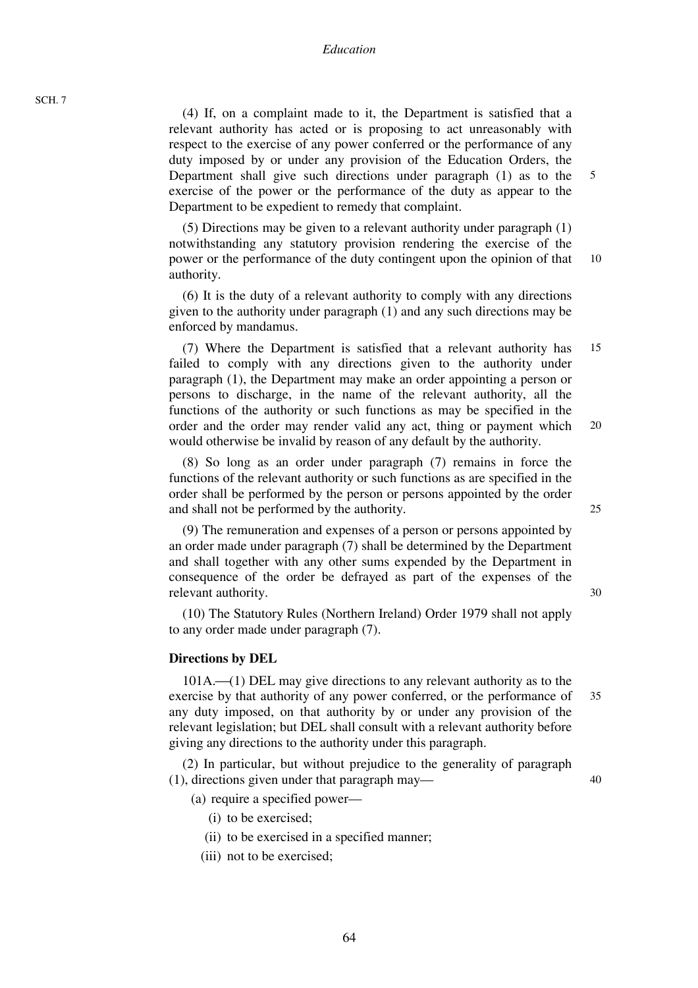(4) If, on a complaint made to it, the Department is satisfied that a relevant authority has acted or is proposing to act unreasonably with respect to the exercise of any power conferred or the performance of any duty imposed by or under any provision of the Education Orders, the Department shall give such directions under paragraph (1) as to the exercise of the power or the performance of the duty as appear to the Department to be expedient to remedy that complaint.

10 (5) Directions may be given to a relevant authority under paragraph (1) notwithstanding any statutory provision rendering the exercise of the power or the performance of the duty contingent upon the opinion of that authority.

(6) It is the duty of a relevant authority to comply with any directions given to the authority under paragraph (1) and any such directions may be enforced by mandamus.

15 20 (7) Where the Department is satisfied that a relevant authority has failed to comply with any directions given to the authority under paragraph (1), the Department may make an order appointing a person or persons to discharge, in the name of the relevant authority, all the functions of the authority or such functions as may be specified in the order and the order may render valid any act, thing or payment which would otherwise be invalid by reason of any default by the authority.

(8) So long as an order under paragraph (7) remains in force the functions of the relevant authority or such functions as are specified in the order shall be performed by the person or persons appointed by the order and shall not be performed by the authority.

(9) The remuneration and expenses of a person or persons appointed by an order made under paragraph (7) shall be determined by the Department and shall together with any other sums expended by the Department in consequence of the order be defrayed as part of the expenses of the relevant authority.

(10) The Statutory Rules (Northern Ireland) Order 1979 shall not apply to any order made under paragraph (7).

#### **Directions by DEL**

 $101A$ . $\rightarrow$ (1) DEL may give directions to any relevant authority as to the exercise by that authority of any power conferred, or the performance of any duty imposed, on that authority by or under any provision of the relevant legislation; but DEL shall consult with a relevant authority before giving any directions to the authority under this paragraph.

(2) In particular, but without prejudice to the generality of paragraph (1), directions given under that paragraph may—

- (a) require a specified power—
	- (i) to be exercised;
	- (ii) to be exercised in a specified manner;
	- (iii) not to be exercised;

25

30

5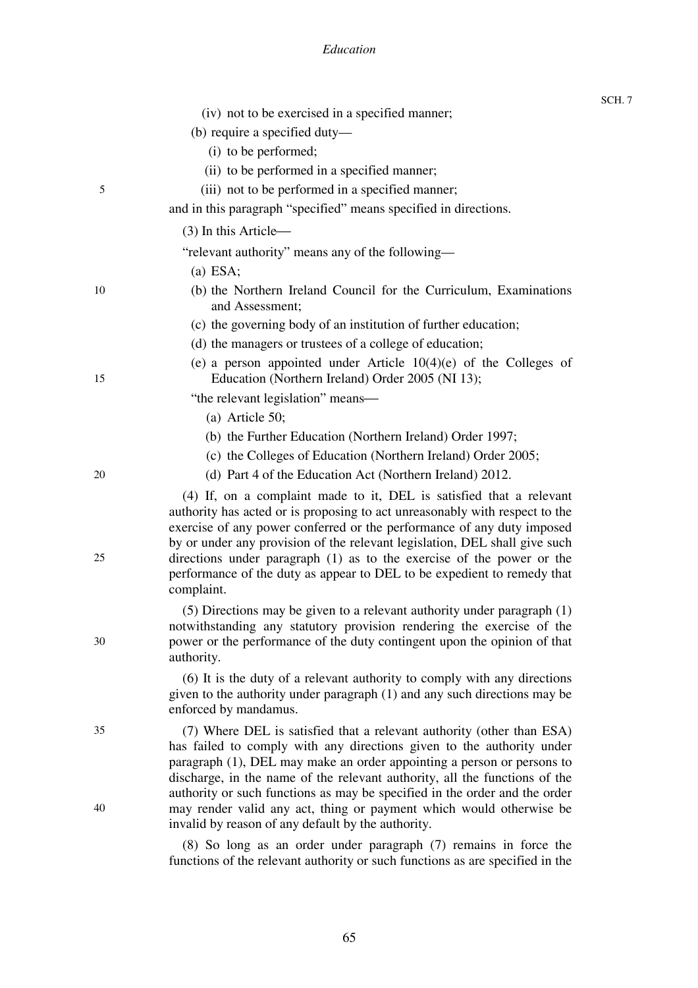### *Education*

SCH. 7

|    | (iv) not to be exercised in a specified manner;                                                                                                                                                                                                                                                                                                                                                                                                                              |
|----|------------------------------------------------------------------------------------------------------------------------------------------------------------------------------------------------------------------------------------------------------------------------------------------------------------------------------------------------------------------------------------------------------------------------------------------------------------------------------|
|    | (b) require a specified duty—                                                                                                                                                                                                                                                                                                                                                                                                                                                |
|    | (i) to be performed;                                                                                                                                                                                                                                                                                                                                                                                                                                                         |
|    | (ii) to be performed in a specified manner;                                                                                                                                                                                                                                                                                                                                                                                                                                  |
| 5  | (iii) not to be performed in a specified manner;                                                                                                                                                                                                                                                                                                                                                                                                                             |
|    | and in this paragraph "specified" means specified in directions.                                                                                                                                                                                                                                                                                                                                                                                                             |
|    | $(3)$ In this Article—                                                                                                                                                                                                                                                                                                                                                                                                                                                       |
|    | "relevant authority" means any of the following—                                                                                                                                                                                                                                                                                                                                                                                                                             |
|    | $(a)$ ESA;                                                                                                                                                                                                                                                                                                                                                                                                                                                                   |
| 10 | (b) the Northern Ireland Council for the Curriculum, Examinations<br>and Assessment;                                                                                                                                                                                                                                                                                                                                                                                         |
|    | (c) the governing body of an institution of further education;                                                                                                                                                                                                                                                                                                                                                                                                               |
|    | (d) the managers or trustees of a college of education;                                                                                                                                                                                                                                                                                                                                                                                                                      |
| 15 | (e) a person appointed under Article $10(4)(e)$ of the Colleges of<br>Education (Northern Ireland) Order 2005 (NI 13);                                                                                                                                                                                                                                                                                                                                                       |
|    | "the relevant legislation" means—                                                                                                                                                                                                                                                                                                                                                                                                                                            |
|    | $(a)$ Article 50;                                                                                                                                                                                                                                                                                                                                                                                                                                                            |
|    | (b) the Further Education (Northern Ireland) Order 1997;                                                                                                                                                                                                                                                                                                                                                                                                                     |
|    | (c) the Colleges of Education (Northern Ireland) Order 2005;                                                                                                                                                                                                                                                                                                                                                                                                                 |
| 20 | (d) Part 4 of the Education Act (Northern Ireland) 2012.                                                                                                                                                                                                                                                                                                                                                                                                                     |
| 25 | (4) If, on a complaint made to it, DEL is satisfied that a relevant<br>authority has acted or is proposing to act unreasonably with respect to the<br>exercise of any power conferred or the performance of any duty imposed<br>by or under any provision of the relevant legislation, DEL shall give such<br>directions under paragraph (1) as to the exercise of the power or the<br>performance of the duty as appear to DEL to be expedient to remedy that<br>complaint. |
| 30 | $(5)$ Directions may be given to a relevant authority under paragraph $(1)$<br>notwithstanding any statutory provision rendering the exercise of the<br>power or the performance of the duty contingent upon the opinion of that<br>authority.                                                                                                                                                                                                                               |
|    | (6) It is the duty of a relevant authority to comply with any directions<br>given to the authority under paragraph (1) and any such directions may be<br>enforced by mandamus.                                                                                                                                                                                                                                                                                               |
| 35 | (7) Where DEL is satisfied that a relevant authority (other than ESA)<br>has failed to comply with any directions given to the authority under<br>paragraph (1), DEL may make an order appointing a person or persons to<br>discharge, in the name of the relevant authority, all the functions of the<br>authority or such functions as may be specified in the order and the order                                                                                         |
| 40 | may render valid any act, thing or payment which would otherwise be<br>invalid by reason of any default by the authority.                                                                                                                                                                                                                                                                                                                                                    |

(8) So long as an order under paragraph (7) remains in force the functions of the relevant authority or such functions as are specified in the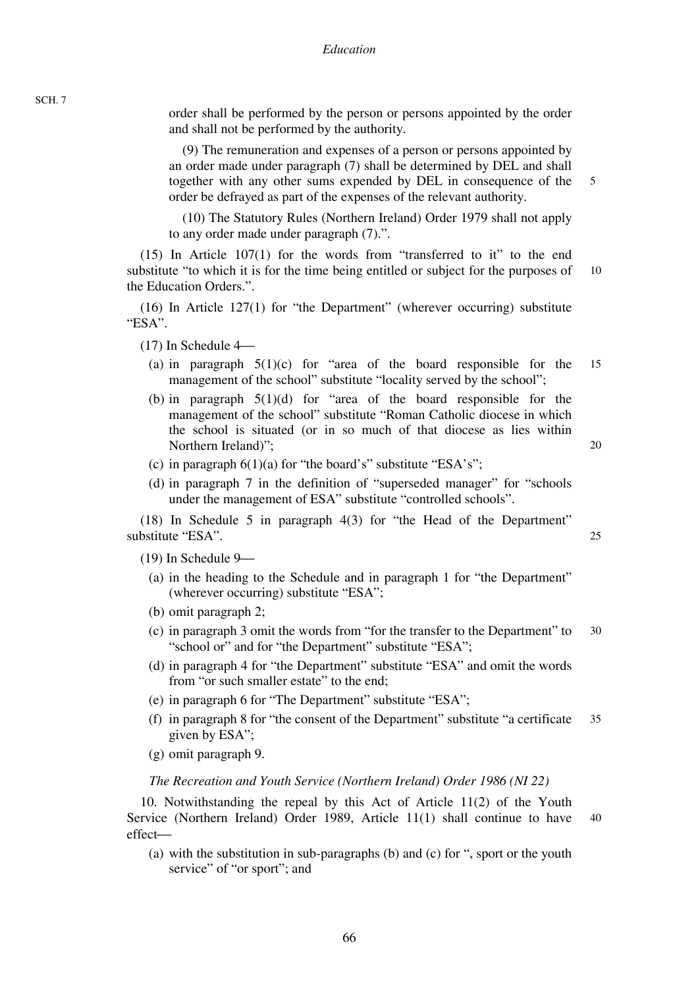order shall be performed by the person or persons appointed by the order and shall not be performed by the authority.

(9) The remuneration and expenses of a person or persons appointed by an order made under paragraph (7) shall be determined by DEL and shall together with any other sums expended by DEL in consequence of the order be defrayed as part of the expenses of the relevant authority.

5

20

 $25$ 

(10) The Statutory Rules (Northern Ireland) Order 1979 shall not apply to any order made under paragraph (7).".

10 (15) In Article 107(1) for the words from "transferred to it" to the end substitute "to which it is for the time being entitled or subject for the purposes of the Education Orders.".

(16) In Article 127(1) for "the Department" (wherever occurring) substitute "ESA".

 $(17)$  In Schedule 4 $-$ 

- 15 (a) in paragraph  $5(1)(c)$  for "area of the board responsible for the management of the school" substitute "locality served by the school";
- (b) in paragraph  $5(1)(d)$  for "area of the board responsible for the management of the school" substitute "Roman Catholic diocese in which the school is situated (or in so much of that diocese as lies within Northern Ireland)";
- (c) in paragraph  $6(1)(a)$  for "the board's" substitute "ESA's";
- (d) in paragraph 7 in the definition of "superseded manager" for "schools under the management of ESA" substitute "controlled schools".

(18) In Schedule 5 in paragraph 4(3) for "the Head of the Department" substitute "ESA".

 $(19)$  In Schedule 9 $-$ 

- (a) in the heading to the Schedule and in paragraph 1 for "the Department" (wherever occurring) substitute "ESA";
- (b) omit paragraph 2;
- 30 (c) in paragraph 3 omit the words from "for the transfer to the Department" to "school or" and for "the Department" substitute "ESA";
- (d) in paragraph 4 for "the Department" substitute "ESA" and omit the words from "or such smaller estate" to the end:
- (e) in paragraph 6 for "The Department" substitute "ESA";
- 35 (f) in paragraph 8 for "the consent of the Department" substitute "a certificate given by ESA";
- (g) omit paragraph 9.

#### *The Recreation and Youth Service (Northern Ireland) Order 1986 (NI 22)*

40 10. Notwithstanding the repeal by this Act of Article 11(2) of the Youth Service (Northern Ireland) Order 1989, Article 11(1) shall continue to have effect-

(a) with the substitution in sub-paragraphs (b) and (c) for ", sport or the youth service" of "or sport"; and

SCH. 7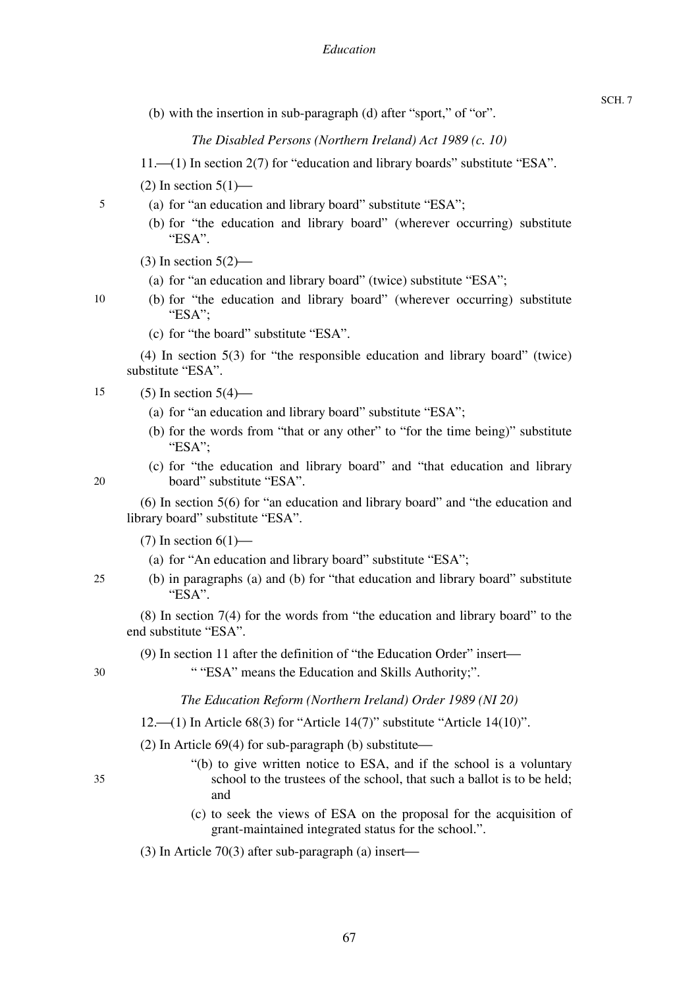(b) with the insertion in sub-paragraph (d) after "sport," of "or".

*The Disabled Persons (Northern Ireland) Act 1989 (c. 10)* 

- $11.$  (1) In section 2(7) for "education and library boards" substitute "ESA".
- (2) In section  $5(1)$ —
- (a) for "an education and library board" substitute "ESA";
	- (b) for "the education and library board" (wherever occurring) substitute "ESA".
- $(3)$  In section  $5(2)$ —
- (a) for "an education and library board" (twice) substitute "ESA";
- (b) for "the education and library board" (wherever occurring) substitute "ESA";
	- (c) for "the board" substitute "ESA".

(4) In section 5(3) for "the responsible education and library board" (twice) substitute "ESA".

- 15  $(5)$  In section  $5(4)$ —
	- (a) for "an education and library board" substitute "ESA";
	- (b) for the words from "that or any other" to "for the time being)" substitute "ESA";
	- (c) for "the education and library board" and "that education and library board" substitute "ESA".

(6) In section 5(6) for "an education and library board" and "the education and library board" substitute "ESA".

(7) In section  $6(1)$ —

- (a) for "An education and library board" substitute "ESA";
- (b) in paragraphs (a) and (b) for "that education and library board" substitute "ESA".

(8) In section 7(4) for the words from "the education and library board" to the end substitute "ESA".

(9) In section 11 after the definition of "the Education Order" insert—

30

35

" "ESA" means the Education and Skills Authority;".

*The Education Reform (Northern Ireland) Order 1989 (NI 20)* 

- 12.  $(1)$  In Article 68(3) for "Article 14(7)" substitute "Article 14(10)".
- (2) In Article  $69(4)$  for sub-paragraph (b) substitute—
	- "(b) to give written notice to ESA, and if the school is a voluntary school to the trustees of the school, that such a ballot is to be held; and
	- (c) to seek the views of ESA on the proposal for the acquisition of grant-maintained integrated status for the school.".
- $(3)$  In Article 70 $(3)$  after sub-paragraph  $(a)$  insert—

10

20

25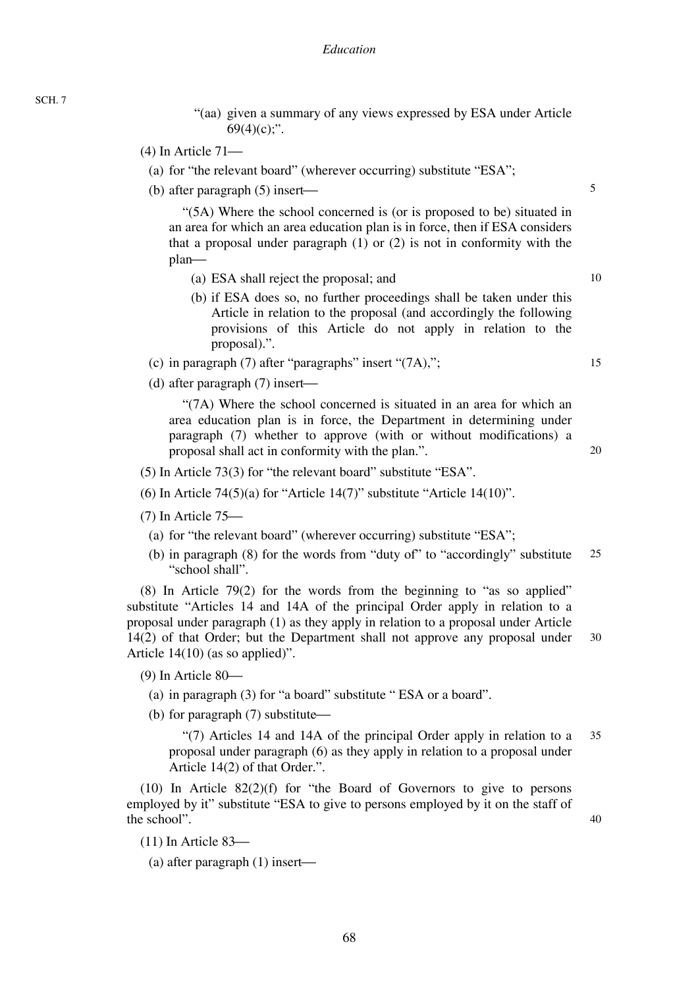SCH. 7

- "(aa) given a summary of any views expressed by ESA under Article  $69(4)(c)$ ;".
- $(4)$  In Article  $71$ 
	- (a) for "the relevant board" (wherever occurring) substitute "ESA";
	- (b) after paragraph  $(5)$  insert—

"(5A) Where the school concerned is (or is proposed to be) situated in an area for which an area education plan is in force, then if ESA considers that a proposal under paragraph (1) or (2) is not in conformity with the plan—

- (a) ESA shall reject the proposal; and
- (b) if ESA does so, no further proceedings shall be taken under this Article in relation to the proposal (and accordingly the following provisions of this Article do not apply in relation to the proposal).".
- (c) in paragraph  $(7)$  after "paragraphs" insert " $(7A)$ ,";
- (d) after paragraph  $(7)$  insert—

"(7A) Where the school concerned is situated in an area for which an area education plan is in force, the Department in determining under paragraph (7) whether to approve (with or without modifications) a proposal shall act in conformity with the plan.".

- (5) In Article 73(3) for "the relevant board" substitute "ESA".
- (6) In Article 74(5)(a) for "Article 14(7)" substitute "Article 14(10)".
- $(7)$  In Article  $75$ 
	- (a) for "the relevant board" (wherever occurring) substitute "ESA";
	- 25 (b) in paragraph (8) for the words from "duty of" to "accordingly" substitute "school shall".

30 (8) In Article 79(2) for the words from the beginning to "as so applied" substitute "Articles 14 and 14A of the principal Order apply in relation to a proposal under paragraph (1) as they apply in relation to a proposal under Article 14(2) of that Order; but the Department shall not approve any proposal under Article 14(10) (as so applied)".

 $(9)$  In Article 80 $-$ 

- (a) in paragraph (3) for "a board" substitute " ESA or a board".
- (b) for paragraph  $(7)$  substitute —

35 "(7) Articles 14 and 14A of the principal Order apply in relation to a proposal under paragraph (6) as they apply in relation to a proposal under Article 14(2) of that Order.".

(10) In Article 82(2)(f) for "the Board of Governors to give to persons employed by it" substitute "ESA to give to persons employed by it on the staff of the school".

40

- $(11)$  In Article 83 $-$ 
	- (a) after paragraph  $(1)$  insert—

10

5

20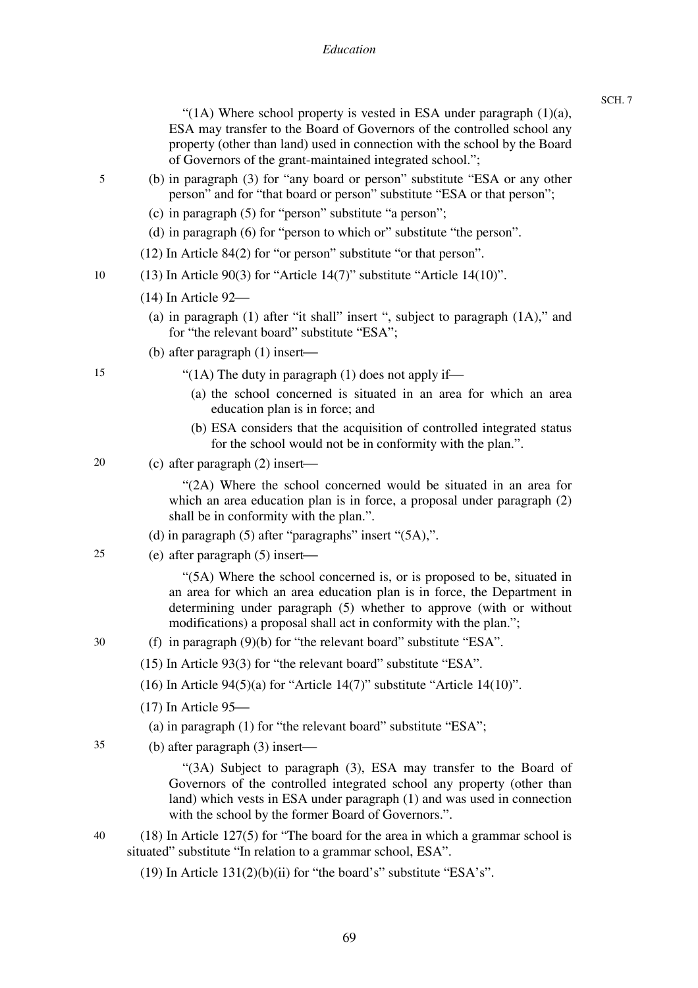"(1A) Where school property is vested in ESA under paragraph  $(1)(a)$ , ESA may transfer to the Board of Governors of the controlled school any property (other than land) used in connection with the school by the Board of Governors of the grant-maintained integrated school.";

- (b) in paragraph (3) for "any board or person" substitute "ESA or any other person" and for "that board or person" substitute "ESA or that person";
	- (c) in paragraph (5) for "person" substitute "a person";
	- (d) in paragraph (6) for "person to which or" substitute "the person".
	- (12) In Article 84(2) for "or person" substitute "or that person".
- 10 (13) In Article 90(3) for "Article 14(7)" substitute "Article 14(10)".
	- $(14)$  In Article 92 $-$ 
		- (a) in paragraph (1) after "it shall" insert ", subject to paragraph (1A)," and for "the relevant board" substitute "ESA";
	- (b) after paragraph  $(1)$  insert—
- 15

5

- "(1A) The duty in paragraph (1) does not apply if—
	- (a) the school concerned is situated in an area for which an area education plan is in force; and
	- (b) ESA considers that the acquisition of controlled integrated status for the school would not be in conformity with the plan.".
- 20 (c) after paragraph  $(2)$  insert—

"(2A) Where the school concerned would be situated in an area for which an area education plan is in force, a proposal under paragraph  $(2)$ shall be in conformity with the plan.".

- (d) in paragraph  $(5)$  after "paragraphs" insert " $(5A)$ ,".
- 25 (e) after paragraph  $(5)$  insert—

"(5A) Where the school concerned is, or is proposed to be, situated in an area for which an area education plan is in force, the Department in determining under paragraph (5) whether to approve (with or without modifications) a proposal shall act in conformity with the plan.";

- (f) in paragraph (9)(b) for "the relevant board" substitute "ESA".
	- (15) In Article 93(3) for "the relevant board" substitute "ESA".
	- (16) In Article 94(5)(a) for "Article 14(7)" substitute "Article 14(10)".
	- $(17)$  In Article 95 $-$ 
		- (a) in paragraph (1) for "the relevant board" substitute "ESA";
- 35 (b) after paragraph  $(3)$  insert—

"(3A) Subject to paragraph (3), ESA may transfer to the Board of Governors of the controlled integrated school any property (other than land) which vests in ESA under paragraph (1) and was used in connection with the school by the former Board of Governors.".

- 40 (18) In Article 127(5) for "The board for the area in which a grammar school is situated" substitute "In relation to a grammar school, ESA".
	- (19) In Article  $131(2)(b)(ii)$  for "the board's" substitute "ESA's".
- 30
- 
-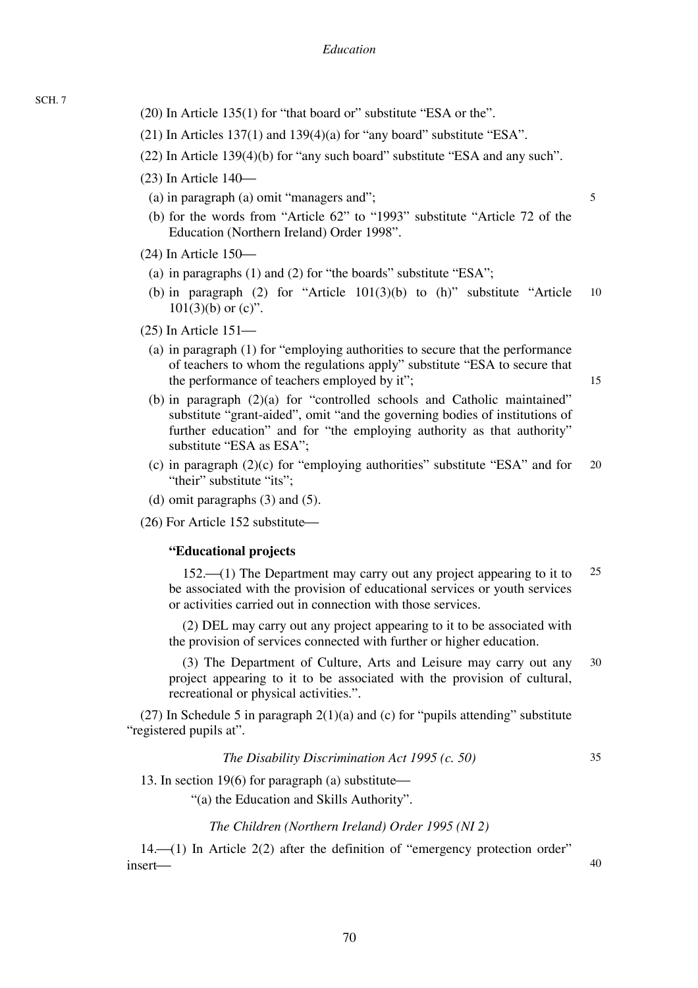- SCH. 7
- (20) In Article 135(1) for "that board or" substitute "ESA or the".
- (21) In Articles  $137(1)$  and  $139(4)(a)$  for "any board" substitute "ESA".
- (22) In Article 139(4)(b) for "any such board" substitute "ESA and any such".
- $(23)$  In Article  $140-$ 
	- (a) in paragraph (a) omit "managers and";
	- (b) for the words from "Article 62" to "1993" substitute "Article 72 of the Education (Northern Ireland) Order 1998".
- $(24)$  In Article 150 $-$ 
	- (a) in paragraphs (1) and (2) for "the boards" substitute "ESA";
	- 10 (b) in paragraph (2) for "Article  $101(3)(b)$  to (h)" substitute "Article  $101(3)(b)$  or  $(c)$ ".
- $(25)$  In Article  $151$ 
	- (a) in paragraph (1) for "employing authorities to secure that the performance of teachers to whom the regulations apply" substitute "ESA to secure that the performance of teachers employed by it";

15

5

- (b) in paragraph (2)(a) for "controlled schools and Catholic maintained" substitute "grant-aided", omit "and the governing bodies of institutions of further education" and for "the employing authority as that authority" substitute "ESA as ESA";
- 20 (c) in paragraph (2)(c) for "employing authorities" substitute "ESA" and for "their" substitute "its":
- (d) omit paragraphs (3) and (5).

 $(26)$  For Article 152 substitute $-$ 

## **"Educational projects**

25 152.<sup>(1)</sup> The Department may carry out any project appearing to it to be associated with the provision of educational services or youth services or activities carried out in connection with those services.

(2) DEL may carry out any project appearing to it to be associated with the provision of services connected with further or higher education.

30 (3) The Department of Culture, Arts and Leisure may carry out any project appearing to it to be associated with the provision of cultural, recreational or physical activities.".

(27) In Schedule 5 in paragraph  $2(1)(a)$  and (c) for "pupils attending" substitute "registered pupils at".

*The Disability Discrimination Act 1995 (c. 50)* 

35

40

13. In section 19(6) for paragraph (a) substitute—

"(a) the Education and Skills Authority".

## *The Children (Northern Ireland) Order 1995 (NI 2)*

 $14.$   $\rightarrow$  (1) In Article 2(2) after the definition of "emergency protection order" insert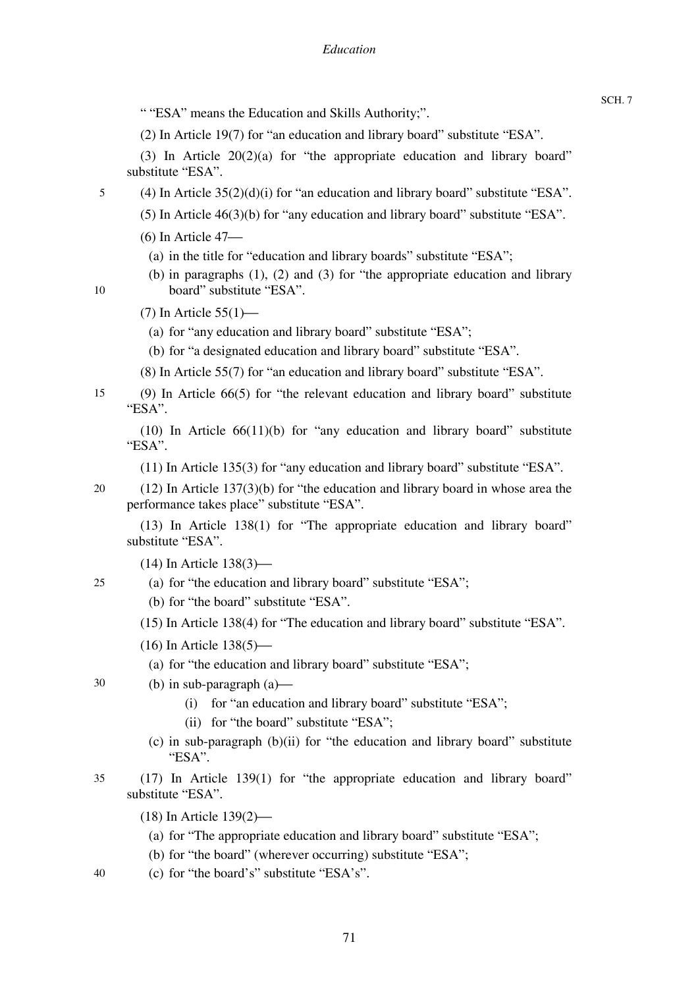" "ESA" means the Education and Skills Authority;".

(2) In Article 19(7) for "an education and library board" substitute "ESA".

(3) In Article 20(2)(a) for "the appropriate education and library board" substitute "ESA".

- (4) In Article  $35(2)(d)(i)$  for "an education and library board" substitute "ESA".
	- (5) In Article 46(3)(b) for "any education and library board" substitute "ESA".

 $(6)$  In Article 47 $-$ 

5

10

35

- (a) in the title for "education and library boards" substitute "ESA";
- (b) in paragraphs (1), (2) and (3) for "the appropriate education and library board" substitute "ESA".
- $(7)$  In Article  $55(1)$ 
	- (a) for "any education and library board" substitute "ESA";
	- (b) for "a designated education and library board" substitute "ESA".
- (8) In Article 55(7) for "an education and library board" substitute "ESA".
- 15 (9) In Article 66(5) for "the relevant education and library board" substitute "ESA".

(10) In Article 66(11)(b) for "any education and library board" substitute "ESA".

(11) In Article 135(3) for "any education and library board" substitute "ESA".

20 (12) In Article 137(3)(b) for "the education and library board in whose area the performance takes place" substitute "ESA".

(13) In Article 138(1) for "The appropriate education and library board" substitute "ESA".

 $(14)$  In Article  $138(3)$ —

- 25 (a) for "the education and library board" substitute "ESA";
	- (b) for "the board" substitute "ESA".

(15) In Article 138(4) for "The education and library board" substitute "ESA".

 $(16)$  In Article  $138(5)$ —

(a) for "the education and library board" substitute "ESA";

- 30 (b) in sub-paragraph  $(a)$ —
	- (i) for "an education and library board" substitute "ESA";
	- (ii) for "the board" substitute "ESA";
	- (c) in sub-paragraph (b)(ii) for "the education and library board" substitute "ESA".
	- (17) In Article 139(1) for "the appropriate education and library board" substitute "ESA".
		- $(18)$  In Article  $139(2)$ 
			- (a) for "The appropriate education and library board" substitute "ESA";
			- (b) for "the board" (wherever occurring) substitute "ESA";
- 40 (c) for "the board's" substitute "ESA's".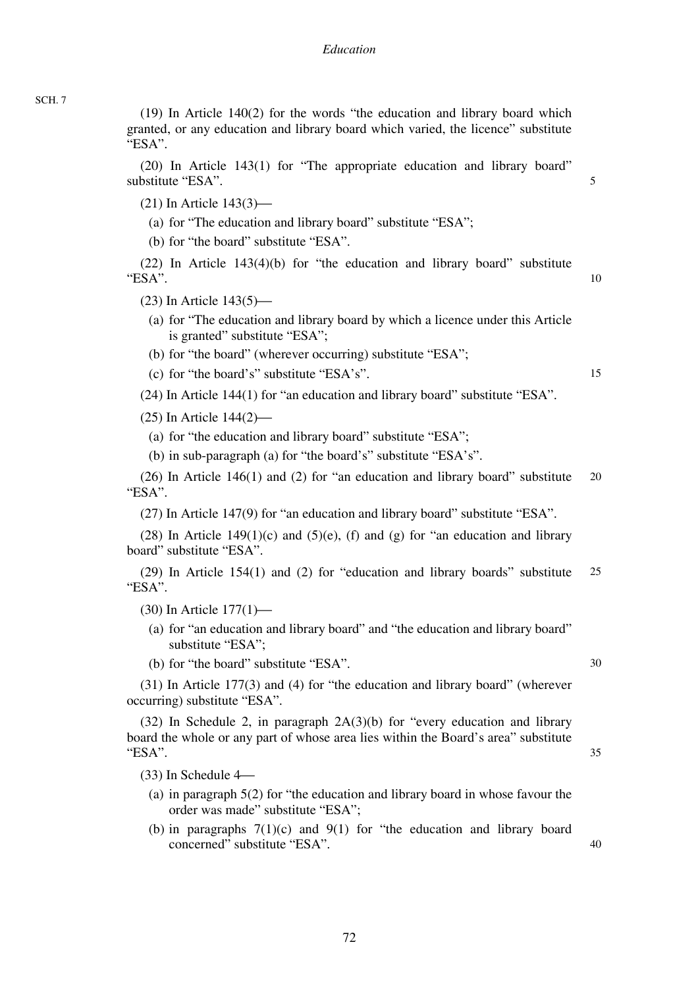(19) In Article 140(2) for the words "the education and library board which granted, or any education and library board which varied, the licence" substitute "ESA".

(20) In Article 143(1) for "The appropriate education and library board" substitute "ESA".

 $(21)$  In Article 143 $(3)$ —

(a) for "The education and library board" substitute "ESA";

(b) for "the board" substitute "ESA".

(22) In Article 143(4)(b) for "the education and library board" substitute "ESA".

 $(23)$  In Article  $143(5)$ —

- (a) for "The education and library board by which a licence under this Article is granted" substitute "ESA";
- (b) for "the board" (wherever occurring) substitute "ESA";

(c) for "the board's" substitute "ESA's".

(24) In Article 144(1) for "an education and library board" substitute "ESA".

 $(25)$  In Article  $144(2)$ —

- (a) for "the education and library board" substitute "ESA";
- (b) in sub-paragraph (a) for "the board's" substitute "ESA's".

20 (26) In Article 146(1) and (2) for "an education and library board" substitute "ESA".

(27) In Article 147(9) for "an education and library board" substitute "ESA".

(28) In Article 149(1)(c) and (5)(e), (f) and (g) for "an education and library board" substitute "ESA".

25 (29) In Article 154(1) and (2) for "education and library boards" substitute "ESA".

 $(30)$  In Article  $177(1)$ —

- (a) for "an education and library board" and "the education and library board" substitute "ESA";
- (b) for "the board" substitute "ESA".

(31) In Article 177(3) and (4) for "the education and library board" (wherever occurring) substitute "ESA".

 $(32)$  In Schedule 2, in paragraph  $2A(3)(b)$  for "every education and library board the whole or any part of whose area lies within the Board's area" substitute "ESA".

 $(33)$  In Schedule 4 $-$ 

- (a) in paragraph 5(2) for "the education and library board in whose favour the order was made" substitute "ESA";
- (b) in paragraphs  $7(1)(c)$  and  $9(1)$  for "the education and library board concerned" substitute "ESA".

SCH. 7

35

40

5

10

15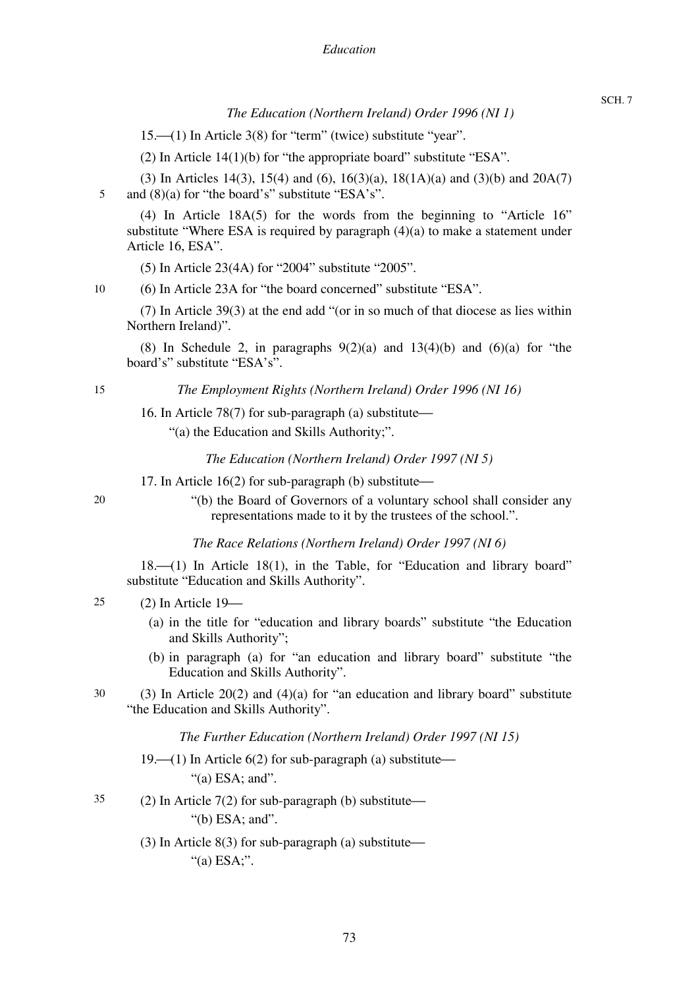*The Education (Northern Ireland) Order 1996 (NI 1)* 

 $15.$  (1) In Article 3(8) for "term" (twice) substitute "year".

(2) In Article 14(1)(b) for "the appropriate board" substitute "ESA".

5 (3) In Articles 14(3), 15(4) and (6), 16(3)(a), 18(1A)(a) and (3)(b) and 20A(7) and (8)(a) for "the board's" substitute "ESA's".

(4) In Article 18A(5) for the words from the beginning to "Article 16" substitute "Where ESA is required by paragraph  $(4)(a)$  to make a statement under Article 16, ESA".

(5) In Article 23(4A) for "2004" substitute "2005".

(6) In Article 23A for "the board concerned" substitute "ESA".

(7) In Article 39(3) at the end add "(or in so much of that diocese as lies within Northern Ireland)".

(8) In Schedule 2, in paragraphs  $9(2)(a)$  and  $13(4)(b)$  and  $(6)(a)$  for "the board's" substitute "ESA's".

15

10

*The Employment Rights (Northern Ireland) Order 1996 (NI 16)* 

16. In Article 78(7) for sub-paragraph (a) substitute $\rightarrow$ 

"(a) the Education and Skills Authority;".

*The Education (Northern Ireland) Order 1997 (NI 5)* 

17. In Article  $16(2)$  for sub-paragraph (b) substitute—

20

"(b) the Board of Governors of a voluntary school shall consider any representations made to it by the trustees of the school.".

*The Race Relations (Northern Ireland) Order 1997 (NI 6)* 

18.<sup> (1)</sup> In Article 18(1), in the Table, for "Education and library board" substitute "Education and Skills Authority".

#### 25  $(2)$  In Article 19 $-$

- (a) in the title for "education and library boards" substitute "the Education and Skills Authority";
- (b) in paragraph (a) for "an education and library board" substitute "the Education and Skills Authority".
- 30 (3) In Article 20(2) and  $(4)(a)$  for "an education and library board" substitute "the Education and Skills Authority".

*The Further Education (Northern Ireland) Order 1997 (NI 15)* 

- 19. $\left(-(1)\right)$  In Article 6(2) for sub-paragraph (a) substitute— " $(a)$  ESA; and".
- 35 (2) In Article  $7(2)$  for sub-paragraph (b) substitute— "(b) ESA; and".
	- (3) In Article 8(3) for sub-paragraph (a) substitute— "(a) ESA;".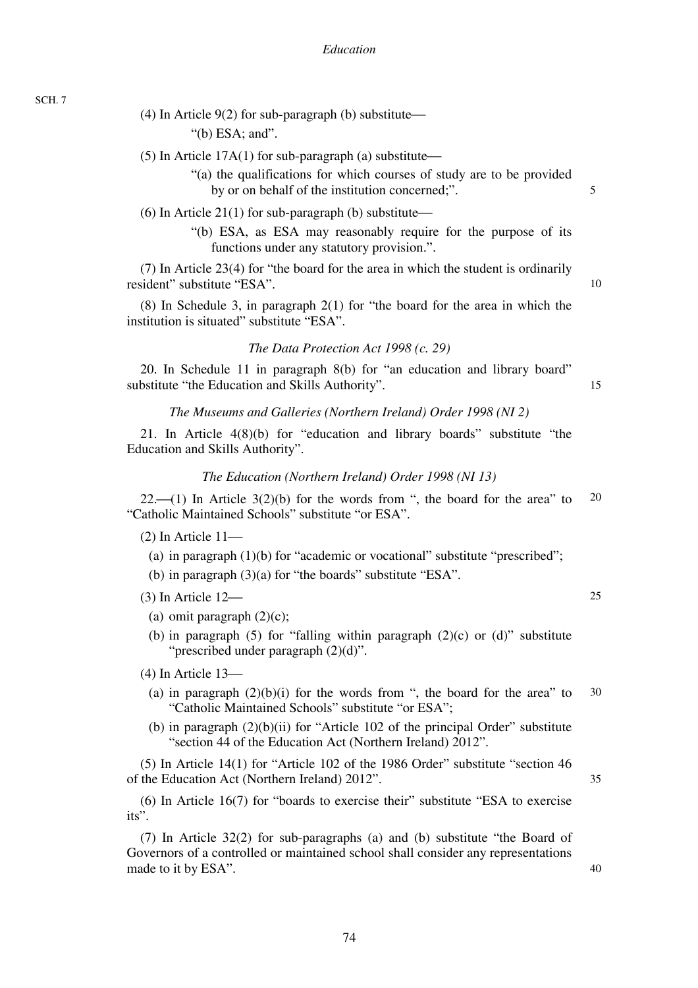(4) In Article  $9(2)$  for sub-paragraph (b) substitute—

"(b) ESA; and".

(5) In Article  $17A(1)$  for sub-paragraph (a) substitute—

"(a) the qualifications for which courses of study are to be provided by or on behalf of the institution concerned;".

(6) In Article 21(1) for sub-paragraph (b) substitute—

"(b) ESA, as ESA may reasonably require for the purpose of its functions under any statutory provision.".

(7) In Article 23(4) for "the board for the area in which the student is ordinarily resident" substitute "ESA".

(8) In Schedule 3, in paragraph 2(1) for "the board for the area in which the institution is situated" substitute "ESA".

*The Data Protection Act 1998 (c. 29)* 

20. In Schedule 11 in paragraph 8(b) for "an education and library board" substitute "the Education and Skills Authority".

15

5

10

## *The Museums and Galleries (Northern Ireland) Order 1998 (NI 2)*

21. In Article 4(8)(b) for "education and library boards" substitute "the Education and Skills Authority".

## *The Education (Northern Ireland) Order 1998 (NI 13)*

20  $22.$  (1) In Article  $3(2)(b)$  for the words from ", the board for the area" to "Catholic Maintained Schools" substitute "or ESA".

 $(2)$  In Article  $11$ —

- (a) in paragraph (1)(b) for "academic or vocational" substitute "prescribed";
- (b) in paragraph (3)(a) for "the boards" substitute "ESA".

 $(3)$  In Article  $12$ —

- (a) omit paragraph  $(2)(c)$ ;
- (b) in paragraph (5) for "falling within paragraph  $(2)(c)$  or  $(d)$ " substitute "prescribed under paragraph  $(2)(d)$ ".

 $(4)$  In Article 13 $-$ 

- 30 (a) in paragraph  $(2)(b)(i)$  for the words from ", the board for the area" to "Catholic Maintained Schools" substitute "or ESA";
- (b) in paragraph  $(2)(b)(ii)$  for "Article 102 of the principal Order" substitute "section 44 of the Education Act (Northern Ireland) 2012".

(5) In Article 14(1) for "Article 102 of the 1986 Order" substitute "section 46 of the Education Act (Northern Ireland) 2012".

(6) In Article 16(7) for "boards to exercise their" substitute "ESA to exercise its".

(7) In Article 32(2) for sub-paragraphs (a) and (b) substitute "the Board of Governors of a controlled or maintained school shall consider any representations made to it by ESA".

40

35

25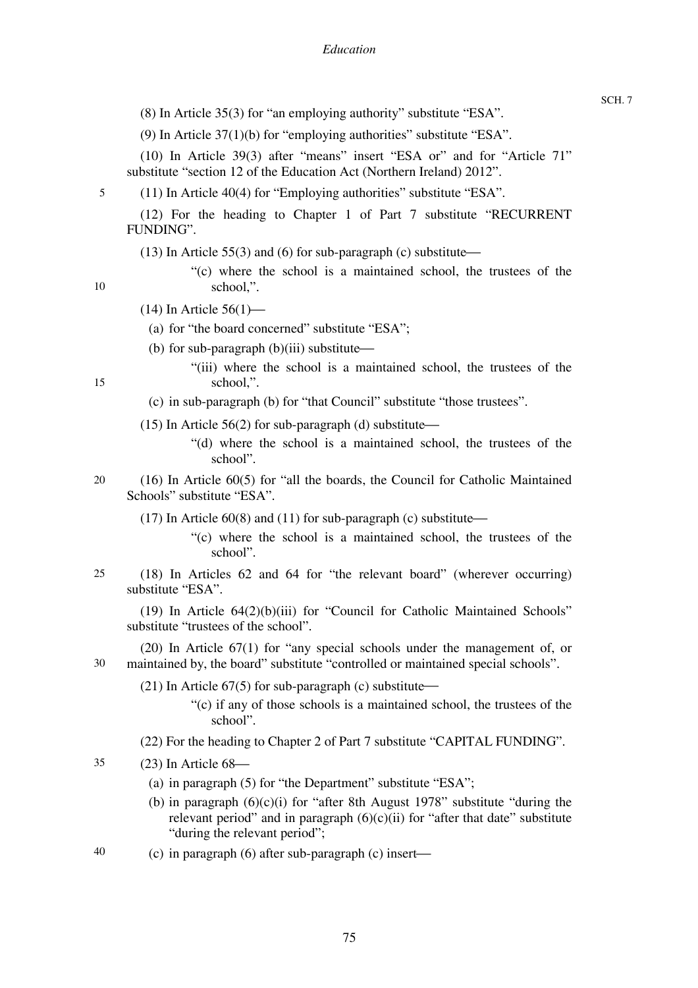(8) In Article 35(3) for "an employing authority" substitute "ESA".

(9) In Article 37(1)(b) for "employing authorities" substitute "ESA".

(10) In Article 39(3) after "means" insert "ESA or" and for "Article 71" substitute "section 12 of the Education Act (Northern Ireland) 2012".

(11) In Article 40(4) for "Employing authorities" substitute "ESA".

(12) For the heading to Chapter 1 of Part 7 substitute "RECURRENT FUNDING".

- (13) In Article 55(3) and (6) for sub-paragraph (c) substitute—
	- "(c) where the school is a maintained school, the trustees of the school,".

10

15

5

## $(14)$  In Article 56 $(1)$ —

- (a) for "the board concerned" substitute "ESA";
- (b) for sub-paragraph  $(b)(iii)$  substitute $-$ 
	- "(iii) where the school is a maintained school, the trustees of the school,".
- (c) in sub-paragraph (b) for "that Council" substitute "those trustees".
- (15) In Article  $56(2)$  for sub-paragraph (d) substitute—
	- "(d) where the school is a maintained school, the trustees of the school".
- 20 (16) In Article 60(5) for "all the boards, the Council for Catholic Maintained Schools" substitute "ESA".
	- (17) In Article  $60(8)$  and (11) for sub-paragraph (c) substitute—
		- "(c) where the school is a maintained school, the trustees of the school".
- 25 (18) In Articles 62 and 64 for "the relevant board" (wherever occurring) substitute "ESA".

(19) In Article 64(2)(b)(iii) for "Council for Catholic Maintained Schools" substitute "trustees of the school".

30 (20) In Article 67(1) for "any special schools under the management of, or maintained by, the board" substitute "controlled or maintained special schools".

(21) In Article  $67(5)$  for sub-paragraph (c) substitute—

- "(c) if any of those schools is a maintained school, the trustees of the school".
- (22) For the heading to Chapter 2 of Part 7 substitute "CAPITAL FUNDING".

35  $(23)$  In Article  $68$ —

- (a) in paragraph (5) for "the Department" substitute "ESA";
- (b) in paragraph  $(6)(c)(i)$  for "after 8th August 1978" substitute "during the relevant period" and in paragraph  $(6)(c)(ii)$  for "after that date" substitute "during the relevant period";
- 40 (c) in paragraph (6) after sub-paragraph (c) insert—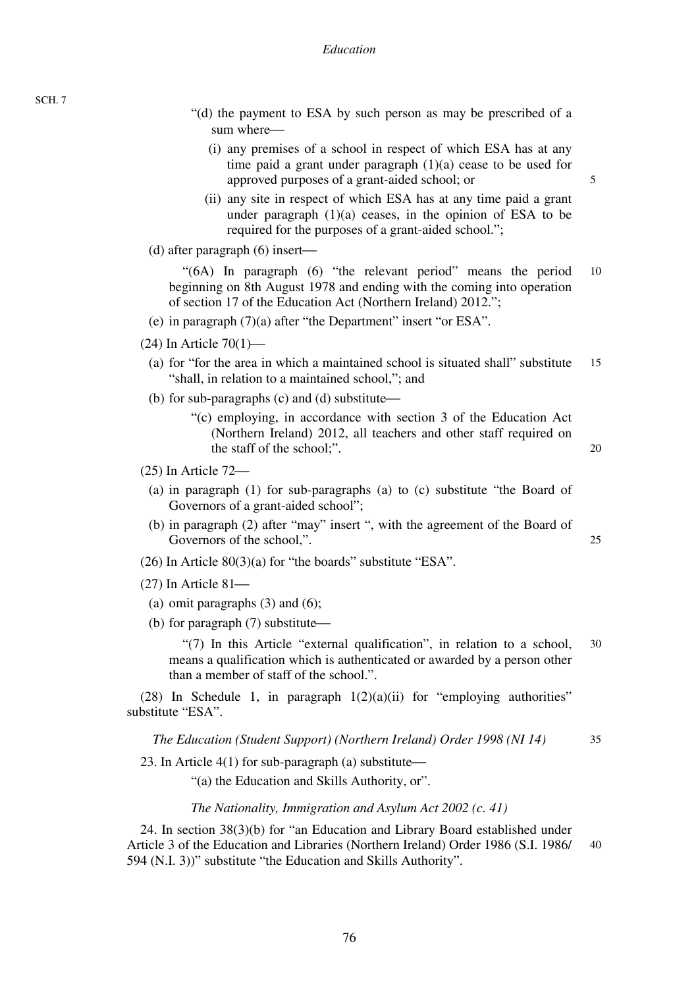- "(d) the payment to ESA by such person as may be prescribed of a sum where–
	- (i) any premises of a school in respect of which ESA has at any time paid a grant under paragraph (1)(a) cease to be used for approved purposes of a grant-aided school; or
	- (ii) any site in respect of which ESA has at any time paid a grant under paragraph  $(1)(a)$  ceases, in the opinion of ESA to be required for the purposes of a grant-aided school.";
- (d) after paragraph  $(6)$  insert—

10 "(6A) In paragraph (6) "the relevant period" means the period beginning on 8th August 1978 and ending with the coming into operation of section 17 of the Education Act (Northern Ireland) 2012.";

- (e) in paragraph (7)(a) after "the Department" insert "or ESA".
- $(24)$  In Article 70 $(1)$ —
- 15 (a) for "for the area in which a maintained school is situated shall" substitute "shall, in relation to a maintained school,"; and
- (b) for sub-paragraphs  $(c)$  and  $(d)$  substitute—
	- "(c) employing, in accordance with section 3 of the Education Act (Northern Ireland) 2012, all teachers and other staff required on the staff of the school;".
- $(25)$  In Article  $72$ 
	- (a) in paragraph (1) for sub-paragraphs (a) to (c) substitute "the Board of Governors of a grant-aided school";
	- (b) in paragraph (2) after "may" insert ", with the agreement of the Board of Governors of the school,".
- (26) In Article 80(3)(a) for "the boards" substitute "ESA".
- $(27)$  In Article 81 $-$ 
	- (a) omit paragraphs  $(3)$  and  $(6)$ ;
- (b) for paragraph  $(7)$  substitute—

30 "(7) In this Article "external qualification", in relation to a school, means a qualification which is authenticated or awarded by a person other than a member of staff of the school.".

(28) In Schedule 1, in paragraph  $1(2)(a)(ii)$  for "employing authorities" substitute "ESA".

*The Education (Student Support) (Northern Ireland) Order 1998 (NI 14)* 

35

5

20

25

23. In Article  $4(1)$  for sub-paragraph (a) substitute—

"(a) the Education and Skills Authority, or".

*The Nationality, Immigration and Asylum Act 2002 (c. 41)* 

40 24. In section 38(3)(b) for "an Education and Library Board established under Article 3 of the Education and Libraries (Northern Ireland) Order 1986 (S.I. 1986/ 594 (N.I. 3))" substitute "the Education and Skills Authority".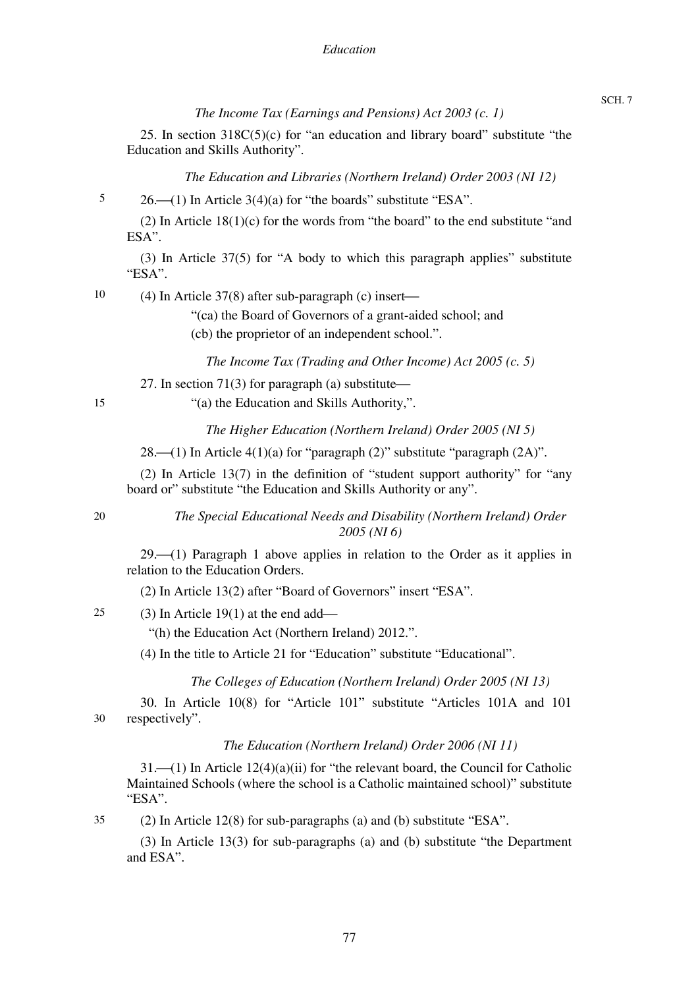*The Income Tax (Earnings and Pensions) Act 2003 (c. 1)* 

25. In section 318C(5)(c) for "an education and library board" substitute "the Education and Skills Authority".

*The Education and Libraries (Northern Ireland) Order 2003 (NI 12)* 

5  $26.$  (1) In Article  $3(4)(a)$  for "the boards" substitute "ESA".

(2) In Article  $18(1)(c)$  for the words from "the board" to the end substitute "and ESA".

(3) In Article 37(5) for "A body to which this paragraph applies" substitute "ESA".

10 (4) In Article  $37(8)$  after sub-paragraph (c) insert—

"(ca) the Board of Governors of a grant-aided school; and

(cb) the proprietor of an independent school.".

*The Income Tax (Trading and Other Income) Act 2005 (c. 5)* 

27. In section 71(3) for paragraph (a) substitute $\rightarrow$ 

15

"(a) the Education and Skills Authority,".

*The Higher Education (Northern Ireland) Order 2005 (NI 5)* 

28. $\left(-(1)$  In Article 4(1)(a) for "paragraph (2)" substitute "paragraph (2A)".

(2) In Article 13(7) in the definition of "student support authority" for "any board or" substitute "the Education and Skills Authority or any".

20

35

*The Special Educational Needs and Disability (Northern Ireland) Order 2005 (NI 6)* 

 $29.$  (1) Paragraph 1 above applies in relation to the Order as it applies in relation to the Education Orders.

(2) In Article 13(2) after "Board of Governors" insert "ESA".

25 (3) In Article  $19(1)$  at the end add—

"(h) the Education Act (Northern Ireland) 2012.".

(4) In the title to Article 21 for "Education" substitute "Educational".

*The Colleges of Education (Northern Ireland) Order 2005 (NI 13)* 

30 30. In Article 10(8) for "Article 101" substitute "Articles 101A and 101 respectively".

*The Education (Northern Ireland) Order 2006 (NI 11)* 

 $31.$  (1) In Article  $12(4)(a)(ii)$  for "the relevant board, the Council for Catholic Maintained Schools (where the school is a Catholic maintained school)" substitute "ESA".

(2) In Article 12(8) for sub-paragraphs (a) and (b) substitute "ESA".

(3) In Article 13(3) for sub-paragraphs (a) and (b) substitute "the Department and ESA".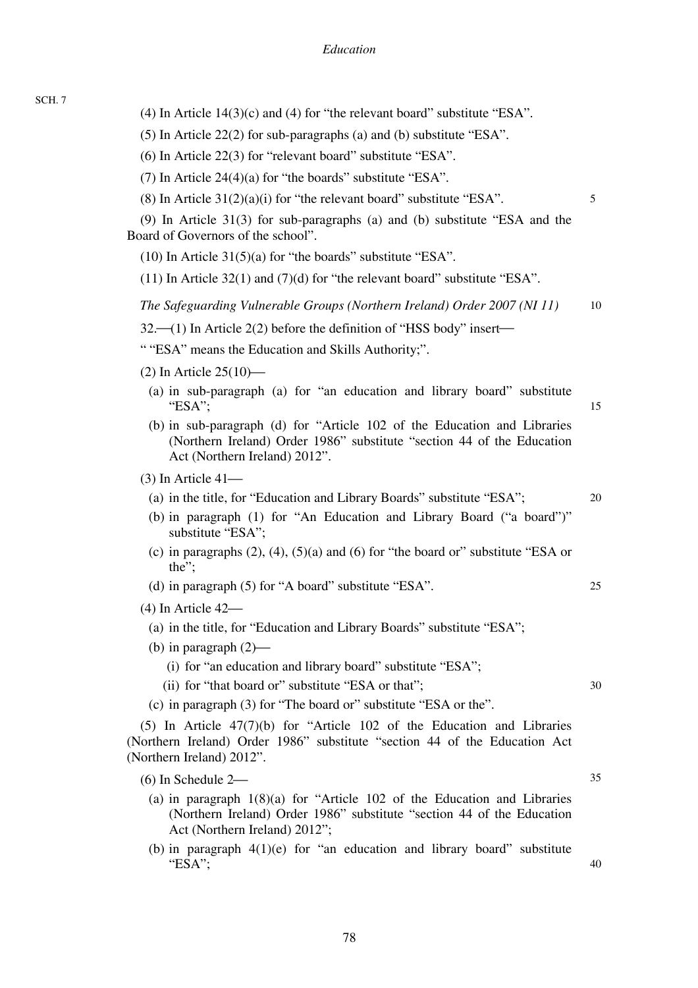| (4) In Article $14(3)(c)$ and (4) for "the relevant board" substitute "ESA".                                                                                                           |    |
|----------------------------------------------------------------------------------------------------------------------------------------------------------------------------------------|----|
| (5) In Article $22(2)$ for sub-paragraphs (a) and (b) substitute "ESA".                                                                                                                |    |
| $(6)$ In Article 22 $(3)$ for "relevant board" substitute "ESA".                                                                                                                       |    |
| (7) In Article $24(4)(a)$ for "the boards" substitute "ESA".                                                                                                                           |    |
| $(8)$ In Article 31 $(2)(a)(i)$ for "the relevant board" substitute "ESA".                                                                                                             | 5  |
| $(9)$ In Article 31(3) for sub-paragraphs (a) and (b) substitute "ESA and the<br>Board of Governors of the school".                                                                    |    |
| $(10)$ In Article 31(5)(a) for "the boards" substitute "ESA".                                                                                                                          |    |
| $(11)$ In Article 32(1) and (7)(d) for "the relevant board" substitute "ESA".                                                                                                          |    |
| The Safeguarding Vulnerable Groups (Northern Ireland) Order 2007 (NI 11)                                                                                                               | 10 |
| $32$ —(1) In Article 2(2) before the definition of "HSS body" insert—                                                                                                                  |    |
| ""ESA" means the Education and Skills Authority;".                                                                                                                                     |    |
| $(2)$ In Article 25 $(10)$ —                                                                                                                                                           |    |
| (a) in sub-paragraph (a) for "an education and library board" substitute<br>"ESA";                                                                                                     | 15 |
| (b) in sub-paragraph (d) for "Article 102 of the Education and Libraries<br>(Northern Ireland) Order 1986" substitute "section 44 of the Education<br>Act (Northern Ireland) 2012".    |    |
| $(3)$ In Article 41—                                                                                                                                                                   |    |
| (a) in the title, for "Education and Library Boards" substitute "ESA";                                                                                                                 | 20 |
| (b) in paragraph (1) for "An Education and Library Board ("a board")"<br>substitute "ESA";                                                                                             |    |
| (c) in paragraphs $(2)$ , $(4)$ , $(5)(a)$ and $(6)$ for "the board or" substitute "ESA or<br>the";                                                                                    |    |
| (d) in paragraph (5) for "A board" substitute "ESA".                                                                                                                                   | 25 |
| $(4)$ In Article 42—                                                                                                                                                                   |    |
| (a) in the title, for "Education and Library Boards" substitute "ESA";                                                                                                                 |    |
| (b) in paragraph $(2)$ —                                                                                                                                                               |    |
| (i) for "an education and library board" substitute "ESA";                                                                                                                             |    |
| (ii) for "that board or" substitute "ESA or that";                                                                                                                                     | 30 |
| (c) in paragraph (3) for "The board or" substitute "ESA or the".                                                                                                                       |    |
| $(5)$ In Article $47(7)(b)$ for "Article 102 of the Education and Libraries<br>(Northern Ireland) Order 1986" substitute "section 44 of the Education Act<br>(Northern Ireland) 2012". |    |
| $(6)$ In Schedule 2—                                                                                                                                                                   | 35 |
| (a) in paragraph $1(8)(a)$ for "Article 102 of the Education and Libraries<br>(Northern Ireland) Order 1986" substitute "section 44 of the Education<br>Act (Northern Ireland) 2012";  |    |
| (b) in paragraph $4(1)(e)$ for "an education and library board" substitute<br>"ESA";                                                                                                   | 40 |
|                                                                                                                                                                                        |    |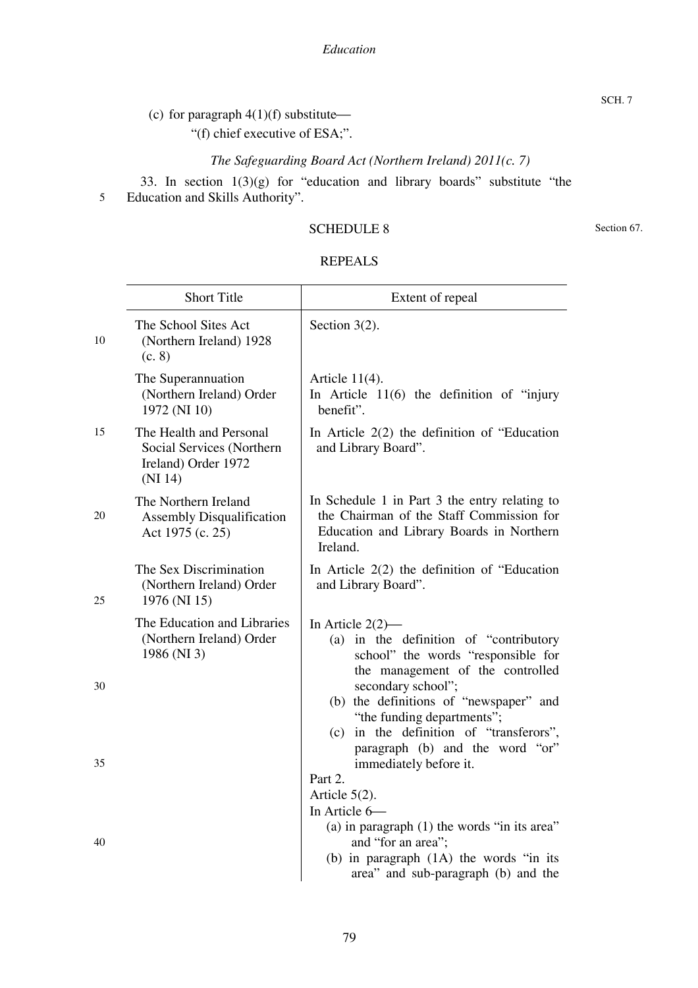(c) for paragraph  $4(1)(f)$  substitute—

"(f) chief executive of ESA;".

*The Safeguarding Board Act (Northern Ireland) 2011(c. 7)* 

5 33. In section 1(3)(g) for "education and library boards" substitute "the Education and Skills Authority".

## SCHEDULE 8

Section 67.

| REPEALS |
|---------|
|---------|

|    | <b>Short Title</b>                                                                     | Extent of repeal                                                                                                                                         |  |  |  |
|----|----------------------------------------------------------------------------------------|----------------------------------------------------------------------------------------------------------------------------------------------------------|--|--|--|
| 10 | The School Sites Act<br>(Northern Ireland) 1928<br>(c. 8)                              | Section $3(2)$ .                                                                                                                                         |  |  |  |
|    | The Superannuation<br>(Northern Ireland) Order<br>1972 (NI 10)                         | Article $11(4)$ .<br>In Article $11(6)$ the definition of "injury"<br>benefit".                                                                          |  |  |  |
| 15 | The Health and Personal<br>Social Services (Northern<br>Ireland) Order 1972<br>(NI 14) | In Article $2(2)$ the definition of "Education"<br>and Library Board".                                                                                   |  |  |  |
| 20 | The Northern Ireland<br><b>Assembly Disqualification</b><br>Act 1975 (c. 25)           | In Schedule 1 in Part 3 the entry relating to<br>the Chairman of the Staff Commission for<br>Education and Library Boards in Northern<br>Ireland.        |  |  |  |
| 25 | The Sex Discrimination<br>(Northern Ireland) Order<br>1976 (NI 15)                     | In Article $2(2)$ the definition of "Education"<br>and Library Board".                                                                                   |  |  |  |
|    | The Education and Libraries<br>(Northern Ireland) Order<br>1986 (NI 3)                 | In Article $2(2)$ —<br>(a) in the definition of "contributory<br>school" the words "responsible for<br>the management of the controlled                  |  |  |  |
| 30 |                                                                                        | secondary school";<br>(b) the definitions of "newspaper" and<br>"the funding departments";<br>(c) in the definition of "transferors",                    |  |  |  |
| 35 |                                                                                        | paragraph (b) and the word "or"<br>immediately before it.<br>Part 2.                                                                                     |  |  |  |
|    |                                                                                        | Article $5(2)$ .<br>In Article 6-                                                                                                                        |  |  |  |
| 40 |                                                                                        | (a) in paragraph $(1)$ the words "in its area"<br>and "for an area";<br>(b) in paragraph $(1A)$ the words "in its<br>area" and sub-paragraph (b) and the |  |  |  |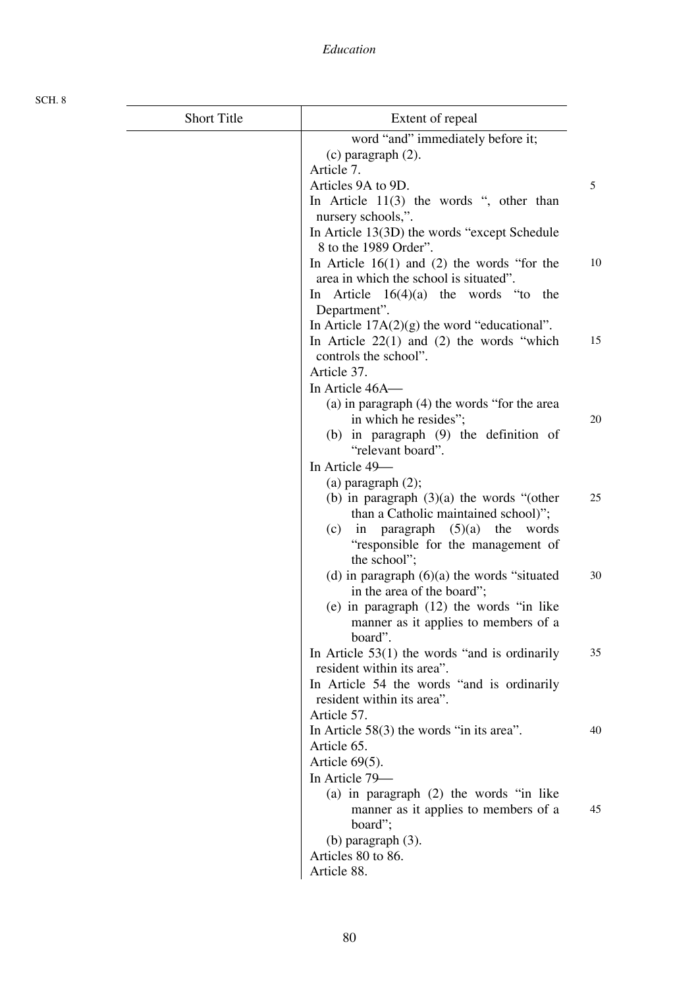| <b>Short Title</b> | Extent of repeal                                                     |    |
|--------------------|----------------------------------------------------------------------|----|
|                    | word "and" immediately before it;                                    |    |
|                    | $(c)$ paragraph $(2)$ .                                              |    |
|                    | Article 7.                                                           |    |
|                    | Articles 9A to 9D.                                                   | 5  |
|                    | In Article $11(3)$ the words ", other than                           |    |
|                    | nursery schools,".                                                   |    |
|                    | In Article 13(3D) the words "except Schedule                         |    |
|                    | 8 to the 1989 Order".                                                |    |
|                    | In Article $16(1)$ and (2) the words "for the                        | 10 |
|                    | area in which the school is situated".                               |    |
|                    | In Article $16(4)(a)$ the words "to<br>the                           |    |
|                    | Department".                                                         |    |
|                    | In Article $17A(2)(g)$ the word "educational".                       |    |
|                    | In Article $22(1)$ and (2) the words "which<br>controls the school". | 15 |
|                    | Article 37.                                                          |    |
|                    | In Article 46A-                                                      |    |
|                    | (a) in paragraph (4) the words "for the area                         |    |
|                    | in which he resides";                                                | 20 |
|                    | (b) in paragraph (9) the definition of                               |    |
|                    | "relevant board".                                                    |    |
|                    | In Article 49-                                                       |    |
|                    | (a) paragraph $(2)$ ;                                                |    |
|                    | (b) in paragraph $(3)(a)$ the words "(other                          | 25 |
|                    | than a Catholic maintained school)";                                 |    |
|                    | (c) in paragraph $(5)(a)$ the<br>words                               |    |
|                    | "responsible for the management of                                   |    |
|                    | the school";                                                         |    |
|                    | (d) in paragraph $(6)(a)$ the words "situated                        | 30 |
|                    | in the area of the board";                                           |    |
|                    | (e) in paragraph $(12)$ the words "in like                           |    |
|                    | manner as it applies to members of a<br>board".                      |    |
|                    | In Article $53(1)$ the words "and is ordinarily                      | 35 |
|                    | resident within its area".                                           |    |
|                    | In Article 54 the words "and is ordinarily                           |    |
|                    | resident within its area".                                           |    |
|                    | Article 57.                                                          |    |
|                    | In Article $58(3)$ the words "in its area".                          | 40 |
|                    | Article 65.                                                          |    |
|                    | Article $69(5)$ .                                                    |    |
|                    | In Article 79-                                                       |    |
|                    | (a) in paragraph $(2)$ the words "in like                            |    |
|                    | manner as it applies to members of a                                 | 45 |
|                    | board";                                                              |    |
|                    | $(b)$ paragraph $(3)$ .                                              |    |
|                    | Articles 80 to 86.                                                   |    |
|                    | Article 88.                                                          |    |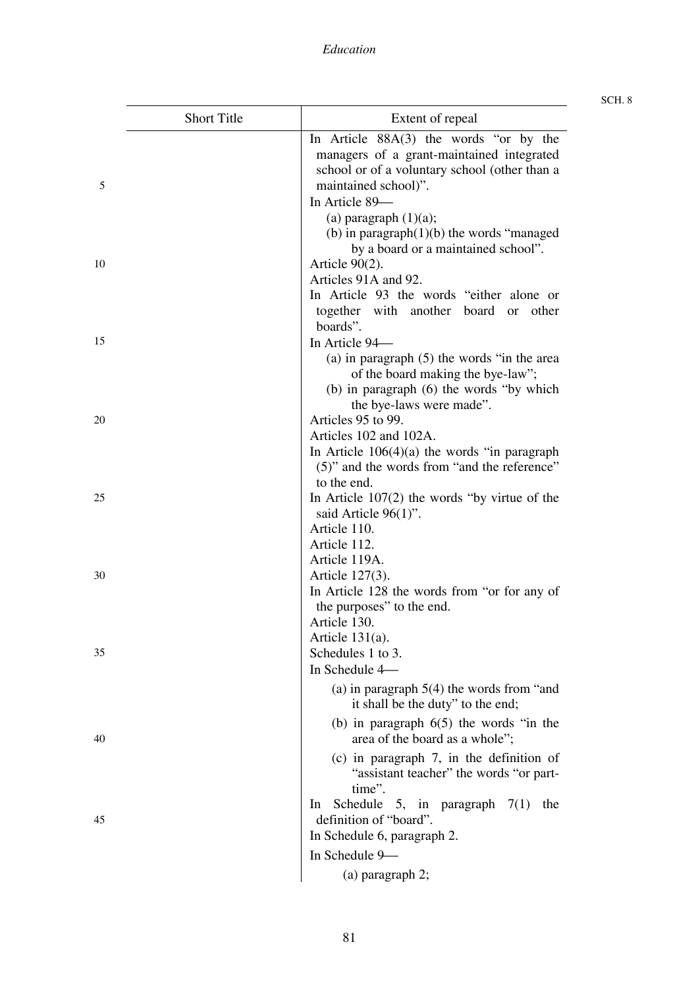|    | <b>Short Title</b> | Extent of repeal                                                                                                                                                                                                                                                   |  |  |
|----|--------------------|--------------------------------------------------------------------------------------------------------------------------------------------------------------------------------------------------------------------------------------------------------------------|--|--|
| 5  |                    | In Article $88A(3)$ the words "or by the<br>managers of a grant-maintained integrated<br>school or of a voluntary school (other than a<br>maintained school)".<br>In Article 89-                                                                                   |  |  |
| 10 |                    | (a) paragraph $(1)(a)$ ;<br>(b) in paragraph $(1)(b)$ the words "managed"<br>by a board or a maintained school".<br>Article $90(2)$ .<br>Articles 91A and 92.                                                                                                      |  |  |
| 15 |                    | In Article 93 the words "either alone or<br>together with another board<br>other<br><sub>or</sub><br>boards".<br>In Article 94-<br>(a) in paragraph $(5)$ the words "in the area<br>of the board making the bye-law";                                              |  |  |
| 20 |                    | (b) in paragraph (6) the words "by which<br>the bye-laws were made".<br>Articles 95 to 99.<br>Articles 102 and 102A.<br>In Article $106(4)(a)$ the words "in paragraph"                                                                                            |  |  |
| 25 |                    | (5)" and the words from "and the reference"<br>to the end.<br>In Article $107(2)$ the words "by virtue of the<br>said Article $96(1)$ ".<br>Article 110.                                                                                                           |  |  |
| 30 |                    | Article 112.<br>Article 119A.<br>Article 127(3).<br>In Article 128 the words from "or for any of<br>the purposes" to the end.                                                                                                                                      |  |  |
| 35 |                    | Article 130.<br>Article $131(a)$ .<br>Schedules 1 to 3.<br>In Schedule 4-                                                                                                                                                                                          |  |  |
| 40 |                    | (a) in paragraph $5(4)$ the words from "and<br>it shall be the duty" to the end;<br>(b) in paragraph $6(5)$ the words "in the<br>area of the board as a whole";<br>$(c)$ in paragraph 7, in the definition of<br>"assistant teacher" the words "or part-<br>time". |  |  |
| 45 |                    | Schedule 5, in paragraph $7(1)$<br>$\ln$<br>the<br>definition of "board".<br>In Schedule 6, paragraph 2.<br>In Schedule 9-                                                                                                                                         |  |  |
|    |                    | $(a)$ paragraph 2;                                                                                                                                                                                                                                                 |  |  |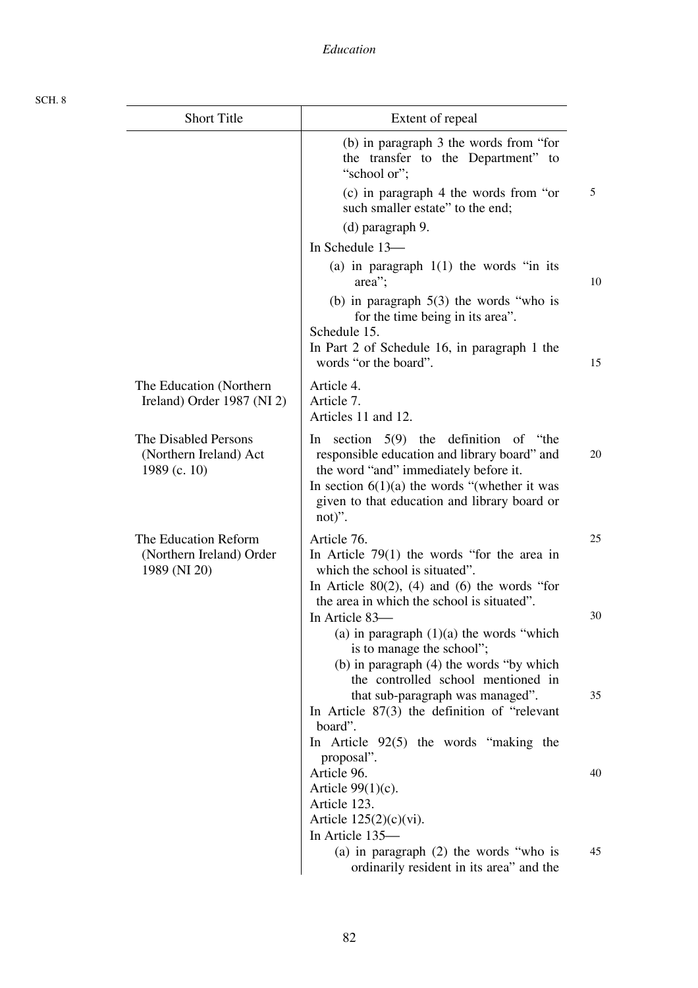| <b>Short Title</b>                                               | Extent of repeal                                                                                                                                                                                                                                     |    |
|------------------------------------------------------------------|------------------------------------------------------------------------------------------------------------------------------------------------------------------------------------------------------------------------------------------------------|----|
|                                                                  | (b) in paragraph 3 the words from "for<br>the transfer to the Department" to<br>"school or";                                                                                                                                                         |    |
|                                                                  | (c) in paragraph 4 the words from "or<br>such smaller estate" to the end;<br>(d) paragraph 9.                                                                                                                                                        | 5  |
|                                                                  | In Schedule 13-                                                                                                                                                                                                                                      |    |
|                                                                  | (a) in paragraph $1(1)$ the words "in its<br>area";                                                                                                                                                                                                  | 10 |
|                                                                  | (b) in paragraph $5(3)$ the words "who is<br>for the time being in its area".<br>Schedule 15.                                                                                                                                                        |    |
|                                                                  | In Part 2 of Schedule 16, in paragraph 1 the<br>words "or the board".                                                                                                                                                                                |    |
| The Education (Northern)<br>Ireland) Order 1987 (NI 2)           | Article 4.<br>Article 7.<br>Articles 11 and 12.                                                                                                                                                                                                      |    |
| The Disabled Persons<br>(Northern Ireland) Act<br>1989 (c. 10)   | section $5(9)$ the definition of "the<br>In<br>responsible education and library board" and<br>the word "and" immediately before it.<br>In section $6(1)(a)$ the words "(whether it was<br>given to that education and library board or<br>$not)$ ". |    |
| The Education Reform<br>(Northern Ireland) Order<br>1989 (NI 20) | Article 76.<br>In Article $79(1)$ the words "for the area in<br>which the school is situated".                                                                                                                                                       |    |
|                                                                  | In Article $80(2)$ , (4) and (6) the words "for<br>the area in which the school is situated".<br>In Article 83-                                                                                                                                      |    |
|                                                                  | (a) in paragraph $(1)(a)$ the words "which<br>is to manage the school";<br>(b) in paragraph $(4)$ the words "by which                                                                                                                                |    |
|                                                                  | the controlled school mentioned in<br>that sub-paragraph was managed".<br>In Article $87(3)$ the definition of "relevant"<br>board".                                                                                                                 |    |
|                                                                  | In Article $92(5)$ the words "making the<br>proposal".<br>Article 96.                                                                                                                                                                                |    |
|                                                                  | Article $99(1)(c)$ .<br>Article 123.                                                                                                                                                                                                                 |    |
|                                                                  | Article $125(2)(c)(vi)$ .<br>In Article 135-                                                                                                                                                                                                         |    |
|                                                                  | (a) in paragraph $(2)$ the words "who is<br>ordinarily resident in its area" and the                                                                                                                                                                 |    |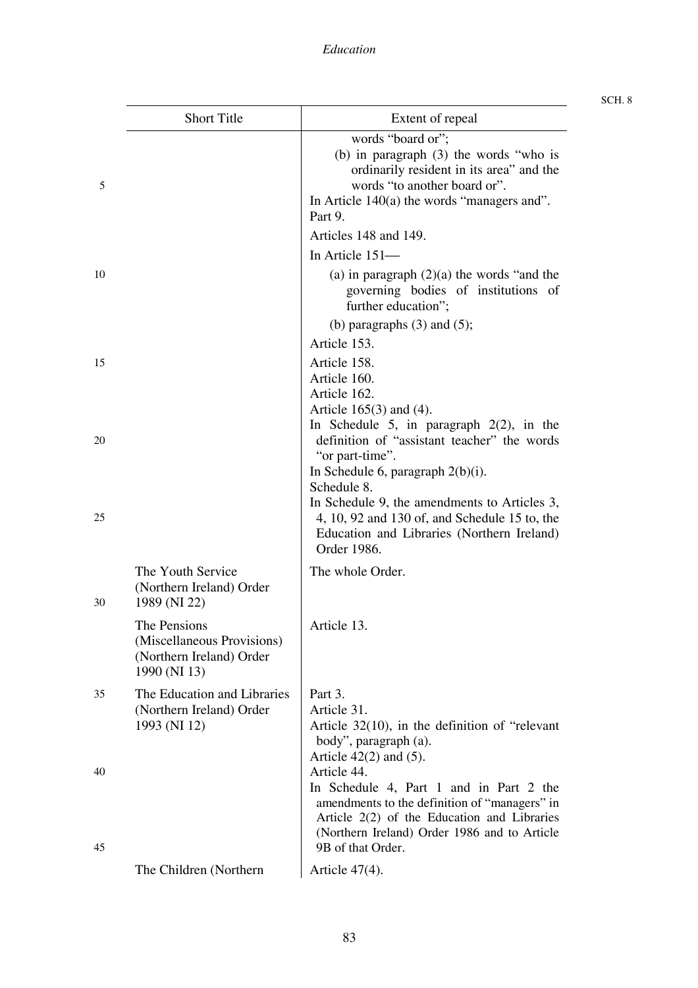|    | <b>Short Title</b>                                                                     | Extent of repeal                                                                                                                                                                                                  |
|----|----------------------------------------------------------------------------------------|-------------------------------------------------------------------------------------------------------------------------------------------------------------------------------------------------------------------|
| 5  |                                                                                        | words "board or";<br>(b) in paragraph $(3)$ the words "who is<br>ordinarily resident in its area" and the<br>words "to another board or".<br>In Article $140(a)$ the words "managers and".<br>Part 9.             |
|    |                                                                                        | Articles 148 and 149.                                                                                                                                                                                             |
|    |                                                                                        | In Article 151-                                                                                                                                                                                                   |
| 10 |                                                                                        | (a) in paragraph $(2)(a)$ the words "and the<br>governing bodies of institutions of<br>further education";                                                                                                        |
|    |                                                                                        | (b) paragraphs $(3)$ and $(5)$ ;                                                                                                                                                                                  |
| 15 |                                                                                        | Article 153.<br>Article 158.<br>Article 160.                                                                                                                                                                      |
| 20 |                                                                                        | Article 162.<br>Article $165(3)$ and (4).<br>In Schedule 5, in paragraph $2(2)$ , in the<br>definition of "assistant teacher" the words<br>"or part-time".                                                        |
| 25 |                                                                                        | In Schedule 6, paragraph $2(b)(i)$ .<br>Schedule 8.<br>In Schedule 9, the amendments to Articles 3,<br>4, 10, 92 and 130 of, and Schedule 15 to, the<br>Education and Libraries (Northern Ireland)<br>Order 1986. |
| 30 | The Youth Service<br>(Northern Ireland) Order<br>1989 (NI 22)                          | The whole Order.                                                                                                                                                                                                  |
|    | The Pensions<br>(Miscellaneous Provisions)<br>(Northern Ireland) Order<br>1990 (NI 13) | Article 13.                                                                                                                                                                                                       |
| 35 | The Education and Libraries<br>(Northern Ireland) Order<br>1993 (NI 12)                | Part 3.<br>Article 31.<br>Article $32(10)$ , in the definition of "relevant"<br>body", paragraph (a).<br>Article $42(2)$ and $(5)$ .                                                                              |
| 40 |                                                                                        | Article 44.<br>In Schedule 4, Part 1 and in Part 2 the<br>amendments to the definition of "managers" in<br>Article $2(2)$ of the Education and Libraries<br>(Northern Ireland) Order 1986 and to Article          |
| 45 | The Children (Northern                                                                 | 9B of that Order.<br>Article $47(4)$ .                                                                                                                                                                            |
|    |                                                                                        |                                                                                                                                                                                                                   |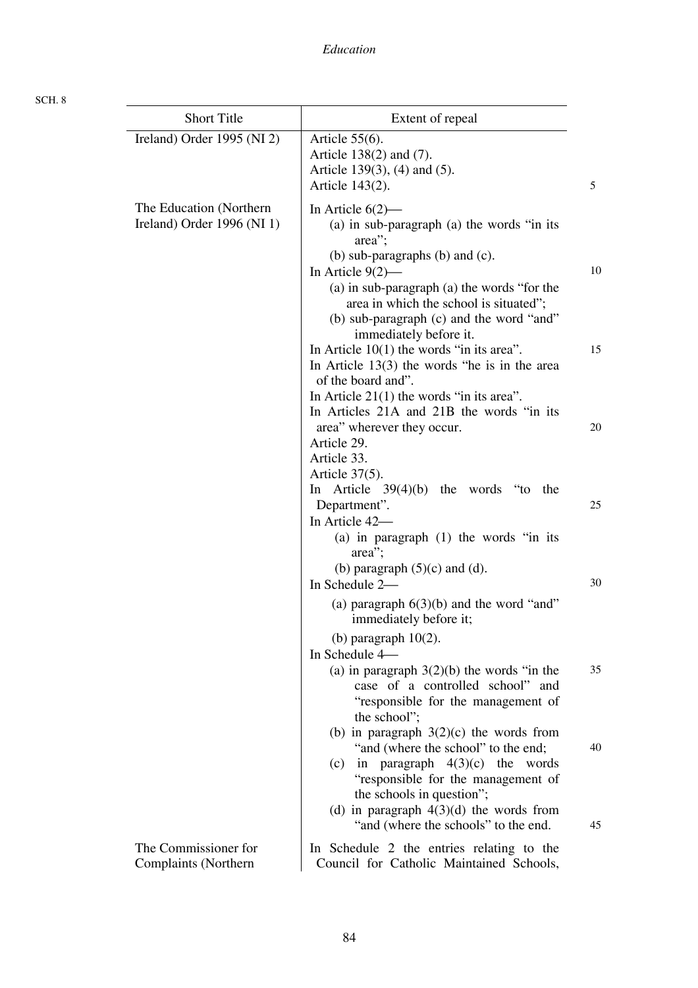| <b>Short Title</b>                                       | Extent of repeal                                                                                                                                                                                                                                                              |    |
|----------------------------------------------------------|-------------------------------------------------------------------------------------------------------------------------------------------------------------------------------------------------------------------------------------------------------------------------------|----|
| Ireland) Order 1995 (NI 2)                               | Article $55(6)$ .<br>Article 138(2) and (7).<br>Article 139(3), (4) and (5).<br>Article 143(2).                                                                                                                                                                               | 5  |
| The Education (Northern)<br>Ireland) Order $1996$ (NI 1) | In Article $6(2)$ —<br>(a) in sub-paragraph (a) the words "in its<br>area";<br>(b) sub-paragraphs (b) and $(c)$ .<br>In Article $9(2)$ —<br>(a) in sub-paragraph (a) the words "for the<br>area in which the school is situated";<br>(b) sub-paragraph (c) and the word "and" | 10 |
|                                                          | immediately before it.<br>In Article $10(1)$ the words "in its area".<br>In Article $13(3)$ the words "he is in the area<br>of the board and".<br>In Article $21(1)$ the words "in its area".<br>In Articles 21A and 21B the words "in its                                    | 15 |
|                                                          | area" wherever they occur.<br>Article 29.<br>Article 33.<br>Article $37(5)$ .                                                                                                                                                                                                 | 20 |
|                                                          | Article $39(4)(b)$ the words "to the<br>In<br>Department".<br>In Article 42-<br>(a) in paragraph $(1)$ the words "in its<br>area";                                                                                                                                            | 25 |
|                                                          | (b) paragraph $(5)(c)$ and $(d)$ .<br>In Schedule 2-<br>(a) paragraph $6(3)(b)$ and the word "and"<br>immediately before it;                                                                                                                                                  | 30 |
|                                                          | (b) paragraph $10(2)$ .<br>In Schedule 4-<br>(a) in paragraph $3(2)(b)$ the words "in the<br>case of a controlled school" and<br>"responsible for the management of<br>the school":                                                                                           | 35 |
|                                                          | (b) in paragraph $3(2)(c)$ the words from<br>"and (where the school" to the end;<br>in paragraph $4(3)(c)$ the words<br>(c)<br>"responsible for the management of<br>the schools in question";<br>(d) in paragraph $4(3)(d)$ the words from                                   | 40 |
| The Commissioner for<br>Complaints (Northern             | "and (where the schools" to the end.<br>In Schedule 2 the entries relating to the<br>Council for Catholic Maintained Schools,                                                                                                                                                 | 45 |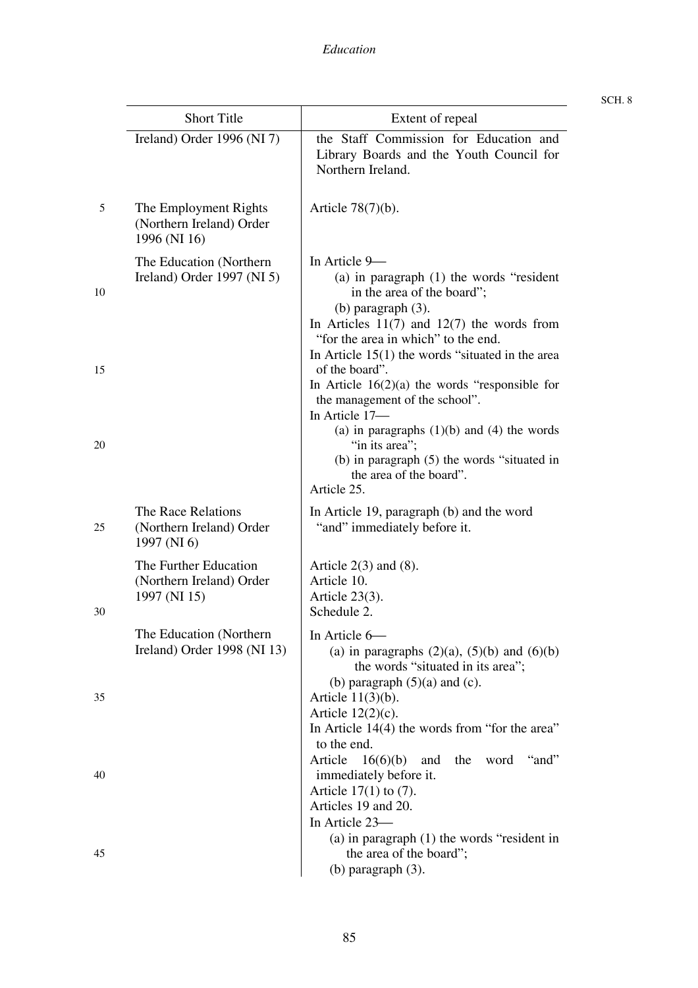Short Title Extent of repeal

| Snort Title                                                       | Extent of repeat                                                                                        |
|-------------------------------------------------------------------|---------------------------------------------------------------------------------------------------------|
| Ireland) Order $1996$ (NI 7)                                      | the Staff Commission for Education and<br>Library Boards and the Youth Council for<br>Northern Ireland. |
| The Employment Rights<br>(Northern Ireland) Order<br>1996 (NI 16) | Article $78(7)(b)$ .                                                                                    |
| The Education (Northern)<br>Ireland) Order $1997$ (NI 5)          | In Article 9-<br>(a) in paragraph $(1)$ the words "resident"                                            |

SCH. 8

| (a) in paragraph $(1)$ the words "resident" |
|---------------------------------------------|
| in the area of the board";                  |
| (b) paragraph $(3)$ .                       |

| In Articles $11(7)$ and $12(7)$ the words from                                                                                                                                                                                                                                                             |
|------------------------------------------------------------------------------------------------------------------------------------------------------------------------------------------------------------------------------------------------------------------------------------------------------------|
| "for the area in which" to the end.                                                                                                                                                                                                                                                                        |
| In Article $15(1)$ the words "situated in the area                                                                                                                                                                                                                                                         |
| of the board".                                                                                                                                                                                                                                                                                             |
| $\mathbf{I}_n = \mathbf{A}_{n+1}$ , $\mathbf{I}_n = \mathbf{I} \mathbf{C} \mathbf{C} \mathbf{O} \mathbf{V}$ , $\mathbf{I}_n = \mathbf{I}_n$ , $\mathbf{I}_n = \mathbf{C} \mathbf{C} \mathbf{C} \mathbf{C} \mathbf{V}$ , $\mathbf{I}_n = \mathbf{C} \mathbf{C} \mathbf{C} \mathbf{C} \mathbf{C} \mathbf{V}$ |

## In Article  $16(2)(a)$  the words "responsible for the management of the school". In Article 17-

| (a) in paragraphs $(1)(b)$ and $(4)$ the words |  |  |
|------------------------------------------------|--|--|
| "in its area";                                 |  |  |

## (b) in paragraph (5) the words "situated in the area of the board".

(a) in paragraphs  $(2)(a)$ ,  $(5)(b)$  and  $(6)(b)$ the words "situated in its area";

In Article 14(4) the words from "for the area"

Article 16(6)(b) and the word "and"

(a) in paragraph (1) the words "resident in

(b) paragraph  $(5)(a)$  and  $(c)$ .

the area of the board";

# Article 25. In Article 19, paragraph (b) and the word "and" immediately before it.

## Article  $2(3)$  and  $(8)$ . Article 10. Article 23(3). Schedule 2.

In Article 6-

Article 11(3)(b). Article 12(2)(c).

immediately before it. Article 17(1) to (7). Articles 19 and 20. In Article 23-

(b) paragraph (3).

to the end.

The Education (Northern Ireland) Order 1998 (NI 13)

The Race Relations (Northern Ireland) Order

The Further Education (Northern Ireland) Order

1997 (NI 6)

1997 (NI 15)

35

5

10

15

20

25

30

40

45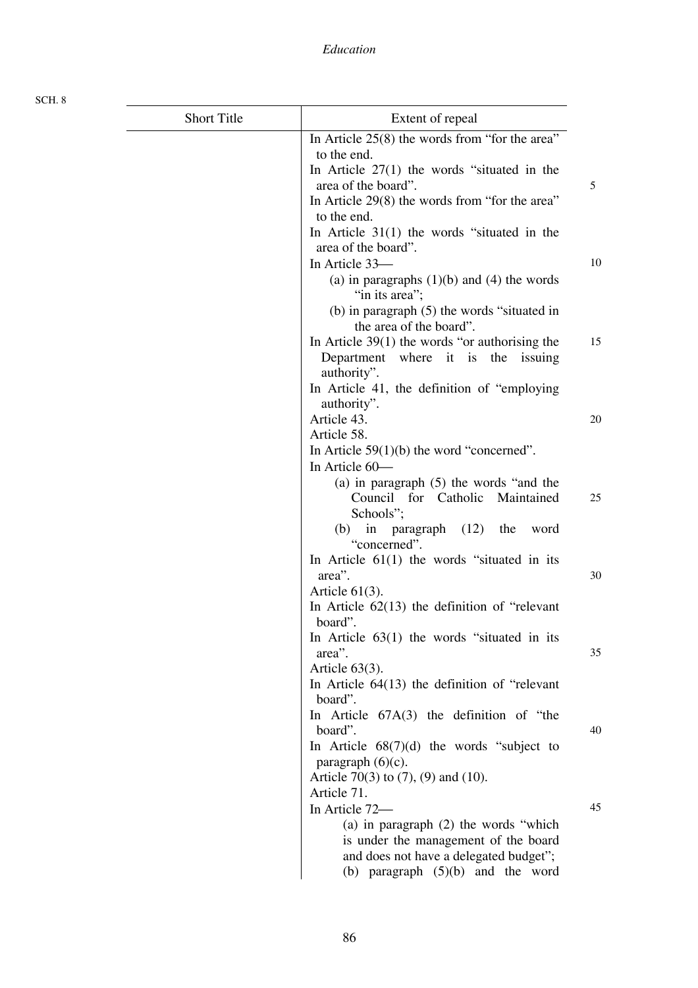| <b>Short Title</b> | Extent of repeal                                                      |    |
|--------------------|-----------------------------------------------------------------------|----|
|                    | In Article $25(8)$ the words from "for the area"                      |    |
|                    | to the end.                                                           |    |
|                    | In Article $27(1)$ the words "situated in the                         |    |
|                    | area of the board".                                                   | 5  |
|                    | In Article 29(8) the words from "for the area"                        |    |
|                    | to the end.                                                           |    |
|                    | In Article $31(1)$ the words "situated in the<br>area of the board".  |    |
|                    | In Article 33-                                                        | 10 |
|                    | (a) in paragraphs $(1)(b)$ and $(4)$ the words                        |    |
|                    | "in its area";                                                        |    |
|                    | (b) in paragraph $(5)$ the words "situated in                         |    |
|                    | the area of the board".                                               |    |
|                    | In Article $39(1)$ the words "or authorising the                      | 15 |
|                    | Department where it is the<br>issuing                                 |    |
|                    | authority".                                                           |    |
|                    | In Article 41, the definition of "employing                           |    |
|                    | authority".<br>Article 43.                                            | 20 |
|                    | Article 58.                                                           |    |
|                    | In Article $59(1)(b)$ the word "concerned".                           |    |
|                    | In Article 60-                                                        |    |
|                    | (a) in paragraph $(5)$ the words "and the                             |    |
|                    | Council for Catholic Maintained                                       | 25 |
|                    | Schools";                                                             |    |
|                    | in paragraph $(12)$<br>the<br>(b)<br>word                             |    |
|                    | "concerned".                                                          |    |
|                    | In Article $61(1)$ the words "situated in its                         |    |
|                    | area".                                                                | 30 |
|                    | Article $61(3)$ .<br>In Article $62(13)$ the definition of "relevant" |    |
|                    | board".                                                               |    |
|                    | In Article $63(1)$ the words "situated in its                         |    |
|                    | area".                                                                | 35 |
|                    | Article $63(3)$ .                                                     |    |
|                    | In Article $64(13)$ the definition of "relevant"                      |    |
|                    | board".                                                               |    |
|                    | In Article $67A(3)$ the definition of "the                            |    |
|                    | board".                                                               | 40 |
|                    | In Article $68(7)(d)$ the words "subject to                           |    |
|                    | paragraph $(6)(c)$ .<br>Article 70(3) to $(7)$ , $(9)$ and $(10)$ .   |    |
|                    | Article 71.                                                           |    |
|                    | In Article 72-                                                        | 45 |
|                    | (a) in paragraph $(2)$ the words "which                               |    |
|                    | is under the management of the board                                  |    |
|                    | and does not have a delegated budget";                                |    |
|                    | (b) paragraph $(5)(b)$ and the word                                   |    |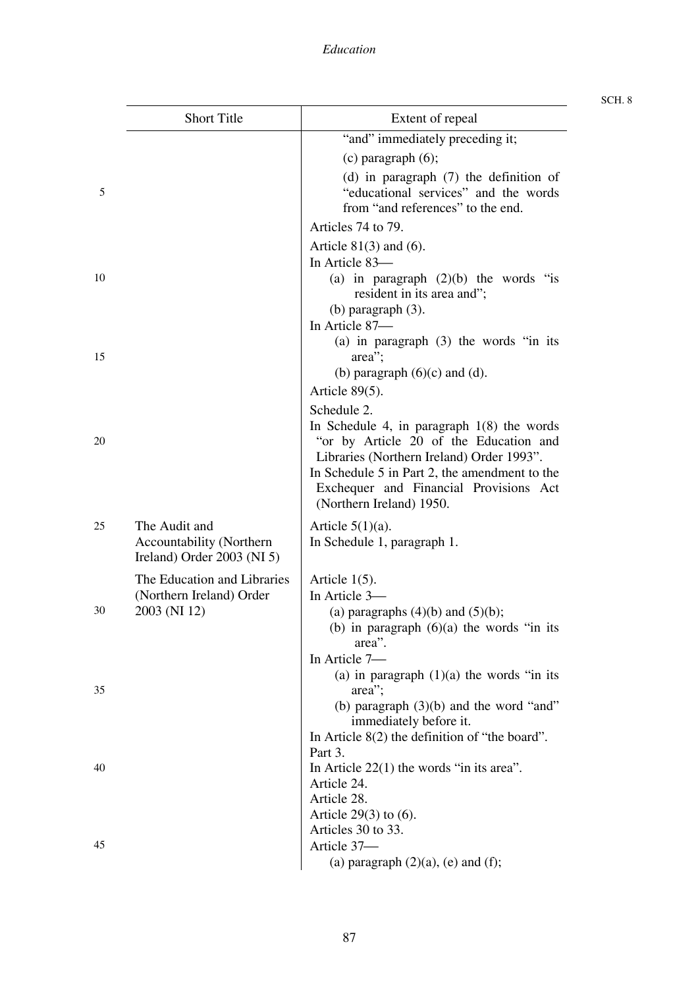|    | <b>Short Title</b>                                                        | Extent of repeal                                                                                                                                   |
|----|---------------------------------------------------------------------------|----------------------------------------------------------------------------------------------------------------------------------------------------|
|    |                                                                           | "and" immediately preceding it;                                                                                                                    |
|    |                                                                           | $(c)$ paragraph $(6)$ ;                                                                                                                            |
| 5  |                                                                           | (d) in paragraph $(7)$ the definition of<br>"educational services" and the words<br>from "and references" to the end.                              |
|    |                                                                           | Articles 74 to 79.                                                                                                                                 |
|    |                                                                           | Article $81(3)$ and (6).                                                                                                                           |
|    |                                                                           | In Article 83-                                                                                                                                     |
| 10 |                                                                           | (a) in paragraph $(2)(b)$ the words "is<br>resident in its area and";<br>(b) paragraph $(3)$ .                                                     |
|    |                                                                           | In Article 87-                                                                                                                                     |
| 15 |                                                                           | (a) in paragraph $(3)$ the words "in its<br>area";                                                                                                 |
|    | (b) paragraph $(6)(c)$ and $(d)$ .                                        |                                                                                                                                                    |
|    |                                                                           | Article 89(5).                                                                                                                                     |
| 20 |                                                                           | Schedule 2.<br>In Schedule 4, in paragraph $1(8)$ the words<br>"or by Article 20 of the Education and<br>Libraries (Northern Ireland) Order 1993". |
|    |                                                                           | In Schedule 5 in Part 2, the amendment to the<br>Exchequer and Financial Provisions Act<br>(Northern Ireland) 1950.                                |
| 25 | The Audit and<br>Accountability (Northern<br>Ireland) Order $2003$ (NI 5) | Article $5(1)(a)$ .<br>In Schedule 1, paragraph 1.                                                                                                 |
|    | The Education and Libraries                                               | Article $1(5)$ .                                                                                                                                   |
|    | (Northern Ireland) Order                                                  | In Article 3-                                                                                                                                      |
| 30 | 2003 (NI 12)                                                              | (a) paragraphs $(4)(b)$ and $(5)(b)$ ;                                                                                                             |
|    |                                                                           | (b) in paragraph $(6)(a)$ the words "in its                                                                                                        |
|    |                                                                           | area".                                                                                                                                             |
|    |                                                                           | In Article 7-<br>(a) in paragraph $(1)(a)$ the words "in its                                                                                       |
| 35 |                                                                           | area";                                                                                                                                             |
|    |                                                                           | (b) paragraph $(3)(b)$ and the word "and"                                                                                                          |
|    |                                                                           | immediately before it.                                                                                                                             |
|    |                                                                           | In Article $8(2)$ the definition of "the board".                                                                                                   |
|    |                                                                           | Part 3.                                                                                                                                            |
| 40 |                                                                           | In Article $22(1)$ the words "in its area".                                                                                                        |
|    |                                                                           | Article 24.<br>Article 28.                                                                                                                         |
|    |                                                                           | Article $29(3)$ to $(6)$ .                                                                                                                         |
|    |                                                                           | Articles 30 to 33.                                                                                                                                 |
| 45 |                                                                           | Article 37-                                                                                                                                        |
|    |                                                                           | (a) paragraph $(2)(a)$ , (e) and (f);                                                                                                              |